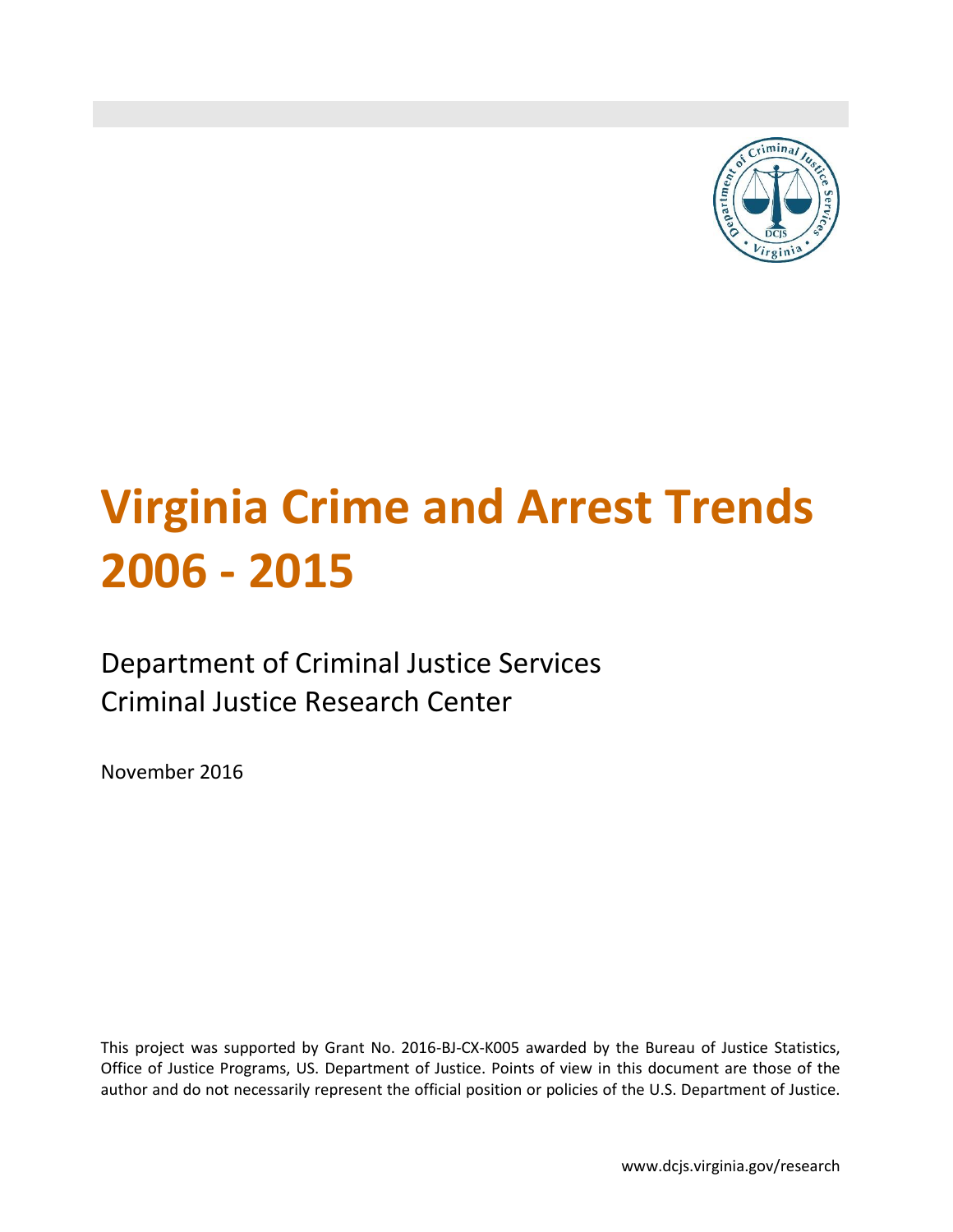

# **Virginia Crime and Arrest Trends 2006 - 2015**

## Department of Criminal Justice Services Criminal Justice Research Center

November 2016

This project was supported by Grant No. 2016-BJ-CX-K005 awarded by the Bureau of Justice Statistics, Office of Justice Programs, US. Department of Justice. Points of view in this document are those of the author and do not necessarily represent the official position or policies of the U.S. Department of Justice.

www.dcjs.virginia.gov/research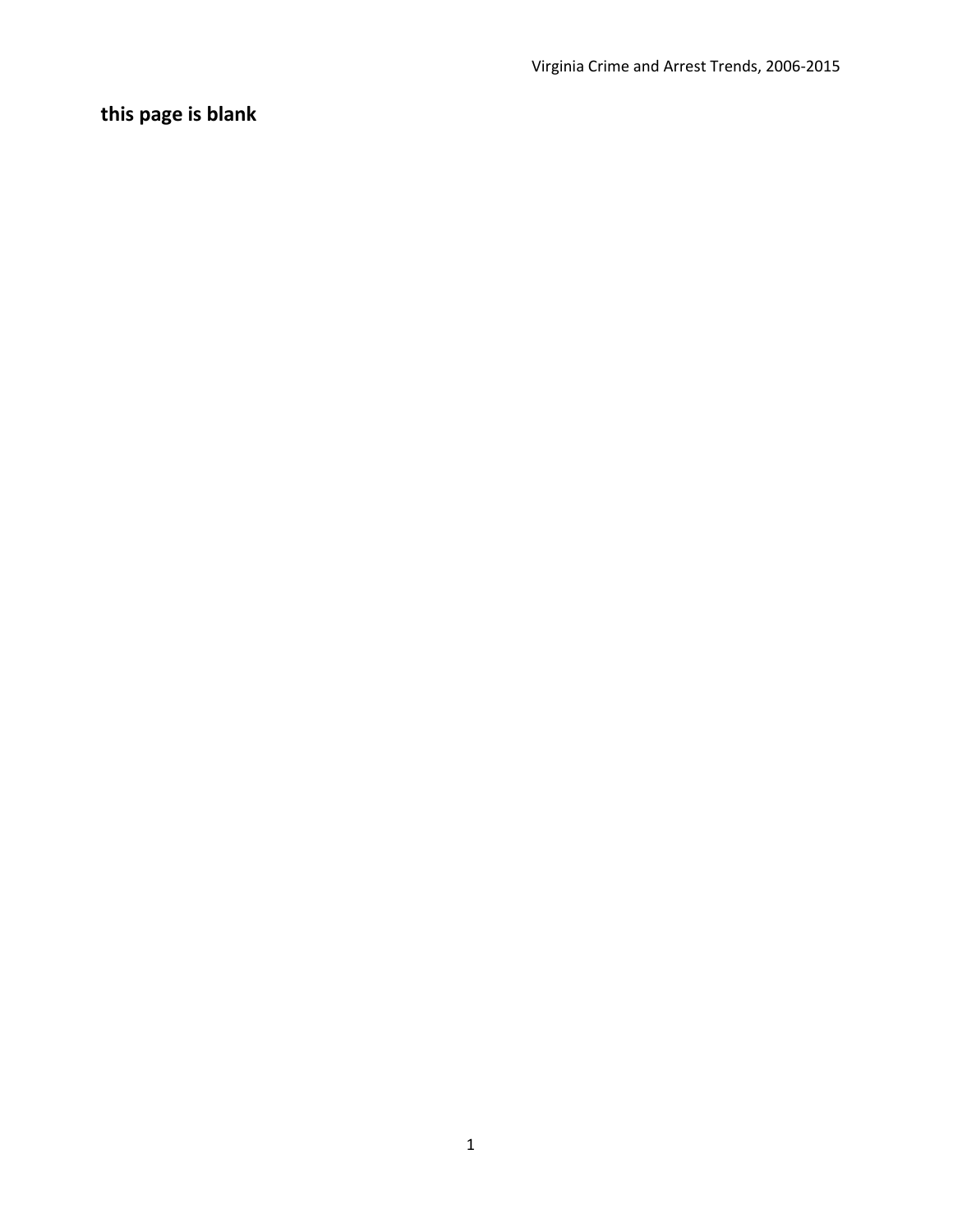## **this page is blank**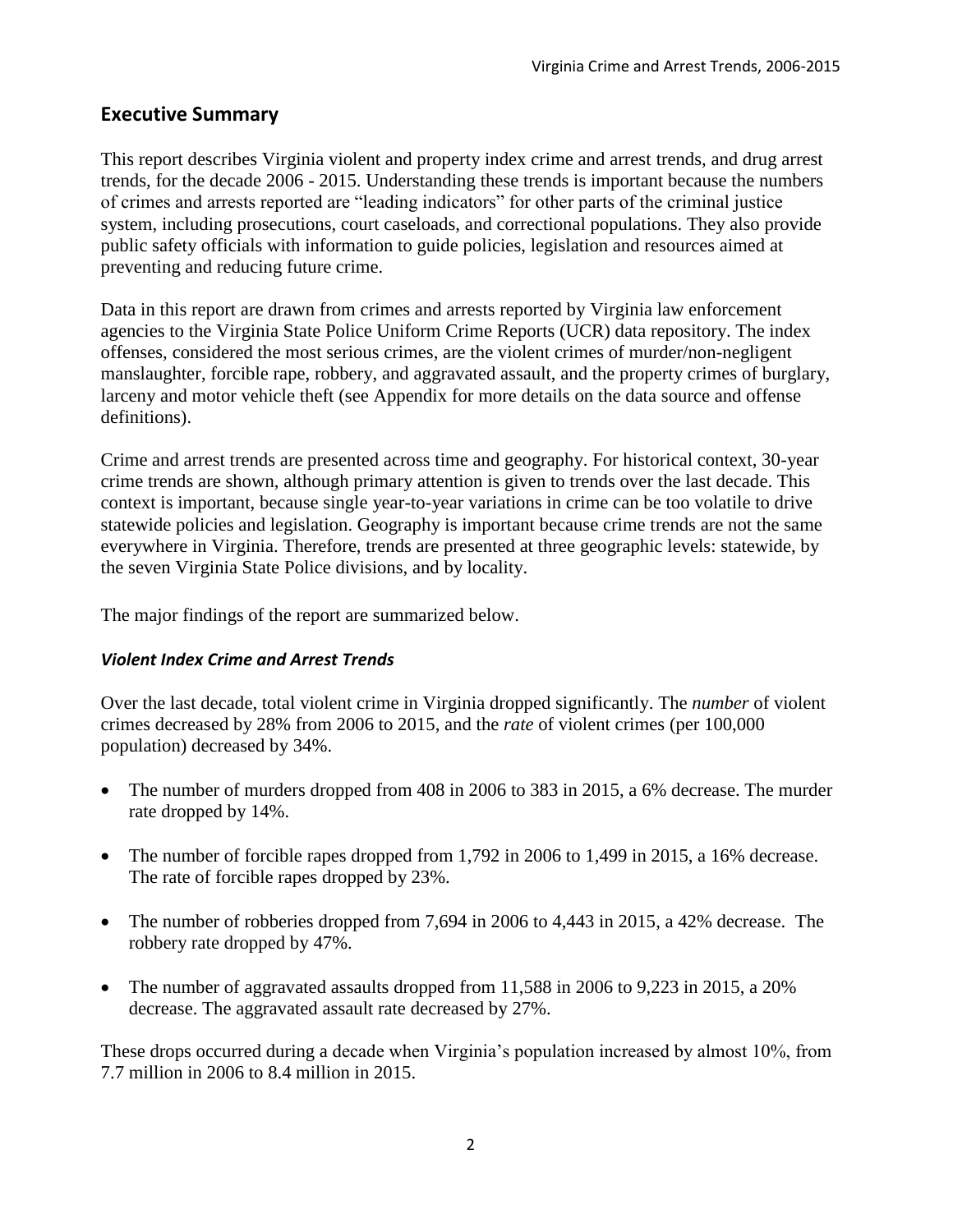## **Executive Summary**

This report describes Virginia violent and property index crime and arrest trends, and drug arrest trends, for the decade 2006 - 2015. Understanding these trends is important because the numbers of crimes and arrests reported are "leading indicators" for other parts of the criminal justice system, including prosecutions, court caseloads, and correctional populations. They also provide public safety officials with information to guide policies, legislation and resources aimed at preventing and reducing future crime.

Data in this report are drawn from crimes and arrests reported by Virginia law enforcement agencies to the Virginia State Police Uniform Crime Reports (UCR) data repository. The index offenses, considered the most serious crimes, are the violent crimes of murder/non-negligent manslaughter, forcible rape, robbery, and aggravated assault, and the property crimes of burglary, larceny and motor vehicle theft (see Appendix for more details on the data source and offense definitions).

Crime and arrest trends are presented across time and geography. For historical context, 30-year crime trends are shown, although primary attention is given to trends over the last decade. This context is important, because single year-to-year variations in crime can be too volatile to drive statewide policies and legislation. Geography is important because crime trends are not the same everywhere in Virginia. Therefore, trends are presented at three geographic levels: statewide, by the seven Virginia State Police divisions, and by locality.

The major findings of the report are summarized below.

### *Violent Index Crime and Arrest Trends*

Over the last decade, total violent crime in Virginia dropped significantly. The *number* of violent crimes decreased by 28% from 2006 to 2015, and the *rate* of violent crimes (per 100,000 population) decreased by 34%.

- The number of murders dropped from 408 in 2006 to 383 in 2015, a 6% decrease. The murder rate dropped by 14%.
- The number of forcible rapes dropped from 1,792 in 2006 to 1,499 in 2015, a 16% decrease. The rate of forcible rapes dropped by 23%.
- The number of robberies dropped from 7,694 in 2006 to 4,443 in 2015, a 42% decrease. The robbery rate dropped by 47%.
- The number of aggravated assaults dropped from 11,588 in 2006 to 9,223 in 2015, a 20% decrease. The aggravated assault rate decreased by 27%.

These drops occurred during a decade when Virginia's population increased by almost 10%, from 7.7 million in 2006 to 8.4 million in 2015.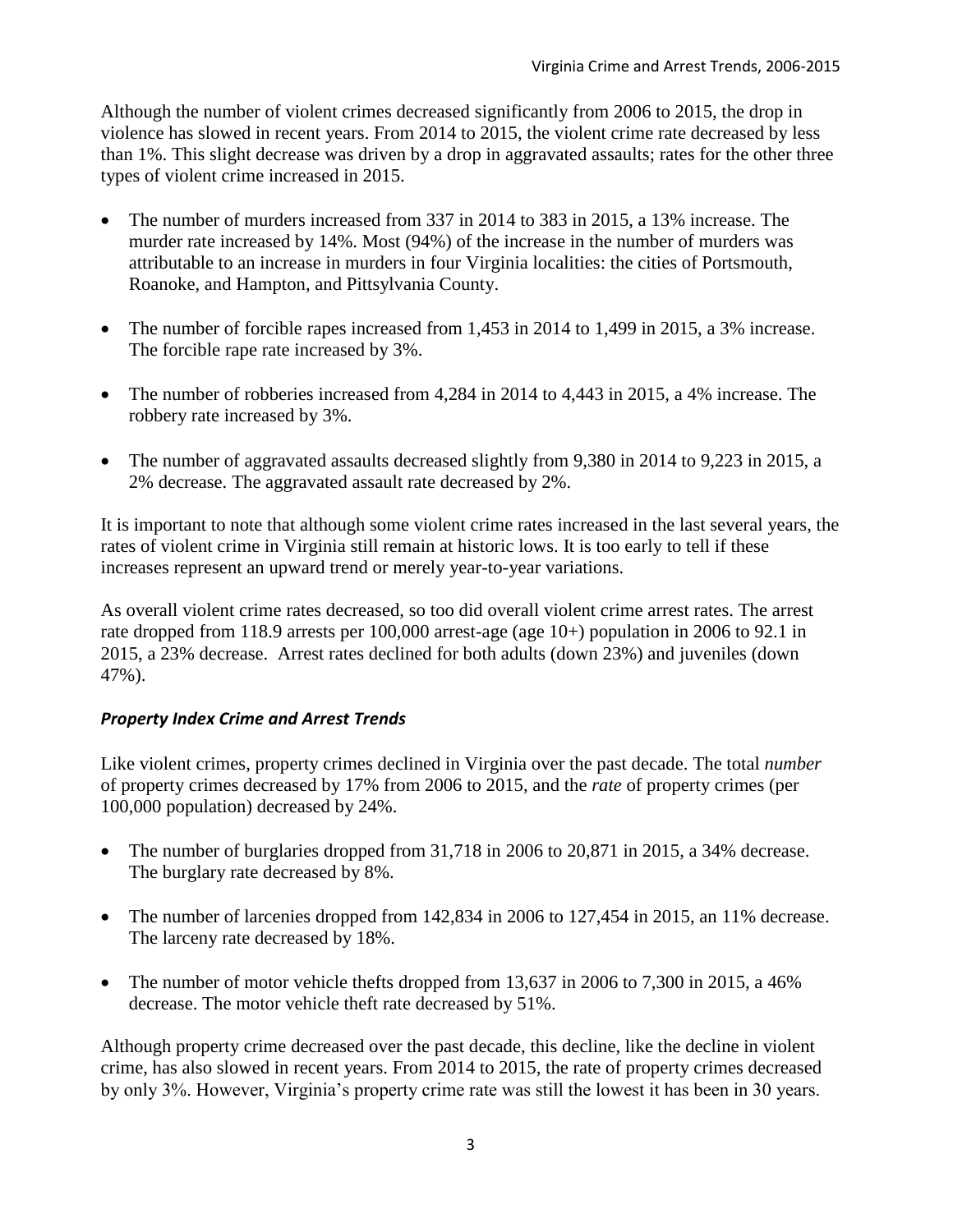Although the number of violent crimes decreased significantly from 2006 to 2015, the drop in violence has slowed in recent years. From 2014 to 2015, the violent crime rate decreased by less than 1%. This slight decrease was driven by a drop in aggravated assaults; rates for the other three types of violent crime increased in 2015.

- The number of murders increased from 337 in 2014 to 383 in 2015, a 13% increase. The murder rate increased by 14%. Most (94%) of the increase in the number of murders was attributable to an increase in murders in four Virginia localities: the cities of Portsmouth, Roanoke, and Hampton, and Pittsylvania County.
- The number of forcible rapes increased from 1,453 in 2014 to 1,499 in 2015, a 3% increase. The forcible rape rate increased by 3%.
- The number of robberies increased from 4,284 in 2014 to 4,443 in 2015, a 4% increase. The robbery rate increased by 3%.
- The number of aggravated assaults decreased slightly from 9,380 in 2014 to 9,223 in 2015, a 2% decrease. The aggravated assault rate decreased by 2%.

It is important to note that although some violent crime rates increased in the last several years, the rates of violent crime in Virginia still remain at historic lows. It is too early to tell if these increases represent an upward trend or merely year-to-year variations.

As overall violent crime rates decreased, so too did overall violent crime arrest rates. The arrest rate dropped from 118.9 arrests per 100,000 arrest-age (age 10+) population in 2006 to 92.1 in 2015, a 23% decrease. Arrest rates declined for both adults (down 23%) and juveniles (down 47%).

## *Property Index Crime and Arrest Trends*

Like violent crimes, property crimes declined in Virginia over the past decade. The total *number* of property crimes decreased by 17% from 2006 to 2015, and the *rate* of property crimes (per 100,000 population) decreased by 24%.

- The number of burglaries dropped from 31,718 in 2006 to 20,871 in 2015, a 34% decrease. The burglary rate decreased by 8%.
- The number of larcenies dropped from 142,834 in 2006 to 127,454 in 2015, an 11% decrease. The larceny rate decreased by 18%.
- The number of motor vehicle thefts dropped from 13,637 in 2006 to 7,300 in 2015, a 46% decrease. The motor vehicle theft rate decreased by 51%.

Although property crime decreased over the past decade, this decline, like the decline in violent crime, has also slowed in recent years. From 2014 to 2015, the rate of property crimes decreased by only 3%. However, Virginia's property crime rate was still the lowest it has been in 30 years.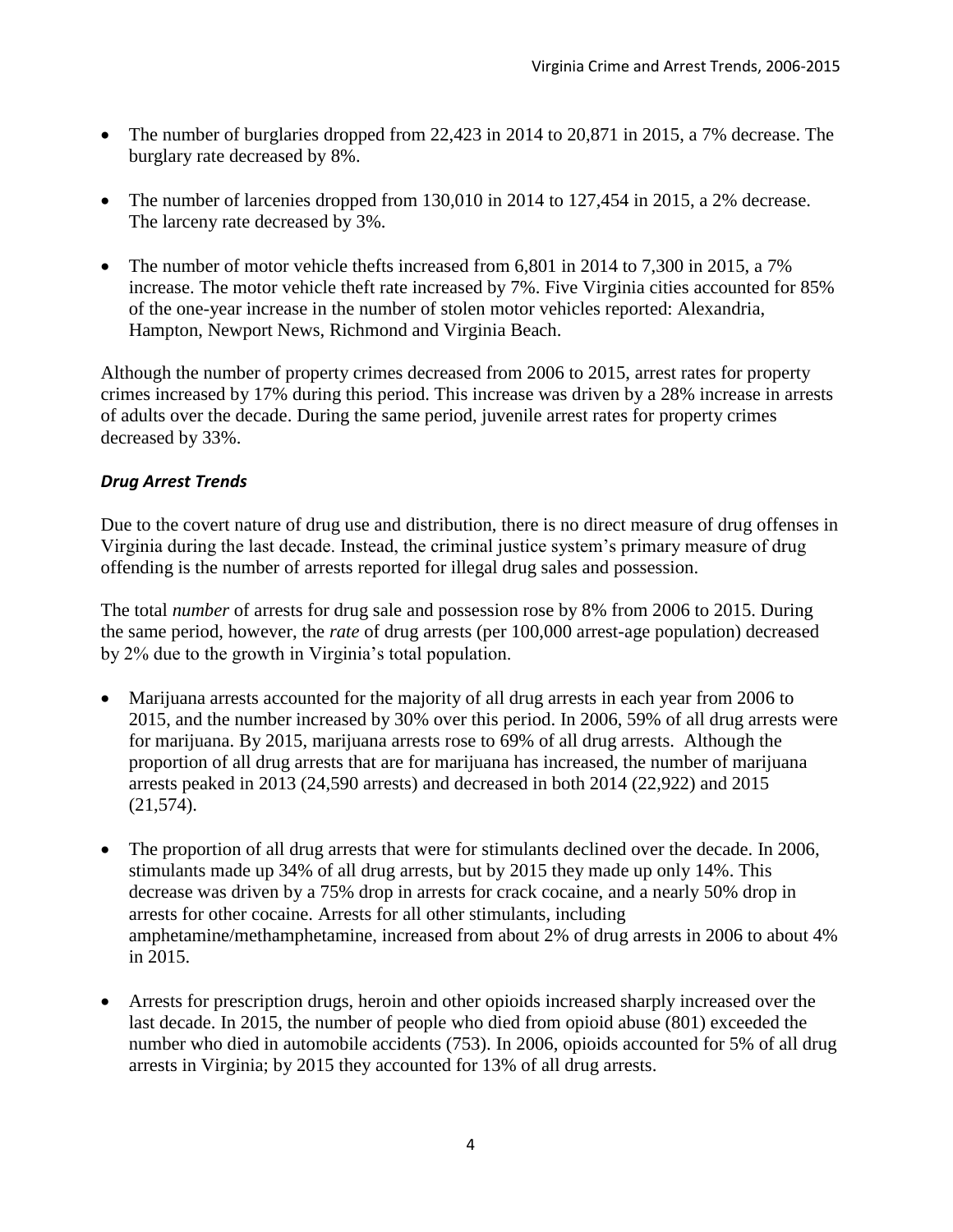- The number of burglaries dropped from 22,423 in 2014 to 20,871 in 2015, a 7% decrease. The burglary rate decreased by 8%.
- The number of larcenies dropped from 130,010 in 2014 to 127,454 in 2015, a 2% decrease. The larceny rate decreased by 3%.
- The number of motor vehicle thefts increased from 6,801 in 2014 to 7,300 in 2015, a 7% increase. The motor vehicle theft rate increased by 7%. Five Virginia cities accounted for 85% of the one-year increase in the number of stolen motor vehicles reported: Alexandria, Hampton, Newport News, Richmond and Virginia Beach.

Although the number of property crimes decreased from 2006 to 2015, arrest rates for property crimes increased by 17% during this period. This increase was driven by a 28% increase in arrests of adults over the decade. During the same period, juvenile arrest rates for property crimes decreased by 33%.

## *Drug Arrest Trends*

Due to the covert nature of drug use and distribution, there is no direct measure of drug offenses in Virginia during the last decade. Instead, the criminal justice system's primary measure of drug offending is the number of arrests reported for illegal drug sales and possession.

The total *number* of arrests for drug sale and possession rose by 8% from 2006 to 2015. During the same period, however, the *rate* of drug arrests (per 100,000 arrest-age population) decreased by 2% due to the growth in Virginia's total population.

- Marijuana arrests accounted for the majority of all drug arrests in each year from 2006 to 2015, and the number increased by 30% over this period. In 2006, 59% of all drug arrests were for marijuana. By 2015, marijuana arrests rose to 69% of all drug arrests. Although the proportion of all drug arrests that are for marijuana has increased, the number of marijuana arrests peaked in 2013 (24,590 arrests) and decreased in both 2014 (22,922) and 2015 (21,574).
- The proportion of all drug arrests that were for stimulants declined over the decade. In 2006, stimulants made up 34% of all drug arrests, but by 2015 they made up only 14%. This decrease was driven by a 75% drop in arrests for crack cocaine, and a nearly 50% drop in arrests for other cocaine. Arrests for all other stimulants, including amphetamine/methamphetamine, increased from about 2% of drug arrests in 2006 to about 4% in 2015.
- Arrests for prescription drugs, heroin and other opioids increased sharply increased over the last decade. In 2015, the number of people who died from opioid abuse (801) exceeded the number who died in automobile accidents (753). In 2006, opioids accounted for 5% of all drug arrests in Virginia; by 2015 they accounted for 13% of all drug arrests.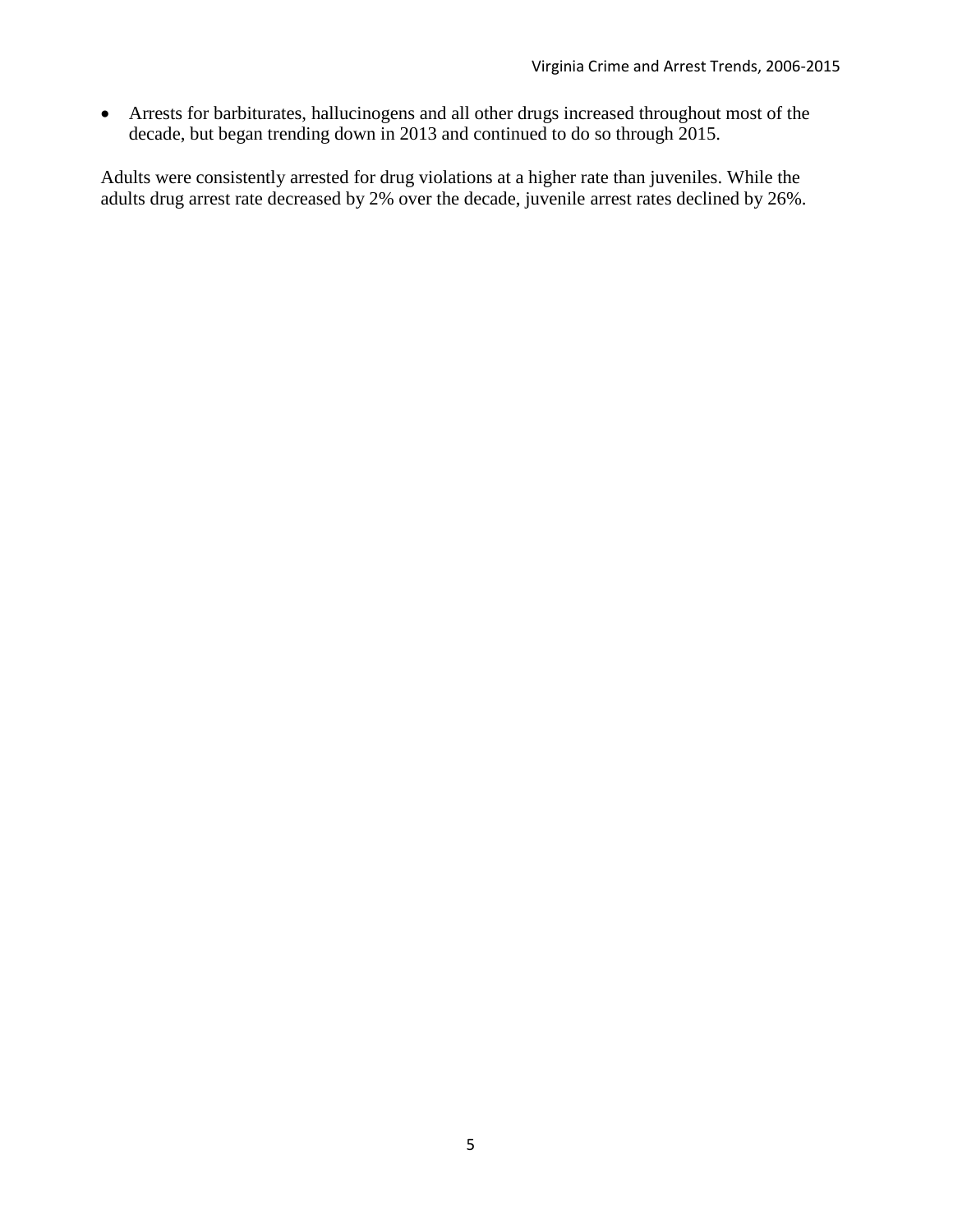Arrests for barbiturates, hallucinogens and all other drugs increased throughout most of the decade, but began trending down in 2013 and continued to do so through 2015.

Adults were consistently arrested for drug violations at a higher rate than juveniles. While the adults drug arrest rate decreased by 2% over the decade, juvenile arrest rates declined by 26%.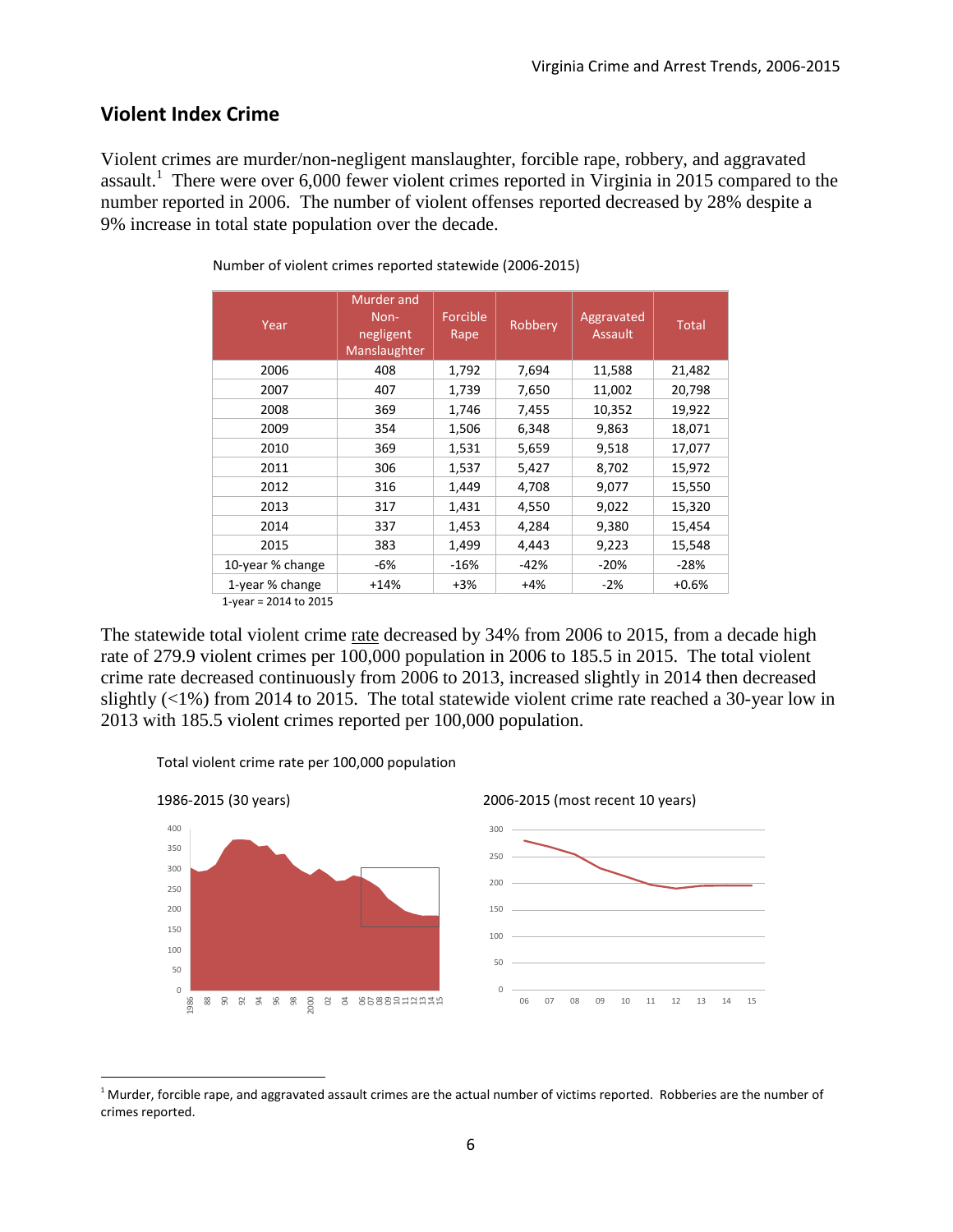## **Violent Index Crime**

Violent crimes are murder/non-negligent manslaughter, forcible rape, robbery, and aggravated assault.<sup>1</sup> There were over 6,000 fewer violent crimes reported in Virginia in 2015 compared to the number reported in 2006. The number of violent offenses reported decreased by 28% despite a 9% increase in total state population over the decade.

| Year                      | Murder and<br>Non-<br>negligent<br>Manslaughter | Forcible<br>Rape | Robbery | Aggravated<br>Assault | <b>Total</b> |
|---------------------------|-------------------------------------------------|------------------|---------|-----------------------|--------------|
| 2006                      | 408                                             | 1,792            | 7,694   | 11,588                | 21,482       |
| 2007                      | 407                                             | 1,739            | 7,650   | 11,002                | 20,798       |
| 2008                      | 369                                             | 1,746            | 7,455   | 10,352                | 19,922       |
| 2009                      | 354                                             | 1,506            | 6,348   | 9,863                 | 18,071       |
| 2010                      | 369                                             | 1,531            | 5,659   | 9,518                 | 17,077       |
| 2011                      | 306                                             | 1,537            | 5,427   | 8,702                 | 15,972       |
| 2012                      | 316                                             | 1,449            | 4,708   | 9,077                 | 15,550       |
| 2013                      | 317                                             | 1,431            | 4,550   | 9,022                 | 15,320       |
| 2014                      | 337                                             | 1,453            | 4,284   | 9,380                 | 15,454       |
| 2015                      | 383                                             | 1,499            | 4,443   | 9,223                 | 15,548       |
| 10-year % change          | -6%                                             | $-16%$           | $-42%$  | $-20%$                | $-28%$       |
| 1-year % change           | $+14%$                                          | $+3%$            | $+4%$   | $-2%$                 | $+0.6%$      |
| 1-year = $2014$ to $2015$ |                                                 |                  |         |                       |              |

Number of violent crimes reported statewide (2006-2015)

The statewide total violent crime rate decreased by 34% from 2006 to 2015, from a decade high rate of 279.9 violent crimes per 100,000 population in 2006 to 185.5 in 2015. The total violent crime rate decreased continuously from 2006 to 2013, increased slightly in 2014 then decreased slightly (<1%) from 2014 to 2015. The total statewide violent crime rate reached a 30-year low in 2013 with 185.5 violent crimes reported per 100,000 population.



Total violent crime rate per 100,000 population

 $\overline{a}$ 

<sup>&</sup>lt;sup>1</sup> Murder, forcible rape, and aggravated assault crimes are the actual number of victims reported. Robberies are the number of crimes reported.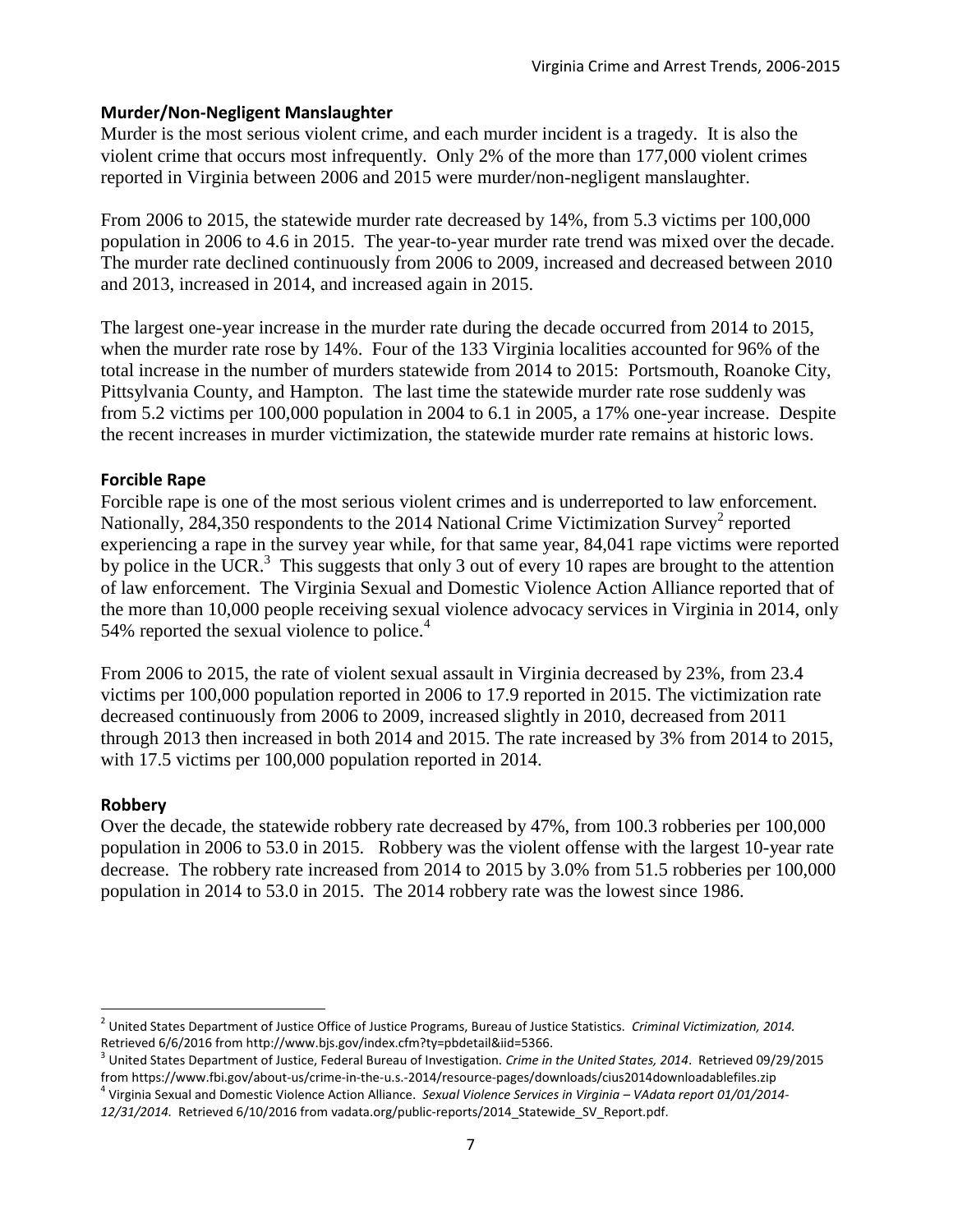### **Murder/Non-Negligent Manslaughter**

Murder is the most serious violent crime, and each murder incident is a tragedy. It is also the violent crime that occurs most infrequently. Only 2% of the more than 177,000 violent crimes reported in Virginia between 2006 and 2015 were murder/non-negligent manslaughter.

From 2006 to 2015, the statewide murder rate decreased by 14%, from 5.3 victims per 100,000 population in 2006 to 4.6 in 2015. The year-to-year murder rate trend was mixed over the decade. The murder rate declined continuously from 2006 to 2009, increased and decreased between 2010 and 2013, increased in 2014, and increased again in 2015.

The largest one-year increase in the murder rate during the decade occurred from 2014 to 2015, when the murder rate rose by 14%. Four of the 133 Virginia localities accounted for 96% of the total increase in the number of murders statewide from 2014 to 2015: Portsmouth, Roanoke City, Pittsylvania County, and Hampton. The last time the statewide murder rate rose suddenly was from 5.2 victims per 100,000 population in 2004 to 6.1 in 2005, a 17% one-year increase. Despite the recent increases in murder victimization, the statewide murder rate remains at historic lows.

## **Forcible Rape**

Forcible rape is one of the most serious violent crimes and is underreported to law enforcement. Nationally, 284,350 respondents to the 2014 National Crime Victimization Survey<sup>2</sup> reported experiencing a rape in the survey year while, for that same year, 84,041 rape victims were reported by police in the UCR. $3$  This suggests that only 3 out of every 10 rapes are brought to the attention of law enforcement. The Virginia Sexual and Domestic Violence Action Alliance reported that of the more than 10,000 people receiving sexual violence advocacy services in Virginia in 2014, only 54% reported the sexual violence to police.<sup>4</sup>

From 2006 to 2015, the rate of violent sexual assault in Virginia decreased by 23%, from 23.4 victims per 100,000 population reported in 2006 to 17.9 reported in 2015. The victimization rate decreased continuously from 2006 to 2009, increased slightly in 2010, decreased from 2011 through 2013 then increased in both 2014 and 2015. The rate increased by 3% from 2014 to 2015, with 17.5 victims per 100,000 population reported in 2014.

## **Robbery**

 $\overline{a}$ 

Over the decade, the statewide robbery rate decreased by 47%, from 100.3 robberies per 100,000 population in 2006 to 53.0 in 2015. Robbery was the violent offense with the largest 10-year rate decrease. The robbery rate increased from 2014 to 2015 by 3.0% from 51.5 robberies per 100,000 population in 2014 to 53.0 in 2015. The 2014 robbery rate was the lowest since 1986.

<sup>2</sup> United States Department of Justice Office of Justice Programs, Bureau of Justice Statistics. *Criminal Victimization, 2014.* Retrieved 6/6/2016 from http://www.bjs.gov/index.cfm?ty=pbdetail&iid=5366.

<sup>3</sup> United States Department of Justice, Federal Bureau of Investigation. *Crime in the United States, 2014*. Retrieved 09/29/2015 from https://www.fbi.gov/about-us/crime-in-the-u.s.-2014/resource-pages/downloads/cius2014downloadablefiles.zip

<sup>4</sup> Virginia Sexual and Domestic Violence Action Alliance. *Sexual Violence Services in Virginia – VAdata report 01/01/2014-*

<sup>12/31/2014.</sup> Retrieved 6/10/2016 from vadata.org/public-reports/2014\_Statewide\_SV\_Report.pdf.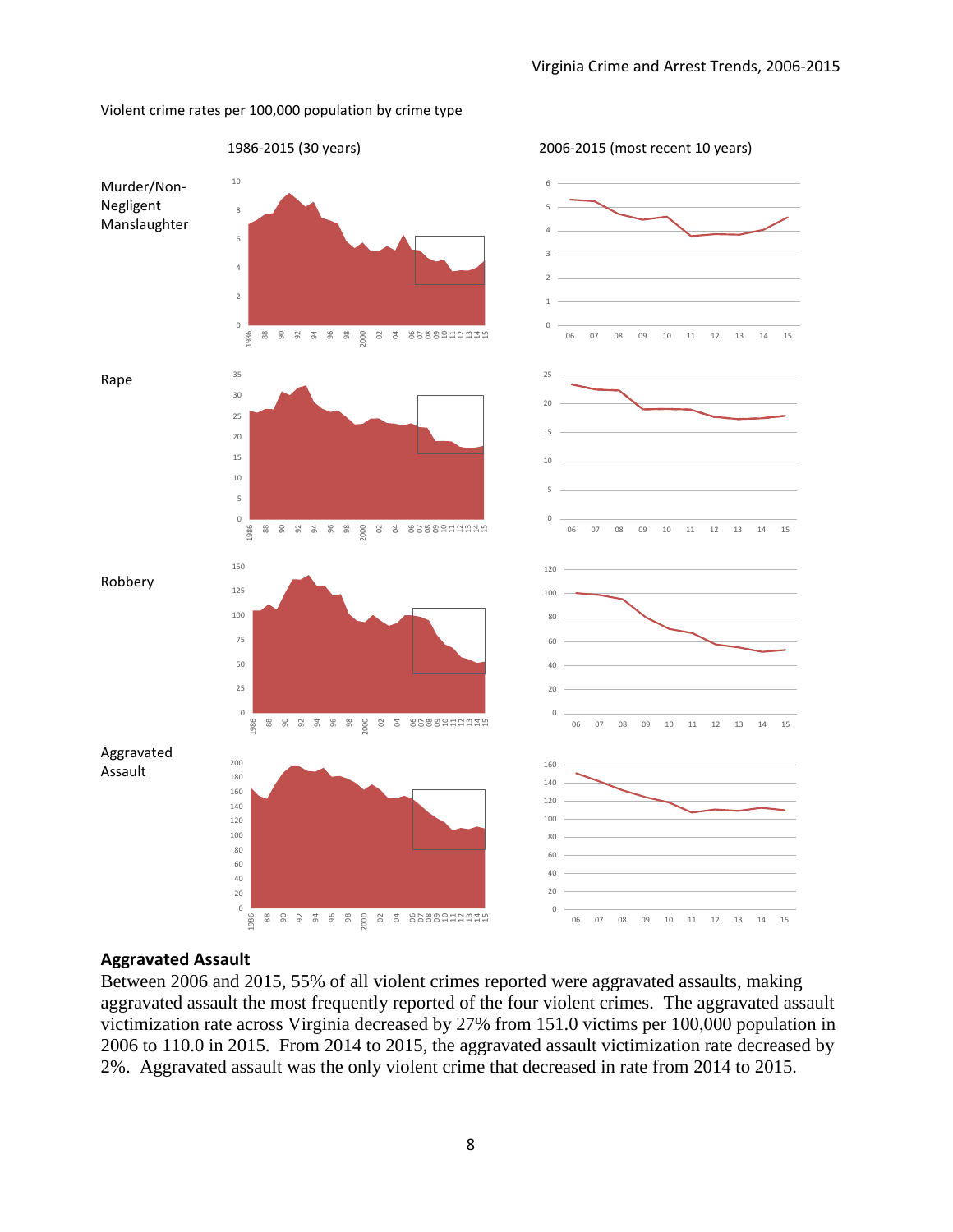

Violent crime rates per 100,000 population by crime type

#### **Aggravated Assault**

Between 2006 and 2015, 55% of all violent crimes reported were aggravated assaults, making aggravated assault the most frequently reported of the four violent crimes. The aggravated assault victimization rate across Virginia decreased by 27% from 151.0 victims per 100,000 population in 2006 to 110.0 in 2015. From 2014 to 2015, the aggravated assault victimization rate decreased by 2%. Aggravated assault was the only violent crime that decreased in rate from 2014 to 2015.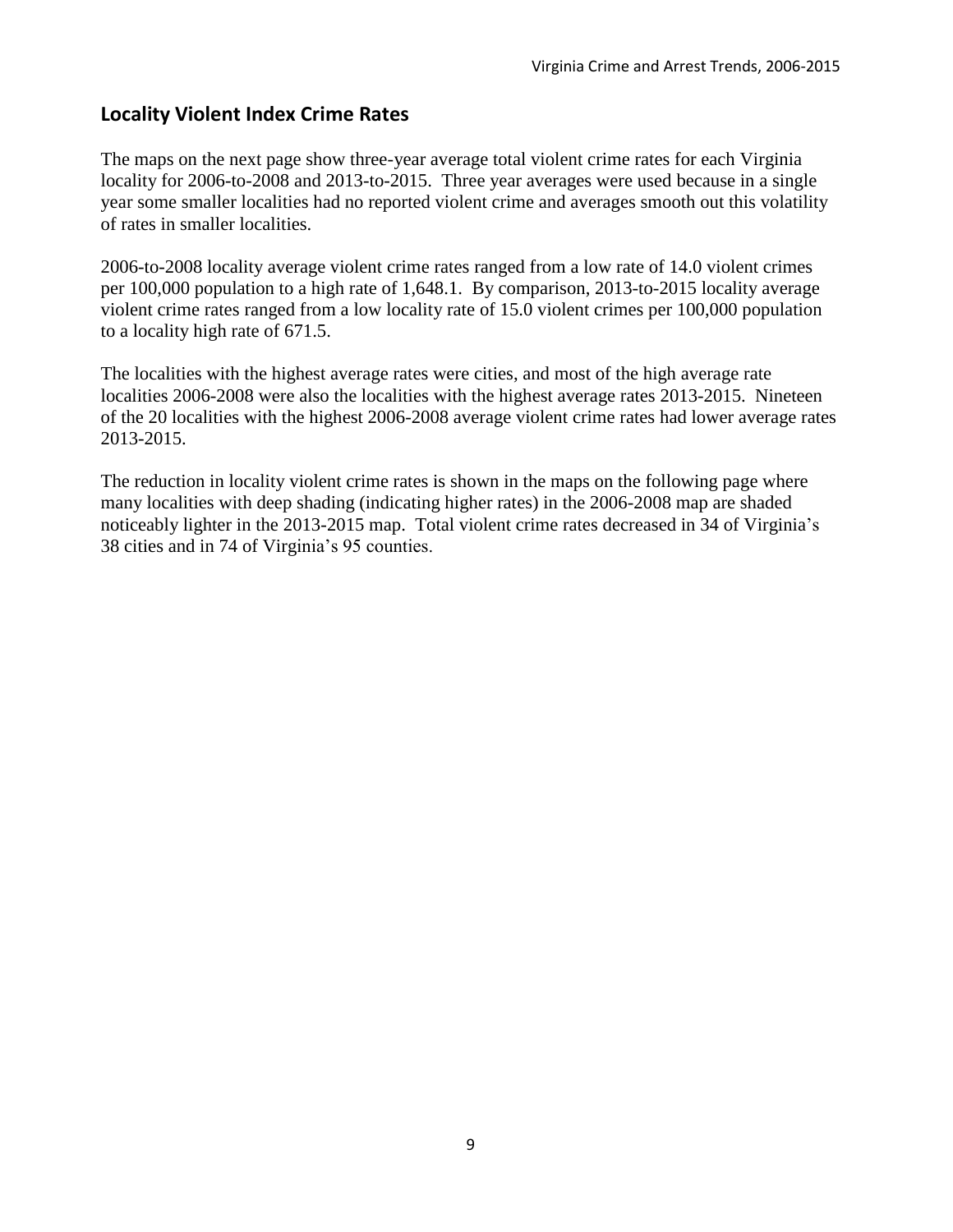## **Locality Violent Index Crime Rates**

The maps on the next page show three-year average total violent crime rates for each Virginia locality for 2006-to-2008 and 2013-to-2015. Three year averages were used because in a single year some smaller localities had no reported violent crime and averages smooth out this volatility of rates in smaller localities.

2006-to-2008 locality average violent crime rates ranged from a low rate of 14.0 violent crimes per 100,000 population to a high rate of 1,648.1. By comparison, 2013-to-2015 locality average violent crime rates ranged from a low locality rate of 15.0 violent crimes per 100,000 population to a locality high rate of 671.5.

The localities with the highest average rates were cities, and most of the high average rate localities 2006-2008 were also the localities with the highest average rates 2013-2015. Nineteen of the 20 localities with the highest 2006-2008 average violent crime rates had lower average rates 2013-2015.

The reduction in locality violent crime rates is shown in the maps on the following page where many localities with deep shading (indicating higher rates) in the 2006-2008 map are shaded noticeably lighter in the 2013-2015 map. Total violent crime rates decreased in 34 of Virginia's 38 cities and in 74 of Virginia's 95 counties.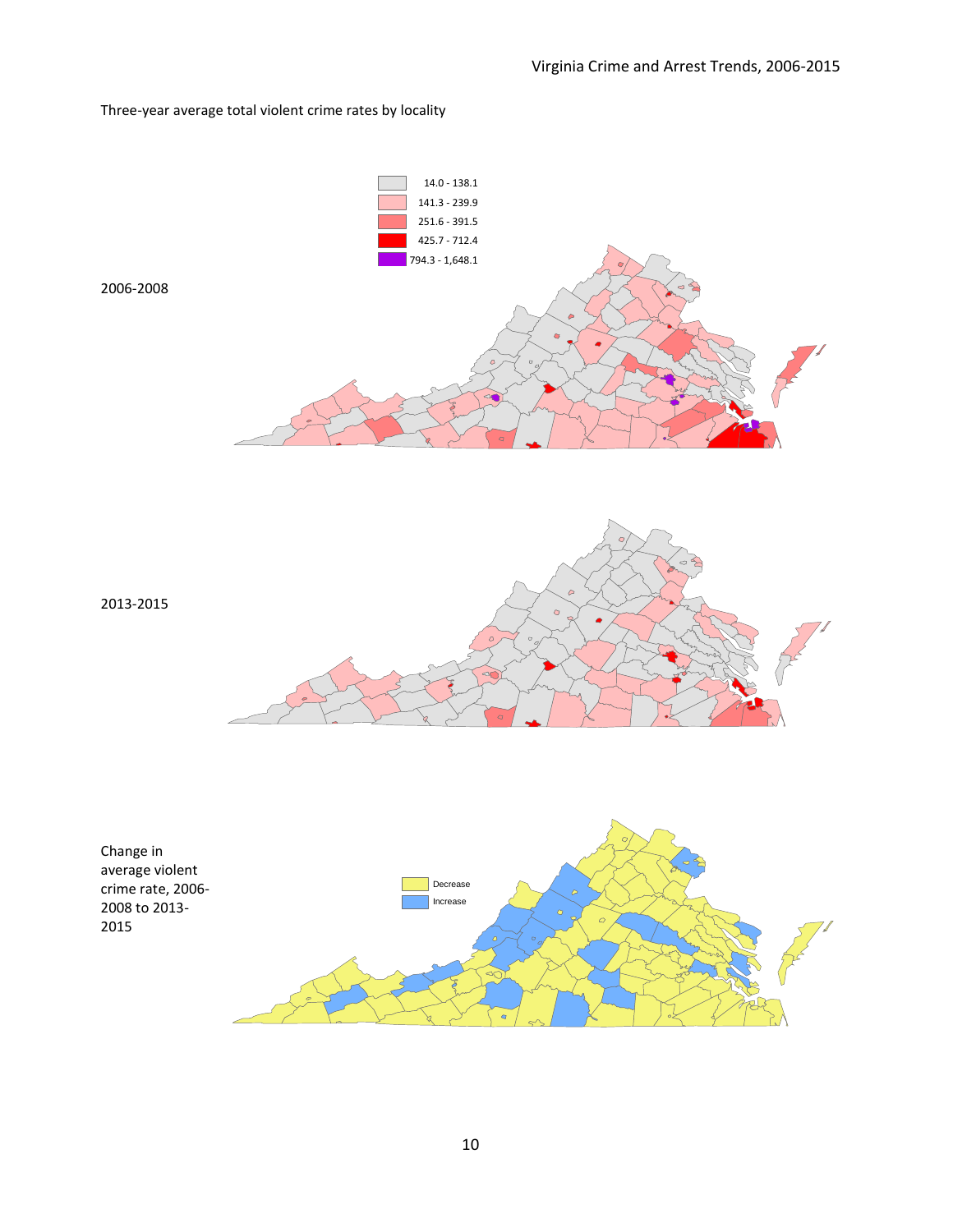#### Three-year average total violent crime rates by locality

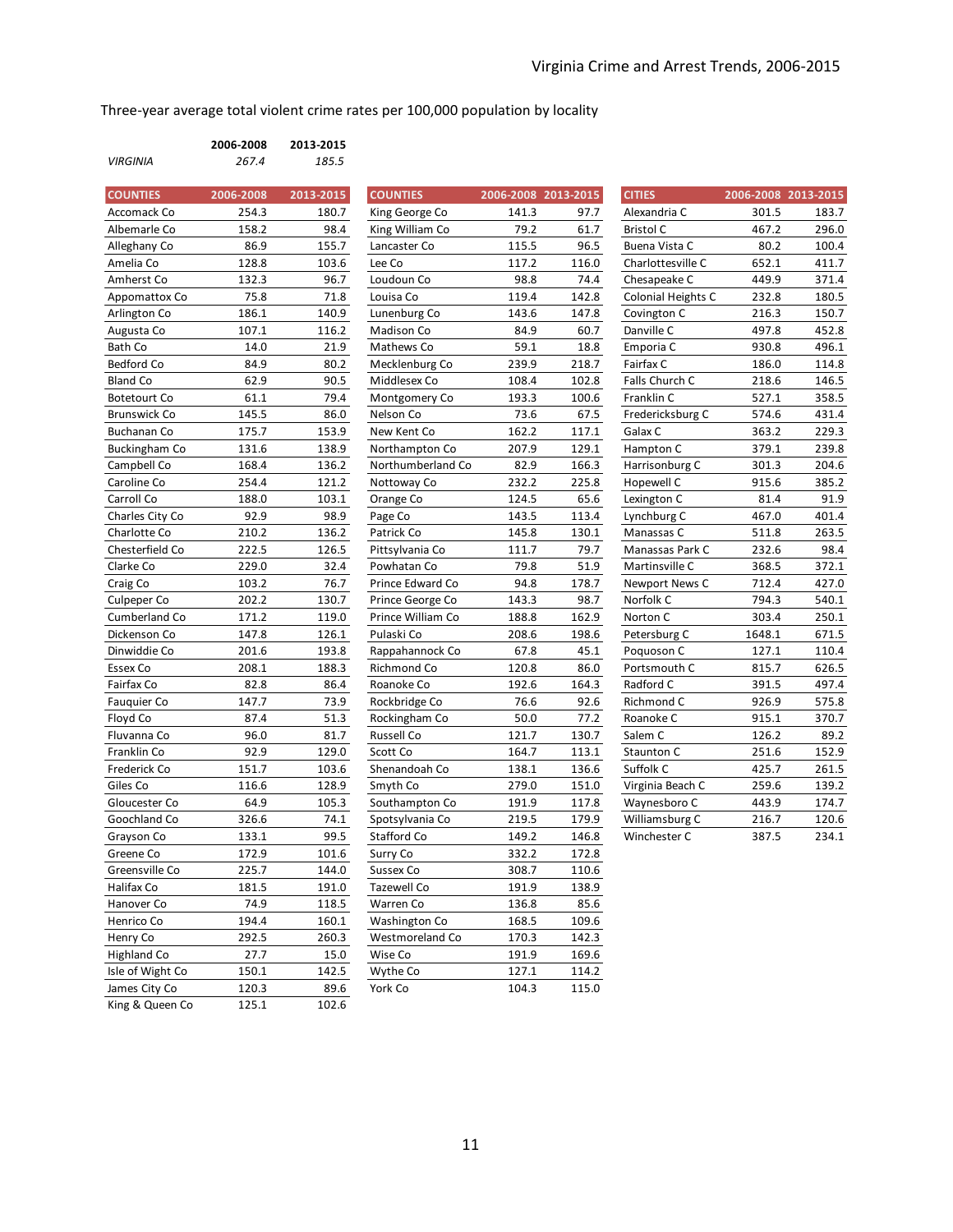Three-year average total violent crime rates per 100,000 population by locality

|          | 2006-2008 | 2013-2015 |  |
|----------|-----------|-----------|--|
| VIRGINIA | 267.4     | 185.5     |  |

| <b>COUNTIES</b>     | 2006-2008 | 2013-2015 | <b>COUNTIES</b>   | 2006-2008 2013-2015 |       | <b>CITIES</b>      |        | 2006-2008 2013-2015 |
|---------------------|-----------|-----------|-------------------|---------------------|-------|--------------------|--------|---------------------|
| Accomack Co         | 254.3     | 180.7     | King George Co    | 141.3               | 97.7  | Alexandria C       | 301.5  | 183.7               |
| Albemarle Co        | 158.2     | 98.4      | King William Co   | 79.2                | 61.7  | <b>Bristol C</b>   | 467.2  | 296.0               |
| Alleghany Co        | 86.9      | 155.7     | Lancaster Co      | 115.5               | 96.5  | Buena Vista C      | 80.2   | 100.4               |
| Amelia Co           | 128.8     | 103.6     | Lee Co            | 117.2               | 116.0 | Charlottesville C  | 652.1  | 411.7               |
| Amherst Co          | 132.3     | 96.7      | Loudoun Co        | 98.8                | 74.4  | Chesapeake C       | 449.9  | 371.4               |
| Appomattox Co       | 75.8      | 71.8      | Louisa Co         | 119.4               | 142.8 | Colonial Heights C | 232.8  | 180.5               |
| Arlington Co        | 186.1     | 140.9     | Lunenburg Co      | 143.6               | 147.8 | Covington C        | 216.3  | 150.7               |
| Augusta Co          | 107.1     | 116.2     | Madison Co        | 84.9                | 60.7  | Danville C         | 497.8  | 452.8               |
| Bath Co             | 14.0      | 21.9      | Mathews Co        | 59.1                | 18.8  | Emporia C          | 930.8  | 496.1               |
| Bedford Co          | 84.9      | 80.2      | Mecklenburg Co    | 239.9               | 218.7 | Fairfax C          | 186.0  | 114.8               |
| <b>Bland Co</b>     | 62.9      | 90.5      | Middlesex Co      | 108.4               | 102.8 | Falls Church C     | 218.6  | 146.5               |
| <b>Botetourt Co</b> | 61.1      | 79.4      | Montgomery Co     | 193.3               | 100.6 | Franklin C         | 527.1  | 358.5               |
| <b>Brunswick Co</b> | 145.5     | 86.0      | Nelson Co         | 73.6                | 67.5  | Fredericksburg C   | 574.6  | 431.4               |
| Buchanan Co         | 175.7     | 153.9     | New Kent Co       | 162.2               | 117.1 | Galax C            | 363.2  | 229.3               |
| Buckingham Co       | 131.6     | 138.9     | Northampton Co    | 207.9               | 129.1 | Hampton C          | 379.1  | 239.8               |
| Campbell Co         | 168.4     | 136.2     | Northumberland Co | 82.9                | 166.3 | Harrisonburg C     | 301.3  | 204.6               |
| Caroline Co         | 254.4     | 121.2     | Nottoway Co       | 232.2               | 225.8 | Hopewell C         | 915.6  | 385.2               |
| Carroll Co          | 188.0     | 103.1     | Orange Co         | 124.5               | 65.6  | Lexington C        | 81.4   | 91.9                |
| Charles City Co     | 92.9      | 98.9      | Page Co           | 143.5               | 113.4 | Lynchburg C        | 467.0  | 401.4               |
| Charlotte Co        | 210.2     | 136.2     | Patrick Co        | 145.8               | 130.1 | Manassas C         | 511.8  | 263.5               |
| Chesterfield Co     | 222.5     | 126.5     | Pittsylvania Co   | 111.7               | 79.7  | Manassas Park C    | 232.6  | 98.4                |
| Clarke Co           | 229.0     | 32.4      | Powhatan Co       | 79.8                | 51.9  | Martinsville C     | 368.5  | 372.1               |
| Craig Co            | 103.2     | 76.7      | Prince Edward Co  | 94.8                | 178.7 | Newport News C     | 712.4  | 427.0               |
| Culpeper Co         | 202.2     | 130.7     | Prince George Co  | 143.3               | 98.7  | Norfolk C          | 794.3  | 540.1               |
| Cumberland Co       | 171.2     | 119.0     | Prince William Co | 188.8               | 162.9 | Norton C           | 303.4  | 250.1               |
| Dickenson Co        | 147.8     | 126.1     | Pulaski Co        | 208.6               | 198.6 | Petersburg C       | 1648.1 | 671.5               |
| Dinwiddie Co        | 201.6     | 193.8     | Rappahannock Co   | 67.8                | 45.1  | Poquoson C         | 127.1  | 110.4               |
| Essex Co            | 208.1     | 188.3     | Richmond Co       | 120.8               | 86.0  | Portsmouth C       | 815.7  | 626.5               |
| Fairfax Co          | 82.8      | 86.4      | Roanoke Co        | 192.6               | 164.3 | Radford C          | 391.5  | 497.4               |
| Fauguier Co         | 147.7     | 73.9      | Rockbridge Co     | 76.6                | 92.6  | Richmond C         | 926.9  | 575.8               |
| Floyd Co            | 87.4      | 51.3      | Rockingham Co     | 50.0                | 77.2  | Roanoke C          | 915.1  | 370.7               |
| Fluvanna Co         | 96.0      | 81.7      | Russell Co        | 121.7               | 130.7 | Salem C            | 126.2  | 89.2                |
| Franklin Co         | 92.9      | 129.0     | Scott Co          | 164.7               | 113.1 | Staunton C         | 251.6  | 152.9               |
| Frederick Co        | 151.7     | 103.6     | Shenandoah Co     | 138.1               | 136.6 | Suffolk C          | 425.7  | 261.5               |
| Giles Co            | 116.6     | 128.9     | Smyth Co          | 279.0               | 151.0 | Virginia Beach C   | 259.6  | 139.2               |
| Gloucester Co       | 64.9      | 105.3     | Southampton Co    | 191.9               | 117.8 | Waynesboro C       | 443.9  | 174.7               |
| Goochland Co        | 326.6     | 74.1      | Spotsylvania Co   | 219.5               | 179.9 | Williamsburg C     | 216.7  | 120.6               |
| Grayson Co          | 133.1     | 99.5      | Stafford Co       | 149.2               | 146.8 | Winchester C       | 387.5  | 234.1               |
| Greene Co           | 172.9     | 101.6     | Surry Co          | 332.2               | 172.8 |                    |        |                     |
| Greensville Co      | 225.7     | 144.0     | Sussex Co         | 308.7               | 110.6 |                    |        |                     |
| Halifax Co          | 181.5     | 191.0     | Tazewell Co       | 191.9               | 138.9 |                    |        |                     |
| Hanover Co          | 74.9      | 118.5     | Warren Co         | 136.8               | 85.6  |                    |        |                     |
| Henrico Co          | 194.4     | 160.1     | Washington Co     | 168.5               | 109.6 |                    |        |                     |
| Henry Co            | 292.5     | 260.3     | Westmoreland Co   | 170.3               | 142.3 |                    |        |                     |
| <b>Highland Co</b>  | 27.7      | 15.0      | Wise Co           | 191.9               | 169.6 |                    |        |                     |
| Isle of Wight Co    | 150.1     | 142.5     | Wythe Co          | 127.1               | 114.2 |                    |        |                     |
| James City Co       | 120.3     | 89.6      | York Co           | 104.3               | 115.0 |                    |        |                     |
| King & Queen Co     | 125.1     | 102.6     |                   |                     |       |                    |        |                     |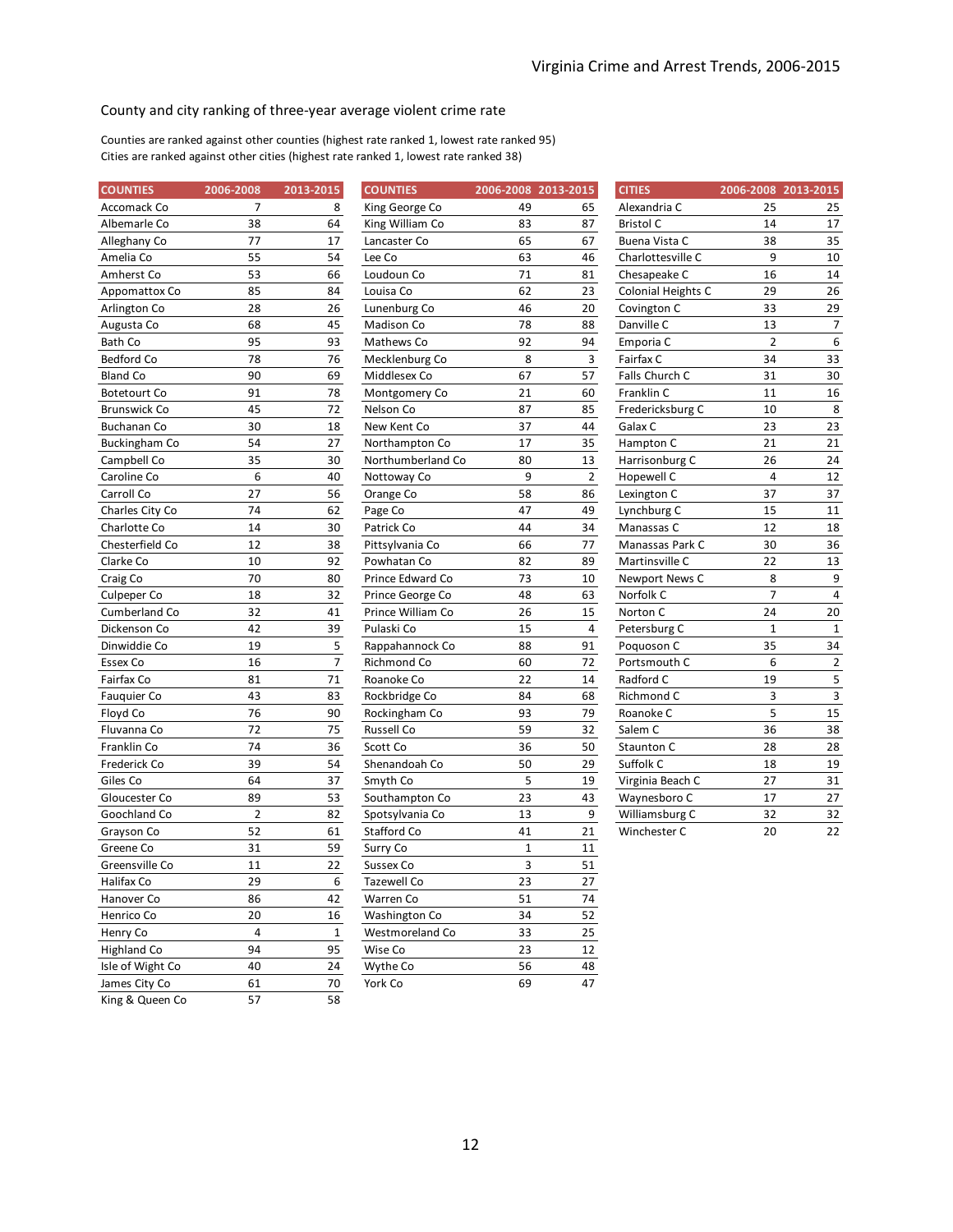#### County and city ranking of three-year average violent crime rate

| <b>COUNTIES</b>      | 2006-2008      | 2013-2015      | <b>COUNTIES</b>   | 2006-2008 2013-2015 |                | <b>CITIES</b>      | 2006-2008 2013-2015 |                |
|----------------------|----------------|----------------|-------------------|---------------------|----------------|--------------------|---------------------|----------------|
| Accomack Co          | 7              | 8              | King George Co    | 49                  | 65             | Alexandria C       | 25                  | 25             |
| Albemarle Co         | 38             | 64             | King William Co   | 83                  | 87             | <b>Bristol C</b>   | 14                  | 17             |
| Alleghany Co         | 77             | 17             | Lancaster Co      | 65                  | 67             | Buena Vista C      | 38                  | 35             |
| Amelia Co            | 55             | 54             | Lee Co            | 63                  | 46             | Charlottesville C  | 9                   | 10             |
| Amherst Co           | 53             | 66             | Loudoun Co        | 71                  | 81             | Chesapeake C       | 16                  | 14             |
| Appomattox Co        | 85             | 84             | Louisa Co         | 62                  | 23             | Colonial Heights C | 29                  | 26             |
| Arlington Co         | 28             | 26             | Lunenburg Co      | 46                  | 20             | Covington C        | 33                  | 29             |
| Augusta Co           | 68             | 45             | Madison Co        | 78                  | 88             | Danville C         | 13                  | $\overline{7}$ |
| Bath Co              | 95             | 93             | Mathews Co        | 92                  | 94             | Emporia C          | $\overline{2}$      | 6              |
| Bedford Co           | 78             | 76             | Mecklenburg Co    | 8                   | 3              | Fairfax C          | 34                  | 33             |
| <b>Bland Co</b>      | 90             | 69             | Middlesex Co      | 67                  | 57             | Falls Church C     | 31                  | 30             |
| <b>Botetourt Co</b>  | 91             | 78             | Montgomery Co     | 21                  | 60             | Franklin C         | 11                  | 16             |
| <b>Brunswick Co</b>  | 45             | 72             | Nelson Co         | 87                  | 85             | Fredericksburg C   | 10                  | 8              |
| <b>Buchanan Co</b>   | 30             | 18             | New Kent Co       | 37                  | 44             | Galax C            | 23                  | 23             |
| <b>Buckingham Co</b> | 54             | 27             | Northampton Co    | 17                  | 35             | Hampton C          | 21                  | 21             |
| Campbell Co          | 35             | 30             | Northumberland Co | 80                  | 13             | Harrisonburg C     | 26                  | 24             |
| Caroline Co          | 6              | 40             | Nottoway Co       | 9                   | $\overline{2}$ | Hopewell C         | 4                   | 12             |
| Carroll Co           | 27             | 56             | Orange Co         | 58                  | 86             | Lexington C        | 37                  | 37             |
| Charles City Co      | 74             | 62             | Page Co           | 47                  | 49             | Lynchburg C        | 15                  | 11             |
| Charlotte Co         | 14             | 30             | Patrick Co        | 44                  | 34             | Manassas C         | 12                  | 18             |
| Chesterfield Co      | 12             | 38             | Pittsylvania Co   | 66                  | 77             | Manassas Park C    | 30                  | 36             |
| Clarke Co            | 10             | 92             | Powhatan Co       | 82                  | 89             | Martinsville C     | 22                  | 13             |
| Craig Co             | 70             | 80             | Prince Edward Co  | 73                  | 10             | Newport News C     | 8                   | 9              |
| Culpeper Co          | 18             | 32             | Prince George Co  | 48                  | 63             | Norfolk C          | $\overline{7}$      | 4              |
| Cumberland Co        | 32             | 41             | Prince William Co | 26                  | 15             | Norton C           | 24                  | 20             |
| Dickenson Co         | 42             | 39             | Pulaski Co        | 15                  | 4              | Petersburg C       | 1                   | 1              |
| Dinwiddie Co         | 19             | 5              | Rappahannock Co   | 88                  | 91             | Poquoson C         | 35                  | 34             |
| Essex Co             | 16             | $\overline{7}$ | Richmond Co       | 60                  | 72             | Portsmouth C       | 6                   | $\overline{2}$ |
| Fairfax Co           | 81             | 71             | Roanoke Co        | 22                  | 14             | Radford C          | 19                  | 5              |
| Fauguier Co          | 43             | 83             | Rockbridge Co     | 84                  | 68             | Richmond C         | 3                   | $\overline{3}$ |
| Floyd Co             | 76             | 90             | Rockingham Co     | 93                  | 79             | Roanoke C          | 5                   | 15             |
| Fluvanna Co          | 72             | 75             | Russell Co        | 59                  | 32             | Salem C            | 36                  | 38             |
| Franklin Co          | 74             | 36             | Scott Co          | 36                  | 50             | Staunton C         | 28                  | 28             |
| Frederick Co         | 39             | 54             | Shenandoah Co     | 50                  | 29             | Suffolk C          | 18                  | 19             |
| Giles Co             | 64             | 37             | Smyth Co          | 5                   | 19             | Virginia Beach C   | 27                  | 31             |
| Gloucester Co        | 89             | 53             | Southampton Co    | 23                  | 43             | Waynesboro C       | 17                  | 27             |
| Goochland Co         | $\overline{2}$ | 82             | Spotsylvania Co   | 13                  | 9              | Williamsburg C     | 32                  | 32             |
| Grayson Co           | 52             | 61             | Stafford Co       | $41\,$              | $21\,$         | Winchester C       | $20\,$              | 22             |
| Greene Co            | 31             | 59             | Surry Co          | 1                   | 11             |                    |                     |                |
| Greensville Co       | 11             | 22             | Sussex Co         | 3                   | 51             |                    |                     |                |
| Halifax Co           | 29             | 6              | Tazewell Co       | 23                  | 27             |                    |                     |                |
| Hanover Co           | 86             | 42             | Warren Co         | 51                  | 74             |                    |                     |                |
| Henrico Co           | 20             | 16             | Washington Co     | 34                  | 52             |                    |                     |                |
| Henry Co             | 4              | $\mathbf{1}$   | Westmoreland Co   | 33                  | 25             |                    |                     |                |
| Highland Co          | 94             | 95             | Wise Co           | 23                  | 12             |                    |                     |                |
| Isle of Wight Co     | 40             | 24             | Wythe Co          | 56                  | 48             |                    |                     |                |
| James City Co        | 61             | 70             | York Co           | 69                  | 47             |                    |                     |                |
| King & Queen Co      | 57             | 58             |                   |                     |                |                    |                     |                |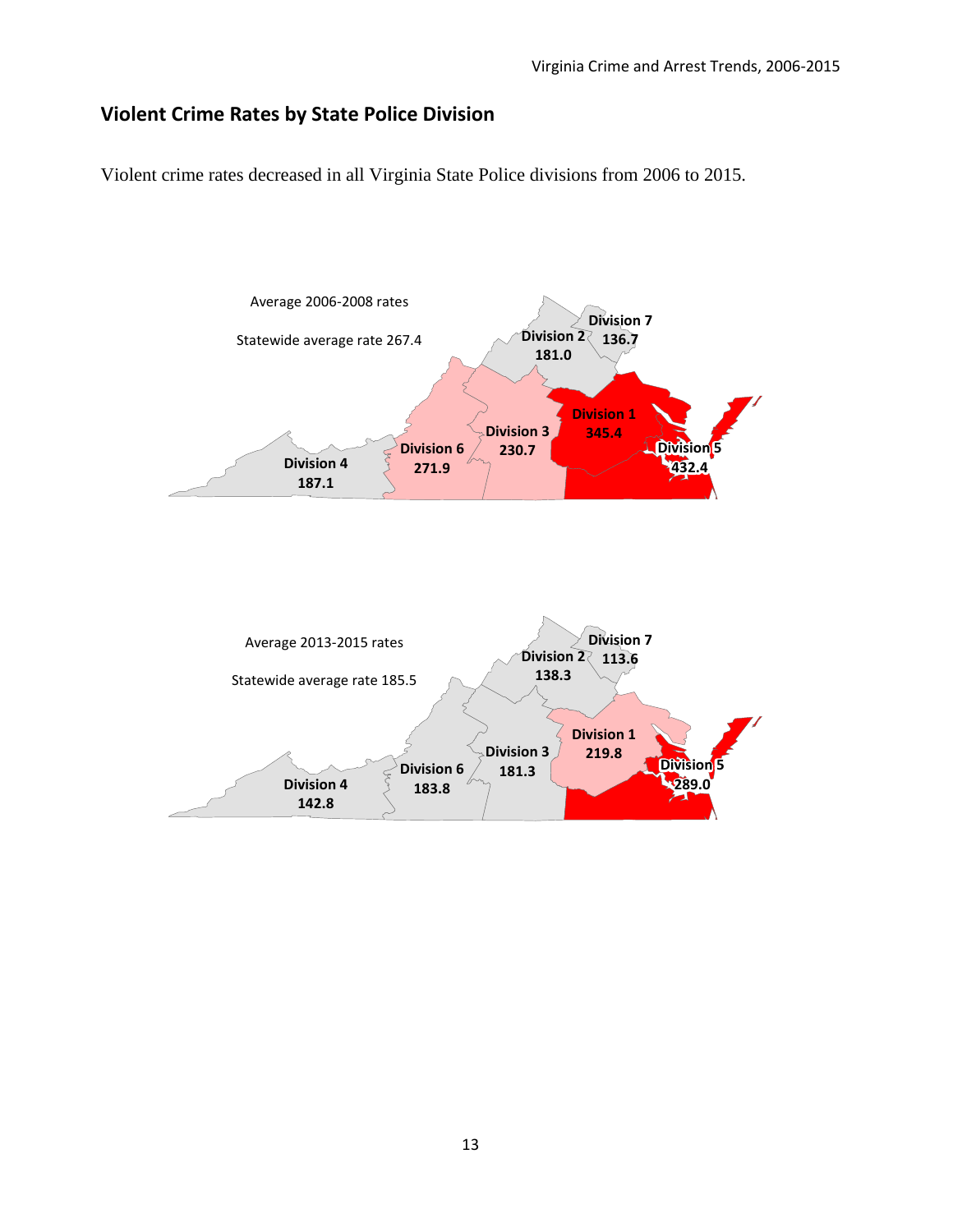## **Violent Crime Rates by State Police Division**

Violent crime rates decreased in all Virginia State Police divisions from 2006 to 2015.



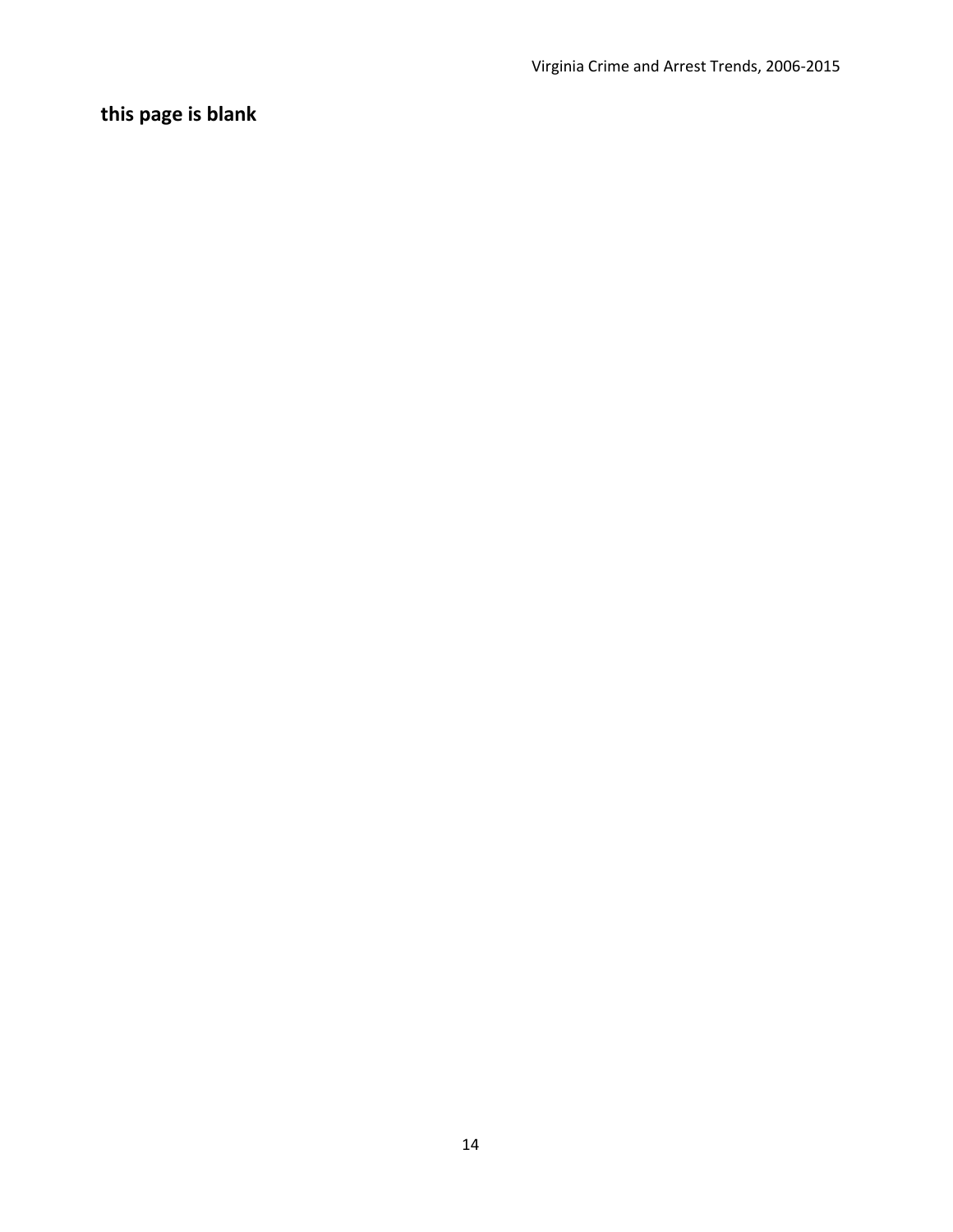## **this page is blank**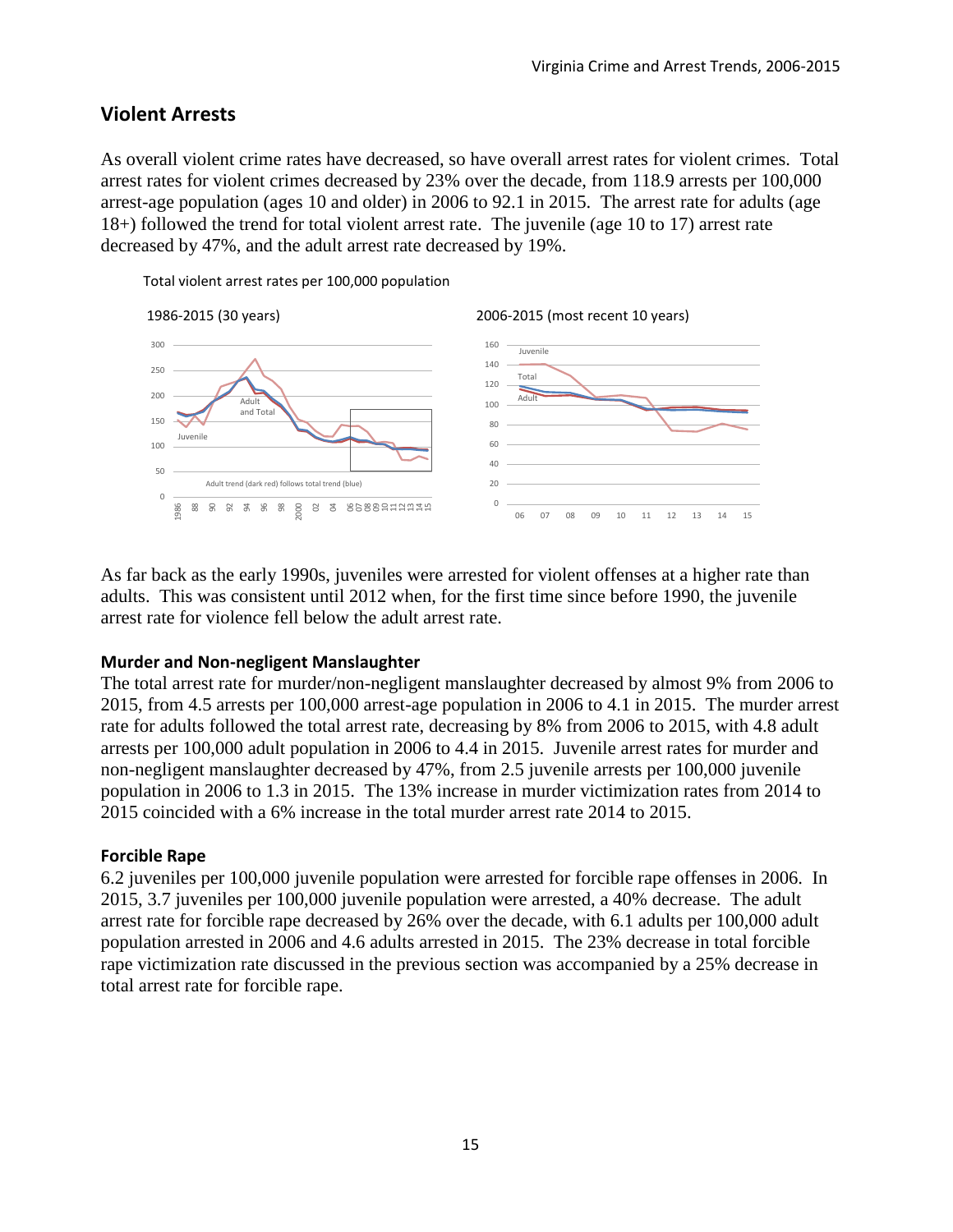## **Violent Arrests**

As overall violent crime rates have decreased, so have overall arrest rates for violent crimes. Total arrest rates for violent crimes decreased by 23% over the decade, from 118.9 arrests per 100,000 arrest-age population (ages 10 and older) in 2006 to 92.1 in 2015. The arrest rate for adults (age 18+) followed the trend for total violent arrest rate. The juvenile (age 10 to 17) arrest rate decreased by 47%, and the adult arrest rate decreased by 19%.



Total violent arrest rates per 100,000 population

As far back as the early 1990s, juveniles were arrested for violent offenses at a higher rate than adults. This was consistent until 2012 when, for the first time since before 1990, the juvenile arrest rate for violence fell below the adult arrest rate.

### **Murder and Non-negligent Manslaughter**

The total arrest rate for murder/non-negligent manslaughter decreased by almost 9% from 2006 to 2015, from 4.5 arrests per 100,000 arrest-age population in 2006 to 4.1 in 2015. The murder arrest rate for adults followed the total arrest rate, decreasing by 8% from 2006 to 2015, with 4.8 adult arrests per 100,000 adult population in 2006 to 4.4 in 2015. Juvenile arrest rates for murder and non-negligent manslaughter decreased by 47%, from 2.5 juvenile arrests per 100,000 juvenile population in 2006 to 1.3 in 2015. The 13% increase in murder victimization rates from 2014 to 2015 coincided with a 6% increase in the total murder arrest rate 2014 to 2015.

### **Forcible Rape**

6.2 juveniles per 100,000 juvenile population were arrested for forcible rape offenses in 2006. In 2015, 3.7 juveniles per 100,000 juvenile population were arrested, a 40% decrease. The adult arrest rate for forcible rape decreased by 26% over the decade, with 6.1 adults per 100,000 adult population arrested in 2006 and 4.6 adults arrested in 2015. The 23% decrease in total forcible rape victimization rate discussed in the previous section was accompanied by a 25% decrease in total arrest rate for forcible rape.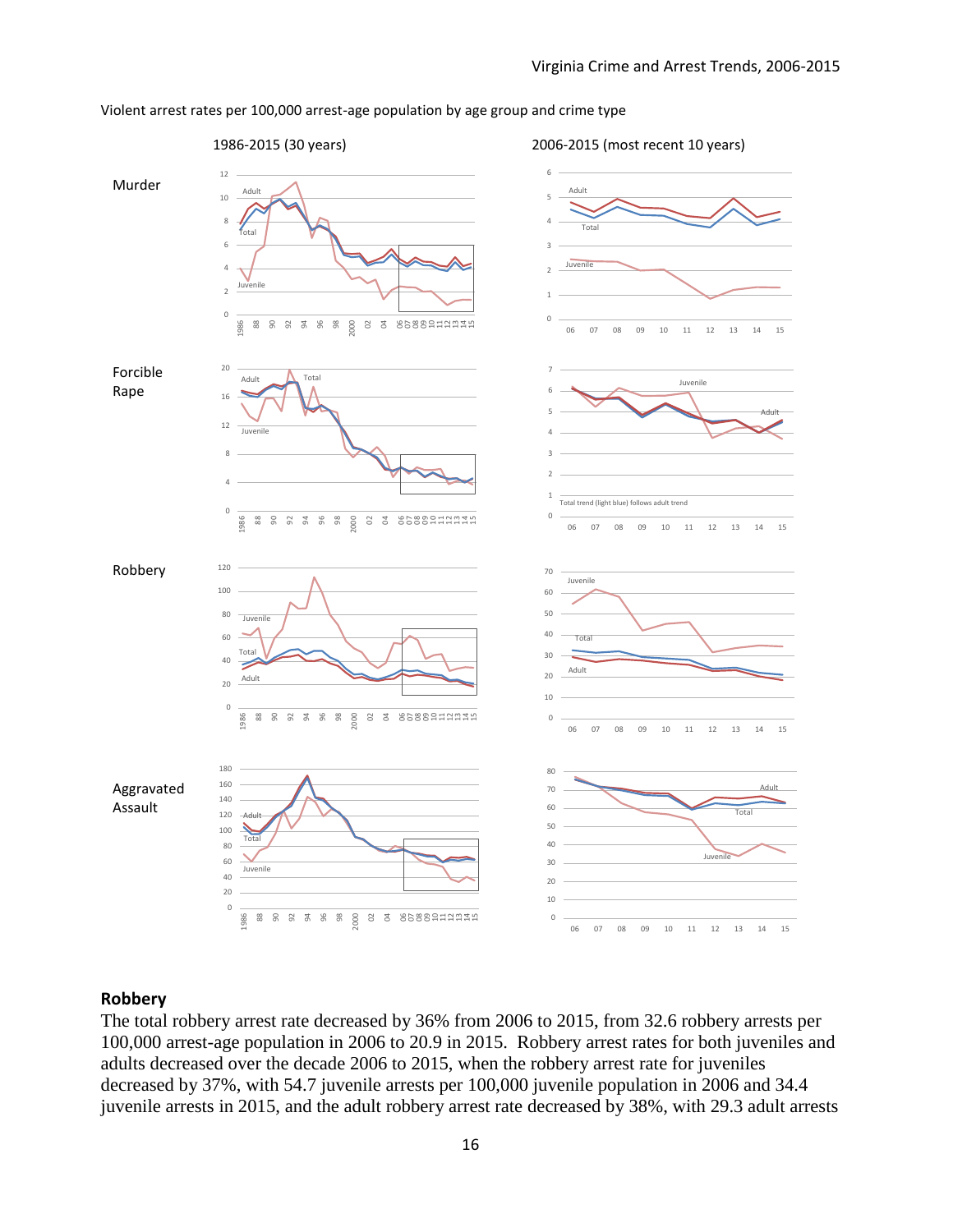Violent arrest rates per 100,000 arrest-age population by age group and crime type



#### **Robbery**

The total robbery arrest rate decreased by 36% from 2006 to 2015, from 32.6 robbery arrests per 100,000 arrest-age population in 2006 to 20.9 in 2015. Robbery arrest rates for both juveniles and adults decreased over the decade 2006 to 2015, when the robbery arrest rate for juveniles decreased by 37%, with 54.7 juvenile arrests per 100,000 juvenile population in 2006 and 34.4 juvenile arrests in 2015, and the adult robbery arrest rate decreased by 38%, with 29.3 adult arrests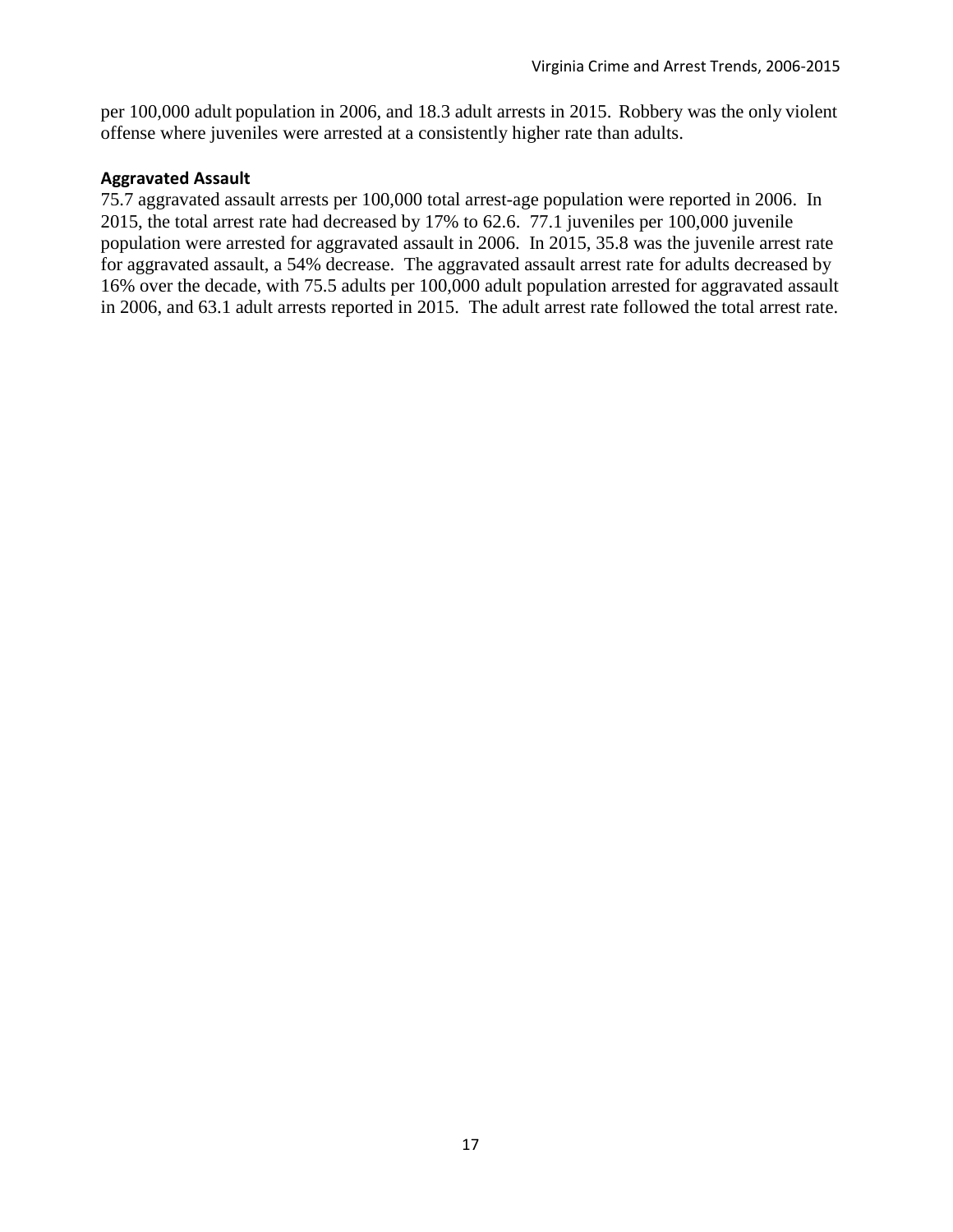per 100,000 adult population in 2006, and 18.3 adult arrests in 2015. Robbery was the only violent offense where juveniles were arrested at a consistently higher rate than adults.

## **Aggravated Assault**

75.7 aggravated assault arrests per 100,000 total arrest-age population were reported in 2006. In 2015, the total arrest rate had decreased by 17% to 62.6. 77.1 juveniles per 100,000 juvenile population were arrested for aggravated assault in 2006. In 2015, 35.8 was the juvenile arrest rate for aggravated assault, a 54% decrease. The aggravated assault arrest rate for adults decreased by 16% over the decade, with 75.5 adults per 100,000 adult population arrested for aggravated assault in 2006, and 63.1 adult arrests reported in 2015. The adult arrest rate followed the total arrest rate.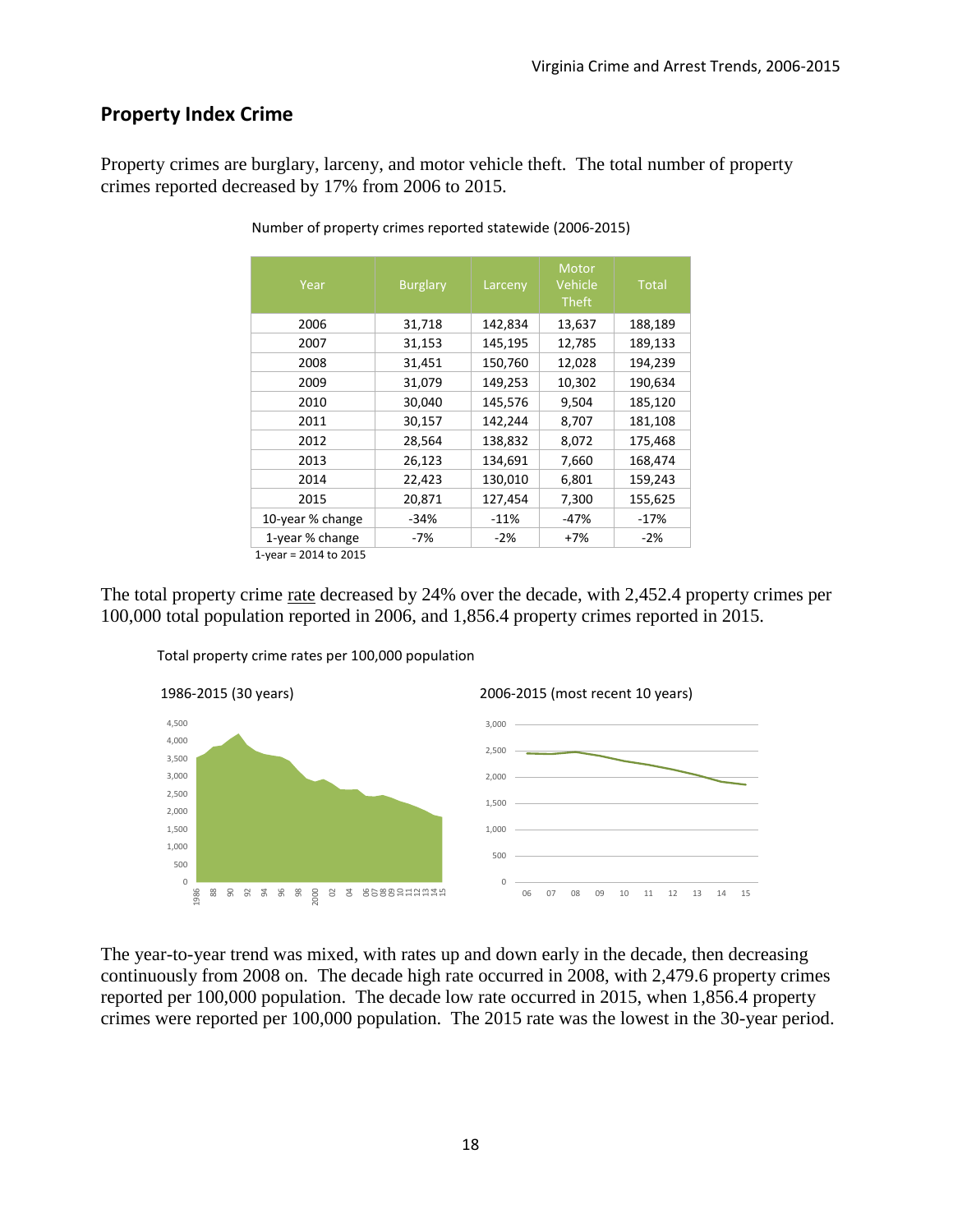## **Property Index Crime**

Property crimes are burglary, larceny, and motor vehicle theft. The total number of property crimes reported decreased by 17% from 2006 to 2015.

| Year                   | <b>Burglary</b> | Larceny | Motor<br>Vehicle<br><b>Theft</b> | <b>Total</b> |
|------------------------|-----------------|---------|----------------------------------|--------------|
| 2006                   | 31,718          | 142,834 | 13,637                           | 188,189      |
| 2007                   | 31,153          | 145,195 | 12,785                           | 189,133      |
| 2008                   | 31,451          | 150,760 | 12,028                           | 194,239      |
| 2009                   | 31,079          | 149,253 | 10,302                           | 190,634      |
| 2010                   | 30,040          | 145,576 | 9,504                            | 185,120      |
| 2011                   | 30,157          | 142,244 | 8,707                            | 181,108      |
| 2012                   | 28,564          | 138,832 | 8,072                            | 175,468      |
| 2013                   | 26,123          | 134,691 | 7,660                            | 168,474      |
| 2014                   | 22,423          | 130,010 | 6,801                            | 159,243      |
| 2015                   | 20,871          | 127,454 | 7,300                            | 155,625      |
| 10-year % change       | $-34%$          | $-11%$  | $-47%$                           | $-17%$       |
| 1-year % change        | -7%             | $-2%$   | +7%                              | $-2%$        |
| $1.102r - 2014 + 2015$ |                 |         |                                  |              |

Number of property crimes reported statewide (2006-2015)

1-year = 2014 to 2015

The total property crime rate decreased by 24% over the decade, with 2,452.4 property crimes per 100,000 total population reported in 2006, and 1,856.4 property crimes reported in 2015.



Total property crime rates per 100,000 population

The year-to-year trend was mixed, with rates up and down early in the decade, then decreasing continuously from 2008 on. The decade high rate occurred in 2008, with 2,479.6 property crimes reported per 100,000 population. The decade low rate occurred in 2015, when 1,856.4 property crimes were reported per 100,000 population. The 2015 rate was the lowest in the 30-year period.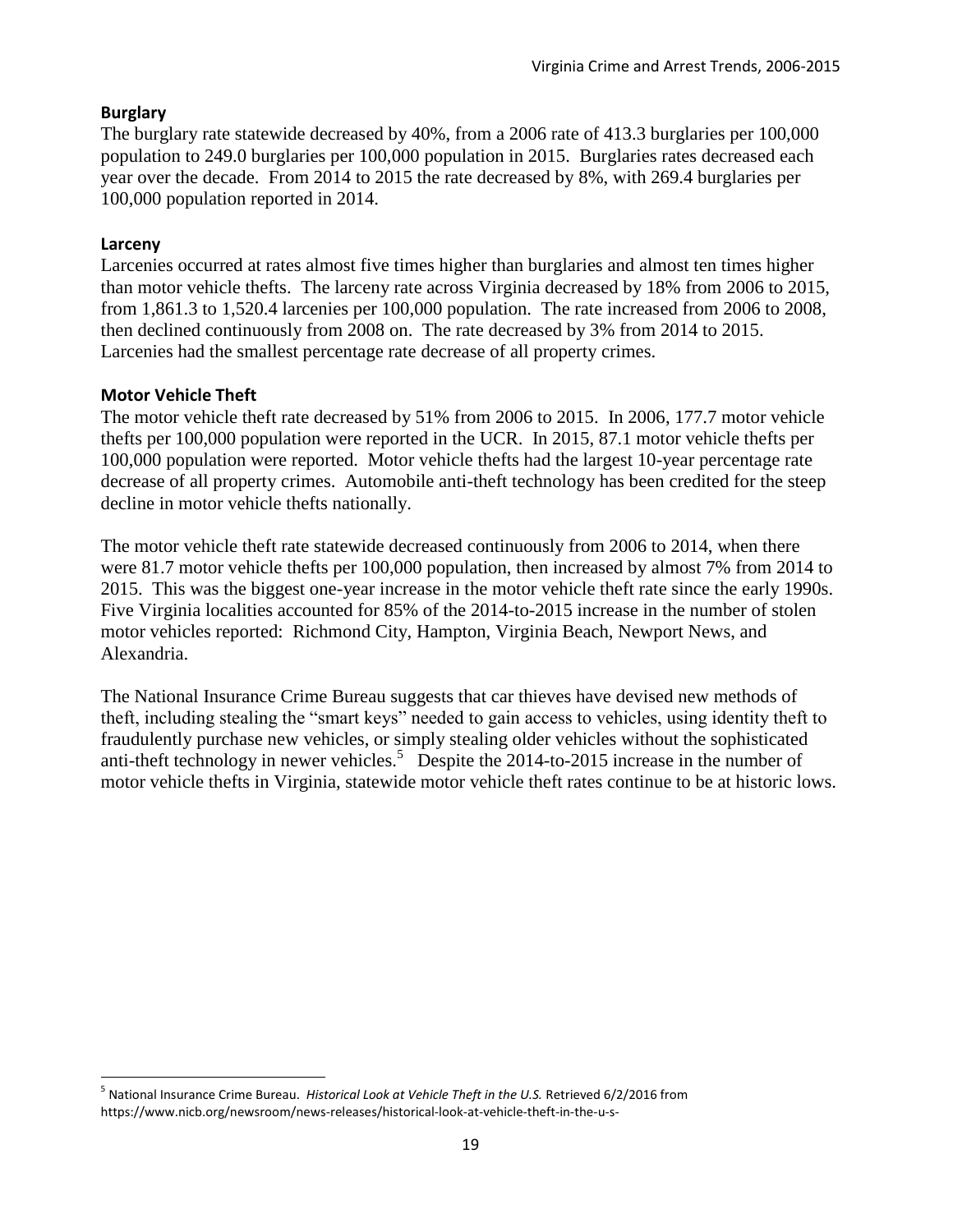## **Burglary**

The burglary rate statewide decreased by 40%, from a 2006 rate of 413.3 burglaries per 100,000 population to 249.0 burglaries per 100,000 population in 2015. Burglaries rates decreased each year over the decade. From 2014 to 2015 the rate decreased by 8%, with 269.4 burglaries per 100,000 population reported in 2014.

## **Larceny**

Larcenies occurred at rates almost five times higher than burglaries and almost ten times higher than motor vehicle thefts. The larceny rate across Virginia decreased by 18% from 2006 to 2015, from 1,861.3 to 1,520.4 larcenies per 100,000 population. The rate increased from 2006 to 2008, then declined continuously from 2008 on. The rate decreased by 3% from 2014 to 2015. Larcenies had the smallest percentage rate decrease of all property crimes.

## **Motor Vehicle Theft**

The motor vehicle theft rate decreased by 51% from 2006 to 2015. In 2006, 177.7 motor vehicle thefts per 100,000 population were reported in the UCR. In 2015, 87.1 motor vehicle thefts per 100,000 population were reported. Motor vehicle thefts had the largest 10-year percentage rate decrease of all property crimes. Automobile anti-theft technology has been credited for the steep decline in motor vehicle thefts nationally.

The motor vehicle theft rate statewide decreased continuously from 2006 to 2014, when there were 81.7 motor vehicle thefts per 100,000 population, then increased by almost 7% from 2014 to 2015. This was the biggest one-year increase in the motor vehicle theft rate since the early 1990s. Five Virginia localities accounted for 85% of the 2014-to-2015 increase in the number of stolen motor vehicles reported: Richmond City, Hampton, Virginia Beach, Newport News, and Alexandria.

The National Insurance Crime Bureau suggests that car thieves have devised new methods of theft, including stealing the "smart keys" needed to gain access to vehicles, using identity theft to fraudulently purchase new vehicles, or simply stealing older vehicles without the sophisticated anti-theft technology in newer vehicles.<sup>5</sup> Despite the 2014-to-2015 increase in the number of motor vehicle thefts in Virginia, statewide motor vehicle theft rates continue to be at historic lows.

 $\overline{a}$ <sup>5</sup> National Insurance Crime Bureau. *Historical Look at Vehicle Theft in the U.S.* Retrieved 6/2/2016 from https://www.nicb.org/newsroom/news-releases/historical-look-at-vehicle-theft-in-the-u-s-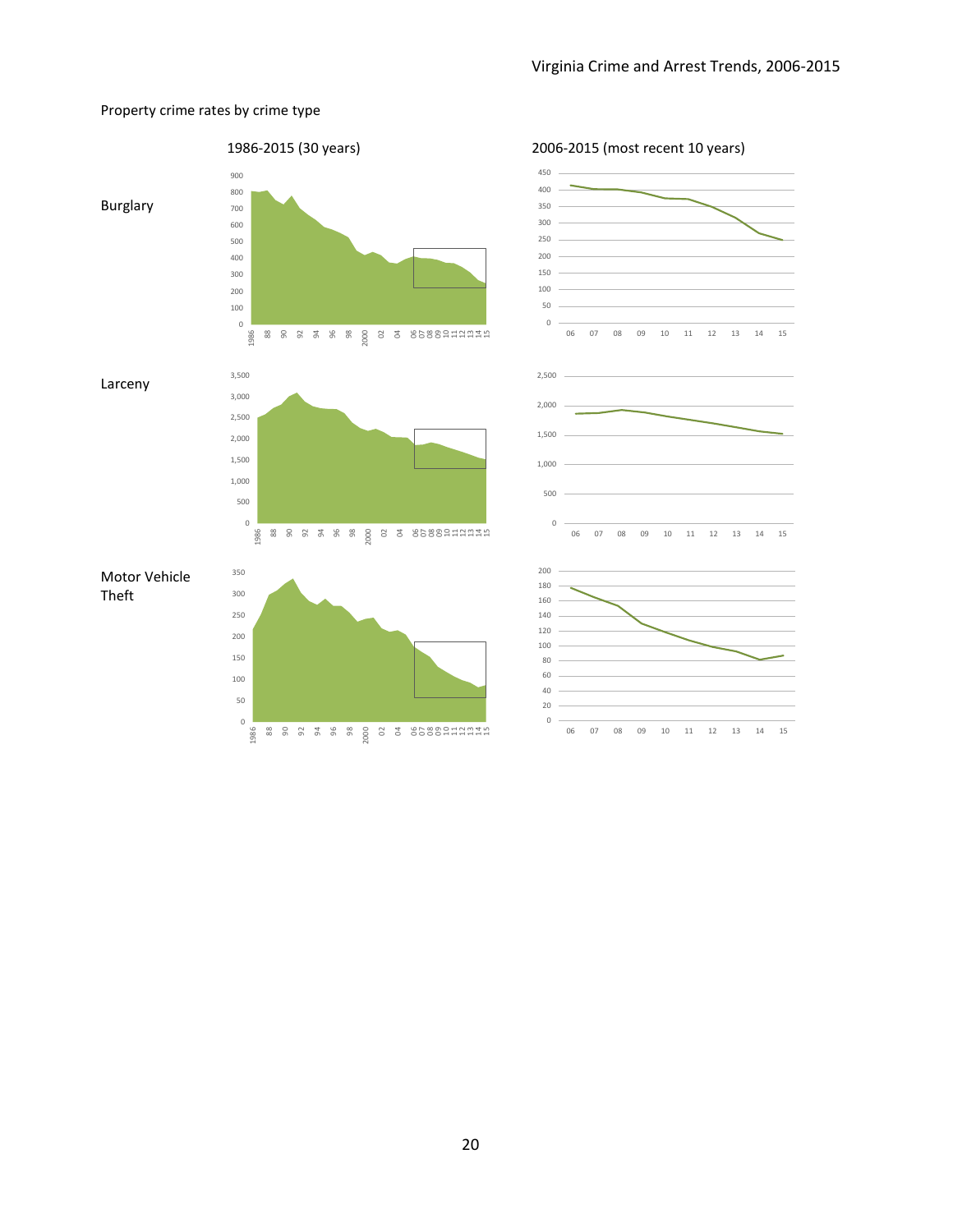#### Property crime rates by crime type

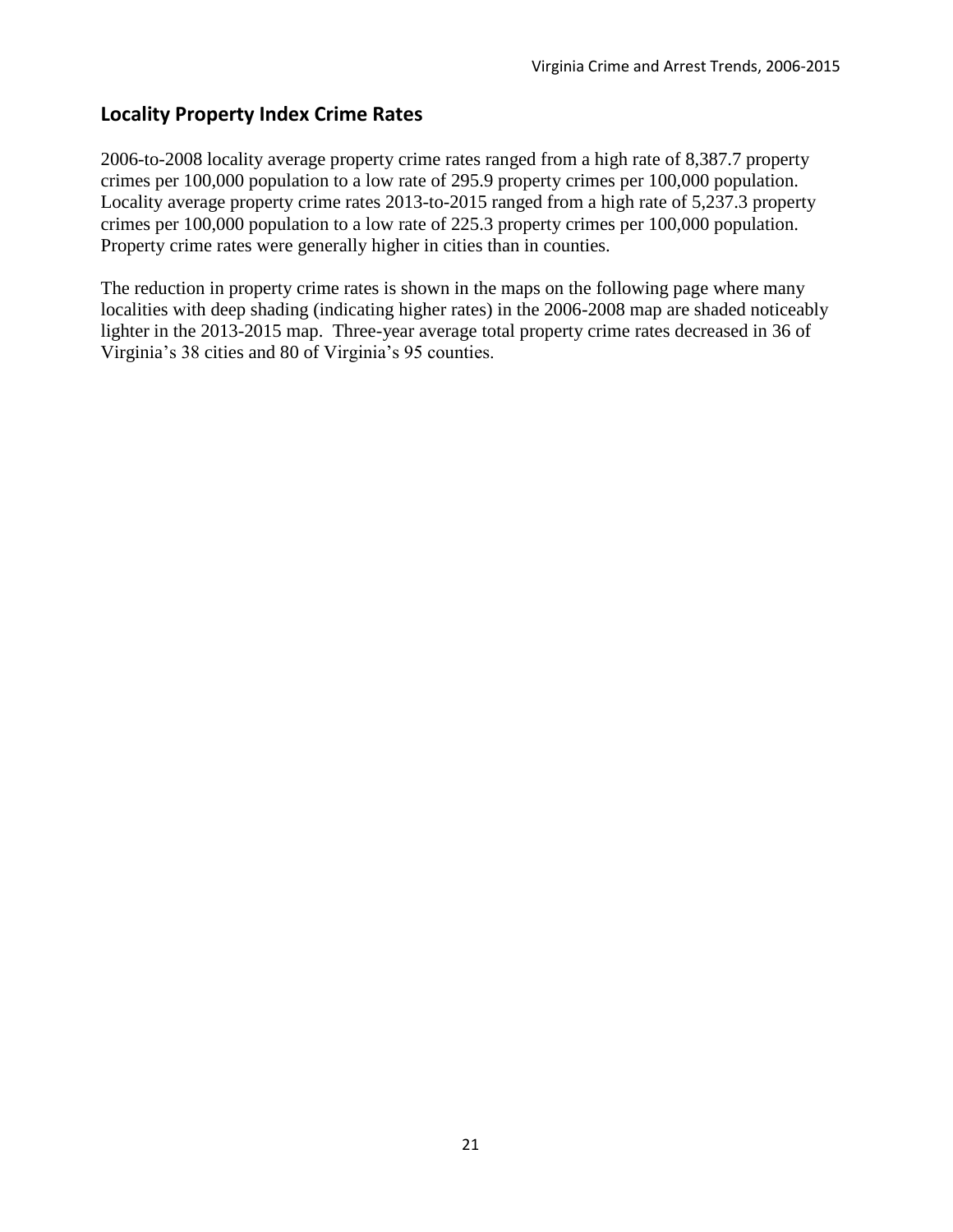## **Locality Property Index Crime Rates**

2006-to-2008 locality average property crime rates ranged from a high rate of 8,387.7 property crimes per 100,000 population to a low rate of 295.9 property crimes per 100,000 population. Locality average property crime rates 2013-to-2015 ranged from a high rate of 5,237.3 property crimes per 100,000 population to a low rate of 225.3 property crimes per 100,000 population. Property crime rates were generally higher in cities than in counties.

The reduction in property crime rates is shown in the maps on the following page where many localities with deep shading (indicating higher rates) in the 2006-2008 map are shaded noticeably lighter in the 2013-2015 map. Three-year average total property crime rates decreased in 36 of Virginia's 38 cities and 80 of Virginia's 95 counties.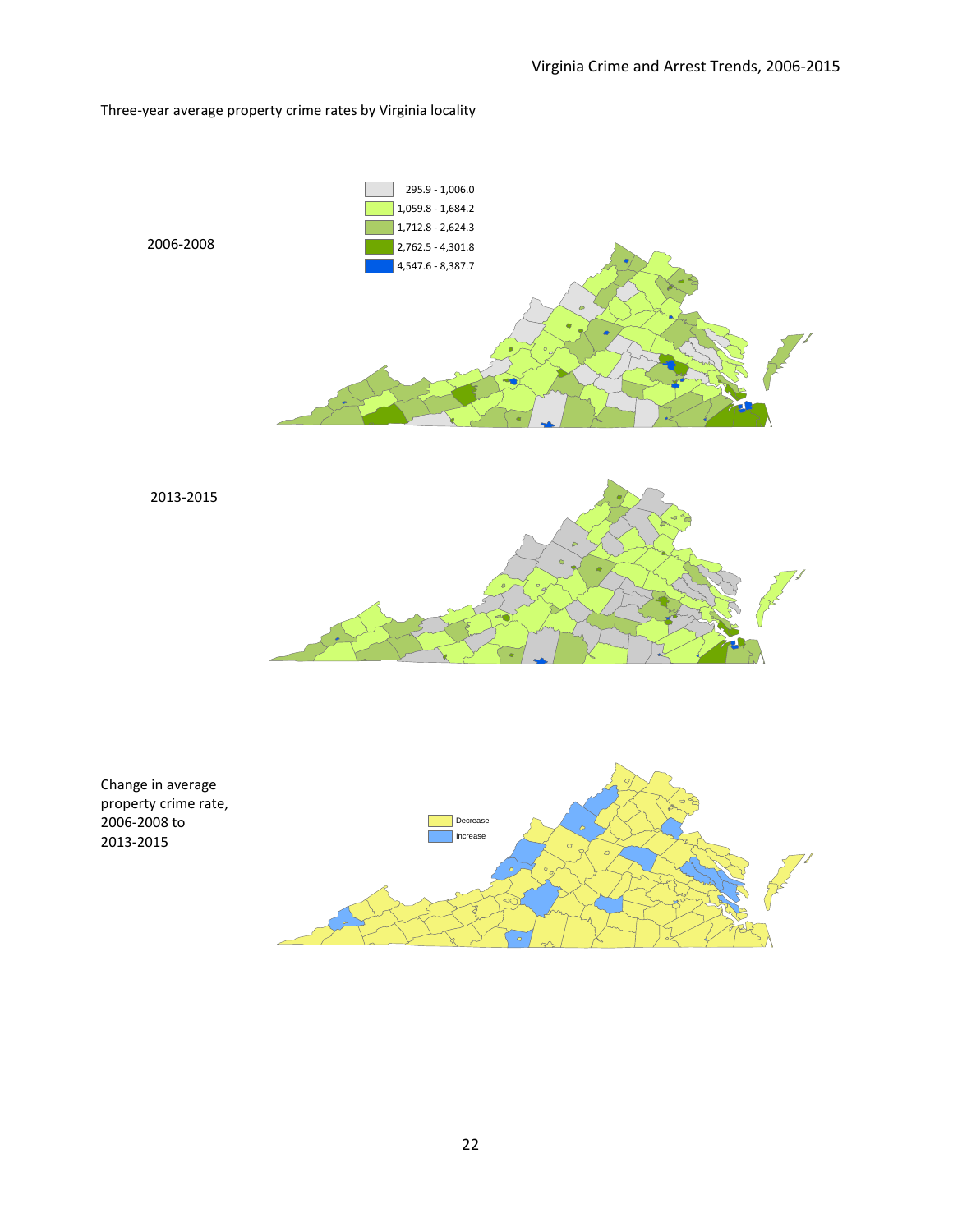Three-year average property crime rates by Virginia locality

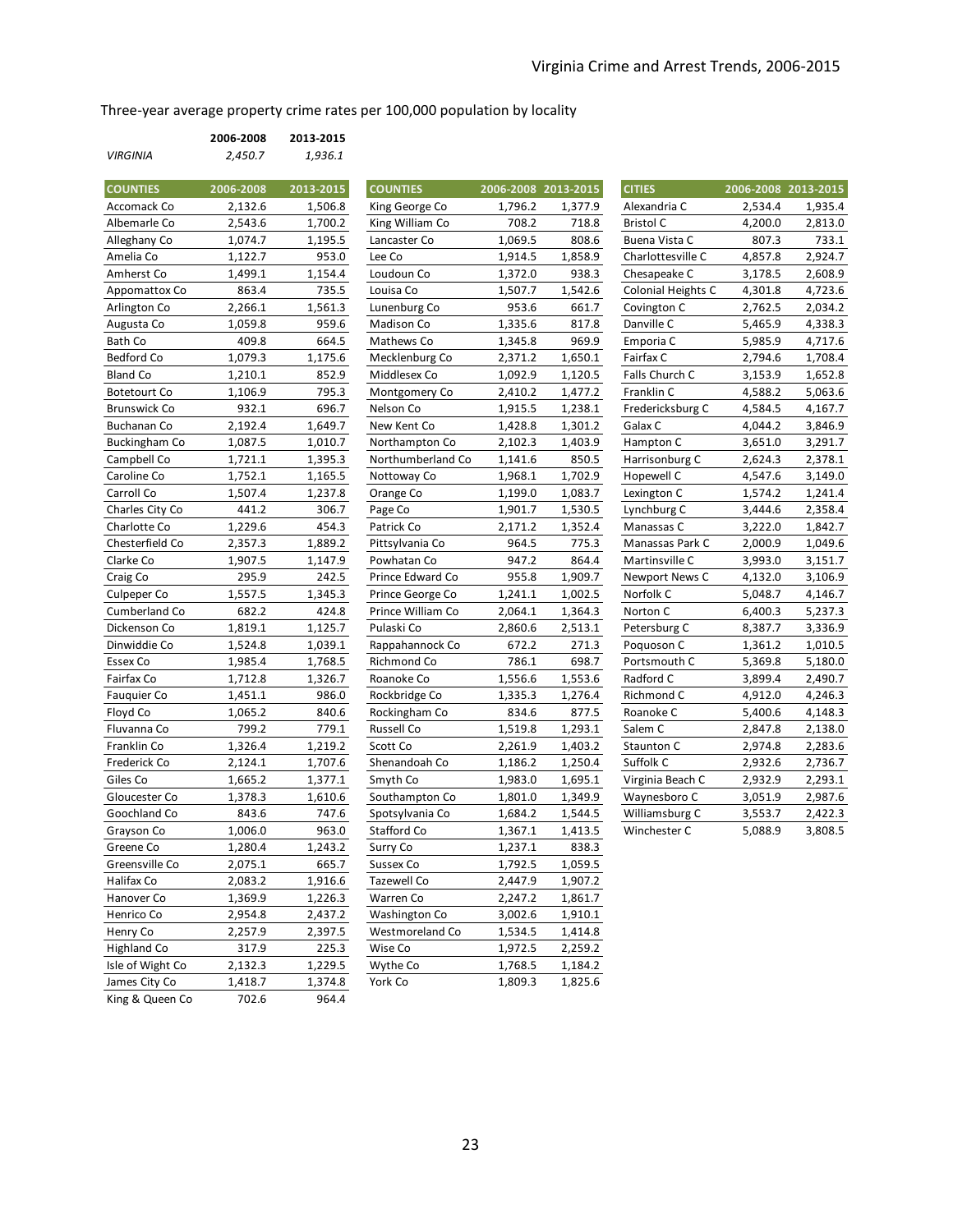Three-year average property crime rates per 100,000 population by locality

|                     | 2006-2008 | 2013 2015 |                   |         |                     |                    |                     |         |
|---------------------|-----------|-----------|-------------------|---------|---------------------|--------------------|---------------------|---------|
| <b>VIRGINIA</b>     | 2,450.7   | 1,936.1   |                   |         |                     |                    |                     |         |
| <b>COUNTIES</b>     | 2006-2008 | 2013-2015 | <b>COUNTIES</b>   |         | 2006-2008 2013-2015 | <b>CITIES</b>      | 2006-2008 2013-2015 |         |
| Accomack Co         | 2,132.6   | 1,506.8   | King George Co    | 1,796.2 | 1,377.9             | Alexandria C       | 2,534.4             | 1,935.4 |
| Albemarle Co        | 2,543.6   | 1,700.2   | King William Co   | 708.2   | 718.8               | <b>Bristol C</b>   | 4,200.0             | 2,813.0 |
| Alleghany Co        | 1,074.7   | 1,195.5   | Lancaster Co      | 1,069.5 | 808.6               | Buena Vista C      | 807.3               | 733.1   |
| Amelia Co           | 1,122.7   | 953.0     | Lee Co            | 1,914.5 | 1,858.9             | Charlottesville C  | 4,857.8             | 2,924.7 |
| Amherst Co          | 1,499.1   | 1,154.4   | Loudoun Co        | 1,372.0 | 938.3               | Chesapeake C       | 3,178.5             | 2,608.9 |
| Appomattox Co       | 863.4     | 735.5     | Louisa Co         | 1,507.7 | 1,542.6             | Colonial Heights C | 4,301.8             | 4,723.6 |
| Arlington Co        | 2,266.1   | 1,561.3   | Lunenburg Co      | 953.6   | 661.7               | Covington C        | 2,762.5             | 2,034.2 |
| Augusta Co          | 1,059.8   | 959.6     | Madison Co        | 1,335.6 | 817.8               | Danville C         | 5,465.9             | 4,338.3 |
| Bath Co             | 409.8     | 664.5     | Mathews Co        | 1,345.8 | 969.9               | Emporia C          | 5,985.9             | 4,717.6 |
| <b>Bedford Co</b>   | 1,079.3   | 1,175.6   | Mecklenburg Co    | 2,371.2 | 1,650.1             | Fairfax C          | 2,794.6             | 1,708.4 |
| <b>Bland Co</b>     | 1,210.1   | 852.9     | Middlesex Co      | 1,092.9 | 1,120.5             | Falls Church C     | 3,153.9             | 1,652.8 |
| <b>Botetourt Co</b> | 1,106.9   | 795.3     | Montgomery Co     | 2,410.2 | 1,477.2             | Franklin C         | 4,588.2             | 5,063.6 |
| <b>Brunswick Co</b> | 932.1     | 696.7     | Nelson Co         | 1,915.5 | 1,238.1             | Fredericksburg C   | 4,584.5             | 4,167.7 |
| <b>Buchanan Co</b>  | 2,192.4   | 1,649.7   | New Kent Co       | 1,428.8 | 1,301.2             | Galax C            | 4,044.2             | 3,846.9 |
| Buckingham Co       | 1,087.5   | 1,010.7   | Northampton Co    | 2,102.3 | 1,403.9             | Hampton C          | 3,651.0             | 3,291.7 |
| Campbell Co         | 1,721.1   | 1,395.3   | Northumberland Co | 1,141.6 | 850.5               | Harrisonburg C     | 2,624.3             | 2,378.1 |
| Caroline Co         | 1,752.1   | 1,165.5   | Nottoway Co       | 1,968.1 | 1,702.9             | Hopewell C         | 4,547.6             | 3,149.0 |
| Carroll Co          | 1,507.4   | 1,237.8   | Orange Co         | 1,199.0 | 1,083.7             | Lexington C        | 1,574.2             | 1,241.4 |
| Charles City Co     | 441.2     | 306.7     | Page Co           | 1,901.7 | 1,530.5             | Lynchburg C        | 3,444.6             | 2,358.4 |
| Charlotte Co        | 1,229.6   | 454.3     | Patrick Co        | 2,171.2 | 1,352.4             | Manassas C         | 3,222.0             | 1,842.7 |
| Chesterfield Co     | 2,357.3   | 1,889.2   | Pittsylvania Co   | 964.5   | 775.3               | Manassas Park C    | 2,000.9             | 1,049.6 |
| Clarke Co           | 1,907.5   | 1,147.9   | Powhatan Co       | 947.2   | 864.4               | Martinsville C     | 3,993.0             | 3,151.7 |
| Craig Co            | 295.9     | 242.5     | Prince Edward Co  | 955.8   | 1,909.7             | Newport News C     | 4,132.0             | 3,106.9 |
| Culpeper Co         | 1,557.5   | 1,345.3   | Prince George Co  | 1,241.1 | 1,002.5             | Norfolk C          | 5,048.7             | 4,146.7 |
| Cumberland Co       | 682.2     | 424.8     | Prince William Co | 2,064.1 | 1,364.3             | Norton C           | 6,400.3             | 5,237.3 |
| Dickenson Co        | 1,819.1   | 1,125.7   | Pulaski Co        | 2,860.6 | 2,513.1             | Petersburg C       | 8,387.7             | 3,336.9 |
| Dinwiddie Co        | 1,524.8   | 1,039.1   | Rappahannock Co   | 672.2   | 271.3               | Poquoson C         | 1,361.2             | 1,010.5 |
| Essex Co            | 1,985.4   | 1,768.5   | Richmond Co       | 786.1   | 698.7               | Portsmouth C       | 5,369.8             | 5,180.0 |
| Fairfax Co          | 1,712.8   | 1,326.7   | Roanoke Co        | 1,556.6 | 1,553.6             | Radford C          | 3,899.4             | 2,490.7 |
| Fauguier Co         | 1,451.1   | 986.0     | Rockbridge Co     | 1,335.3 | 1,276.4             | Richmond C         | 4,912.0             | 4,246.3 |
| Floyd Co            | 1,065.2   | 840.6     | Rockingham Co     | 834.6   | 877.5               | Roanoke C          | 5,400.6             | 4,148.3 |
| Fluvanna Co         | 799.2     | 779.1     | Russell Co        | 1,519.8 | 1,293.1             | Salem C            | 2,847.8             | 2,138.0 |
| Franklin Co         | 1,326.4   | 1,219.2   | Scott Co          | 2,261.9 | 1,403.2             | Staunton C         | 2,974.8             | 2,283.6 |
| Frederick Co        | 2,124.1   | 1,707.6   | Shenandoah Co     | 1,186.2 | 1,250.4             | Suffolk C          | 2,932.6             | 2,736.7 |
| Giles Co            | 1,665.2   | 1,377.1   | Smyth Co          | 1,983.0 | 1,695.1             | Virginia Beach C   | 2,932.9             | 2,293.1 |
| Gloucester Co       | 1,378.3   | 1,610.6   | Southampton Co    | 1,801.0 | 1,349.9             | Waynesboro C       | 3,051.9             | 2,987.6 |
| Goochland Co        | 843.6     | 747.6     | Spotsylvania Co   | 1,684.2 | 1,544.5             | Williamsburg C     | 3,553.7             | 2,422.3 |
| Grayson Co          | 1,006.0   | 963.0     | Stafford Co       | 1,367.1 | 1,413.5             | Winchester C       | 5,088.9             | 3,808.5 |
| Greene Co           | 1,280.4   | 1,243.2   | Surry Co          | 1,237.1 | 838.3               |                    |                     |         |
| Greensville Co      | 2,075.1   | 665.7     | Sussex Co         | 1,792.5 | 1,059.5             |                    |                     |         |
| Halifax Co          | 2,083.2   | 1,916.6   | Tazewell Co       | 2,447.9 | 1,907.2             |                    |                     |         |
| Hanover Co          | 1,369.9   | 1,226.3   | Warren Co         | 2,247.2 | 1,861.7             |                    |                     |         |
| Henrico Co          | 2,954.8   | 2,437.2   | Washington Co     | 3,002.6 | 1,910.1             |                    |                     |         |
| Henry Co            | 2,257.9   | 2,397.5   | Westmoreland Co   | 1,534.5 | 1,414.8             |                    |                     |         |
| Highland Co         | 317.9     | 225.3     | Wise Co           | 1,972.5 | 2,259.2             |                    |                     |         |
| Isle of Wight Co    | 2,132.3   | 1,229.5   | Wythe Co          | 1,768.5 | 1,184.2             |                    |                     |         |
| James City Co       | 1,418.7   | 1,374.8   | York Co           | 1,809.3 | 1,825.6             |                    |                     |         |

King & Queen Co 702.6 964.4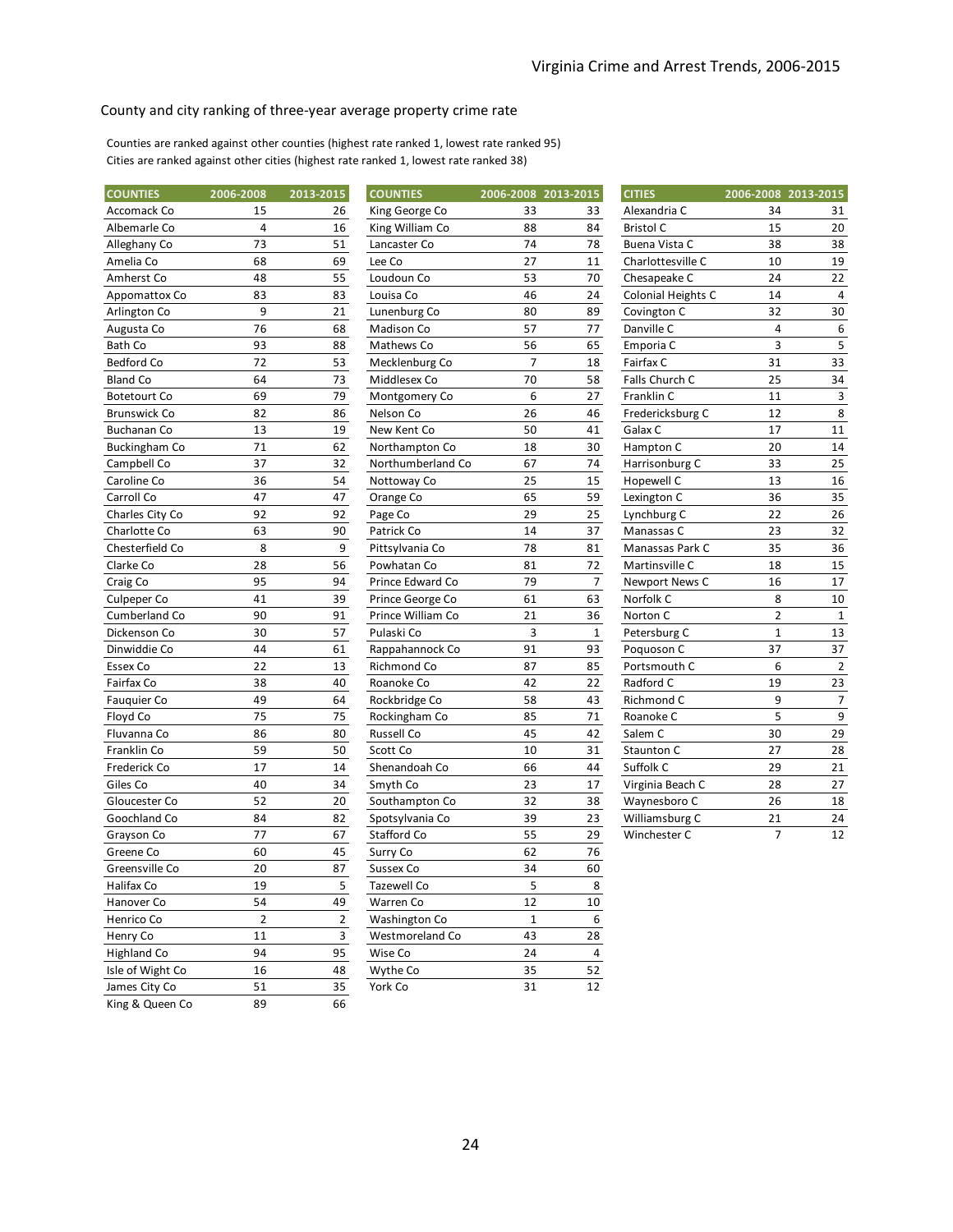#### County and city ranking of three-year average property crime rate

|                     | <b>COUNTIES</b><br>2006-2008<br>2013-2015 |                | <b>COUNTIES</b>   | 2006-2008 2013-2015 |                | <b>CITIES</b>      | 2006-2008 2013-2015 |                |  |
|---------------------|-------------------------------------------|----------------|-------------------|---------------------|----------------|--------------------|---------------------|----------------|--|
| Accomack Co         | 15                                        | 26             | King George Co    | 33                  | 33             | Alexandria C       | 34                  | 31             |  |
| Albemarle Co        | $\overline{4}$                            | 16             | King William Co   | 88                  | 84             | <b>Bristol C</b>   | 15                  | 20             |  |
| Alleghany Co        | 73                                        | 51             | Lancaster Co      | 74                  | 78             | Buena Vista C      | 38                  | 38             |  |
| Amelia Co           | 68                                        | 69             | Lee Co            | 27                  | 11             | Charlottesville C  | 10                  | 19             |  |
| Amherst Co          | 48                                        | 55             | Loudoun Co        | 53                  | 70             | Chesapeake C       | 24                  | 22             |  |
| Appomattox Co       | 83                                        | 83             | Louisa Co         | 46                  | 24             | Colonial Heights C | 14                  | $\overline{4}$ |  |
| Arlington Co        | 9                                         | 21             | Lunenburg Co      | 80                  | 89             | Covington C        | 32                  | 30             |  |
| Augusta Co          | 76                                        | 68             | Madison Co        | 57                  | 77             | Danville C         | $\overline{4}$      | 6              |  |
| Bath Co             | 93                                        | 88             | Mathews Co        | 56                  | 65             | Emporia C          | 3                   | 5              |  |
| Bedford Co          | 72                                        | 53             | Mecklenburg Co    | $\overline{7}$      | 18             | Fairfax C          | 31                  | 33             |  |
| <b>Bland Co</b>     | 64                                        | 73             | Middlesex Co      | 70                  | 58             | Falls Church C     | 25                  | 34             |  |
| <b>Botetourt Co</b> | 69                                        | 79             | Montgomery Co     | 6                   | 27             | Franklin C         | 11                  | 3              |  |
| <b>Brunswick Co</b> | 82                                        | 86             | Nelson Co         | 26                  | 46             | Fredericksburg C   | 12                  | 8              |  |
| Buchanan Co         | 13                                        | 19             | New Kent Co       | 50                  | 41             | Galax C            | 17                  | 11             |  |
| Buckingham Co       | 71                                        | 62             | Northampton Co    | 18                  | 30             | Hampton C          | 20                  | 14             |  |
| Campbell Co         | 37                                        | 32             | Northumberland Co | 67                  | 74             | Harrisonburg C     | 33                  | 25             |  |
| Caroline Co         | 36                                        | 54             | Nottoway Co       | 25                  | 15             | Hopewell C         | 13                  | 16             |  |
| Carroll Co          | 47                                        | 47             | Orange Co         | 65                  | 59             | Lexington C        | 36                  | 35             |  |
| Charles City Co     | 92                                        | 92             | Page Co           | 29                  | 25             | Lynchburg C        | 22                  | 26             |  |
| Charlotte Co        | 63                                        | 90             | Patrick Co        | 14                  | 37             | Manassas C         | 23                  | 32             |  |
| Chesterfield Co     | 8                                         | 9              | Pittsylvania Co   | 78                  | 81             | Manassas Park C    | 35                  | 36             |  |
| Clarke Co           | 28                                        | 56             | Powhatan Co       | 81                  | 72             | Martinsville C     | 18                  | 15             |  |
| Craig Co            | 95                                        | 94             | Prince Edward Co  | 79                  | $\overline{7}$ | Newport News C     | 16                  | 17             |  |
| Culpeper Co         | 41                                        | 39             | Prince George Co  | 61                  | 63             | Norfolk C          | 8                   | 10             |  |
| Cumberland Co       | 90                                        | 91             | Prince William Co | 21                  | 36             | Norton C           | 2                   | 1              |  |
| Dickenson Co        | 30                                        | 57             | Pulaski Co        | 3                   | 1              | Petersburg C       | $\mathbf{1}$        | 13             |  |
| Dinwiddie Co        | 44                                        | 61             | Rappahannock Co   | 91                  | 93             | Poquoson C         | 37                  | 37             |  |
| Essex Co            | 22                                        | 13             | Richmond Co       | 87                  | 85             | Portsmouth C       | 6                   | $\overline{2}$ |  |
| Fairfax Co          | 38                                        | 40             | Roanoke Co        | 42                  | 22             | Radford C          | 19                  | 23             |  |
| Fauquier Co         | 49                                        | 64             | Rockbridge Co     | 58                  | 43             | Richmond C         | 9                   | 7              |  |
| Floyd Co            | 75                                        | 75             | Rockingham Co     | 85                  | 71             | Roanoke C          | 5                   | 9              |  |
| Fluvanna Co         | 86                                        | 80             | Russell Co        | 45                  | 42             | Salem C            | 30                  | 29             |  |
| Franklin Co         | 59                                        | 50             | Scott Co          | 10                  | 31             | Staunton C         | 27                  | 28             |  |
| Frederick Co        | 17                                        | 14             | Shenandoah Co     | 66                  | 44             | Suffolk C          | 29                  | 21             |  |
| Giles Co            | 40                                        | 34             | Smyth Co          | 23                  | 17             | Virginia Beach C   | 28                  | 27             |  |
| Gloucester Co       | 52                                        | 20             | Southampton Co    | 32                  | 38             | Waynesboro C       | 26                  | 18             |  |
| Goochland Co        | 84                                        | 82             | Spotsylvania Co   | 39                  | 23             | Williamsburg C     | 21                  | 24             |  |
| Grayson Co          | $77 \,$                                   | 67             | Stafford Co       | 55                  | 29             | Winchester C       | 7                   | 12             |  |
| Greene Co           | 60                                        | 45             | Surry Co          | 62                  | 76             |                    |                     |                |  |
| Greensville Co      | 20                                        | 87             | Sussex Co         | 34                  | 60             |                    |                     |                |  |
| Halifax Co          | 19                                        | 5              | Tazewell Co       | 5                   | 8              |                    |                     |                |  |
| Hanover Co          | 54                                        | 49             | Warren Co         | 12                  | 10             |                    |                     |                |  |
| Henrico Co          | $\overline{2}$                            | $\overline{2}$ | Washington Co     | $\mathbf{1}$        | 6              |                    |                     |                |  |
| Henry Co            | 11                                        | $\mathbf{3}$   | Westmoreland Co   | 43                  | 28             |                    |                     |                |  |
| Highland Co         | 94                                        | 95             | Wise Co           | 24                  | 4              |                    |                     |                |  |
| Isle of Wight Co    | 16                                        | 48             | Wythe Co          | 35                  | 52             |                    |                     |                |  |
| James City Co       | 51                                        | 35             | York Co           | 31                  | 12             |                    |                     |                |  |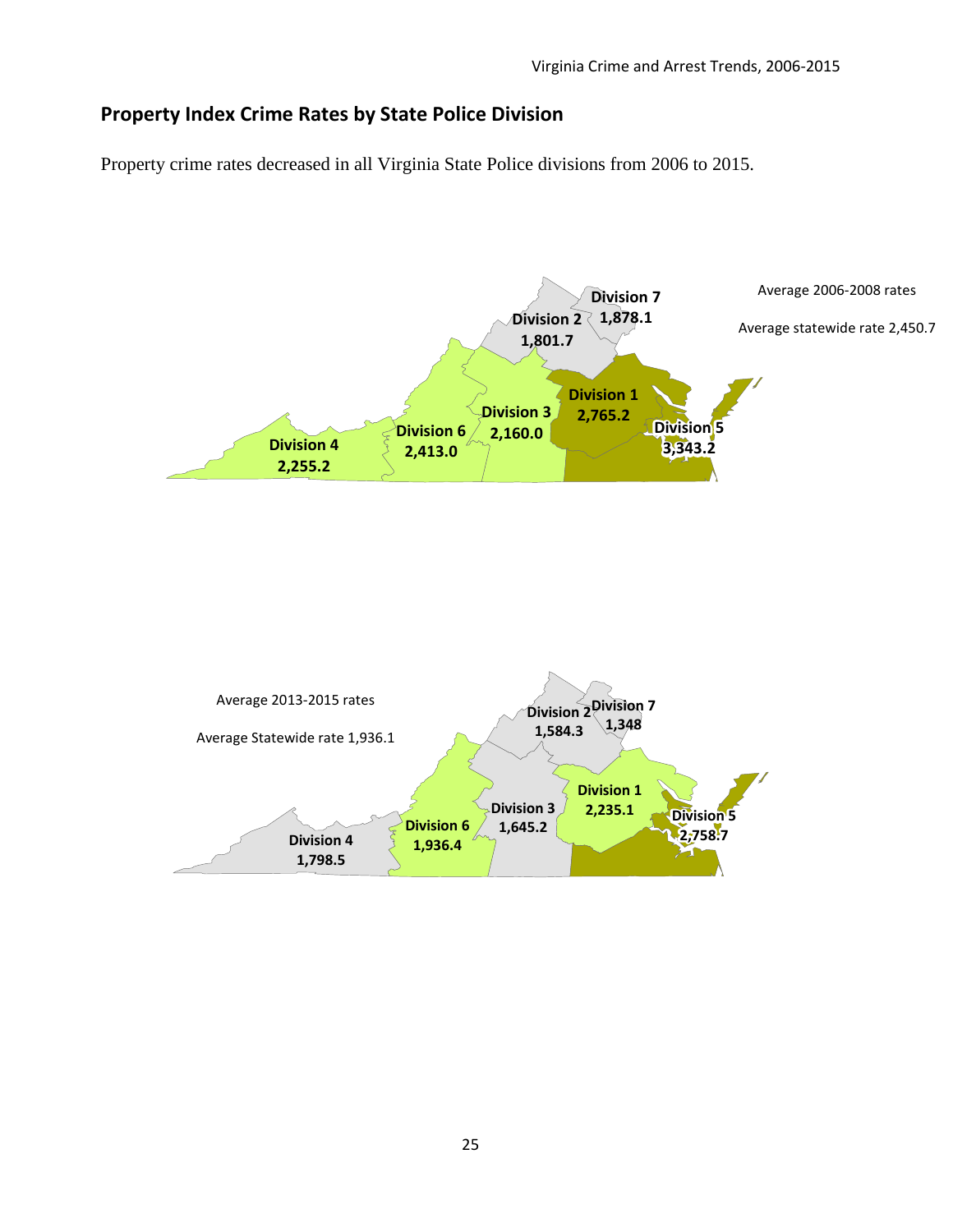## **Property Index Crime Rates by State Police Division**

Property crime rates decreased in all Virginia State Police divisions from 2006 to 2015.

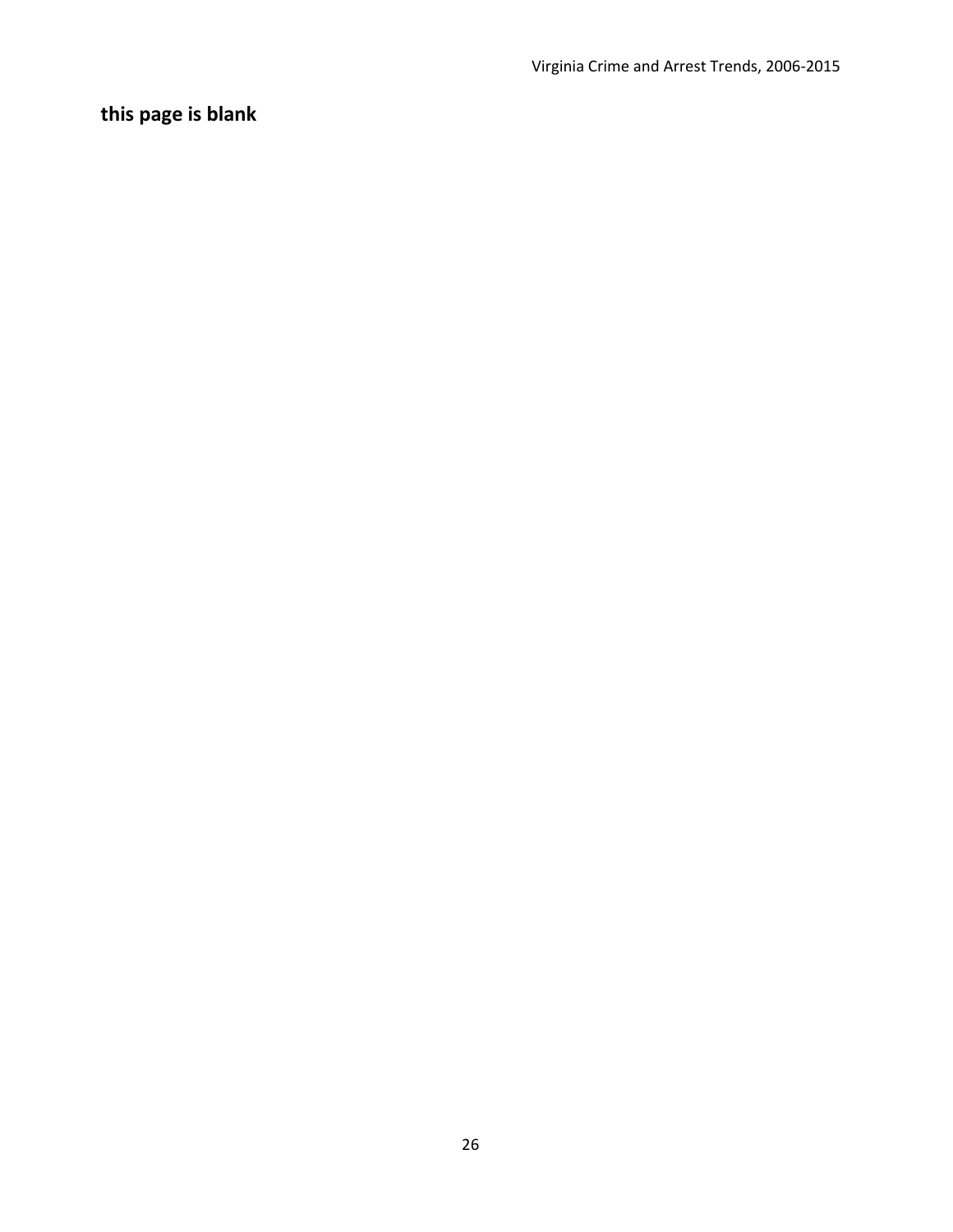## **this page is blank**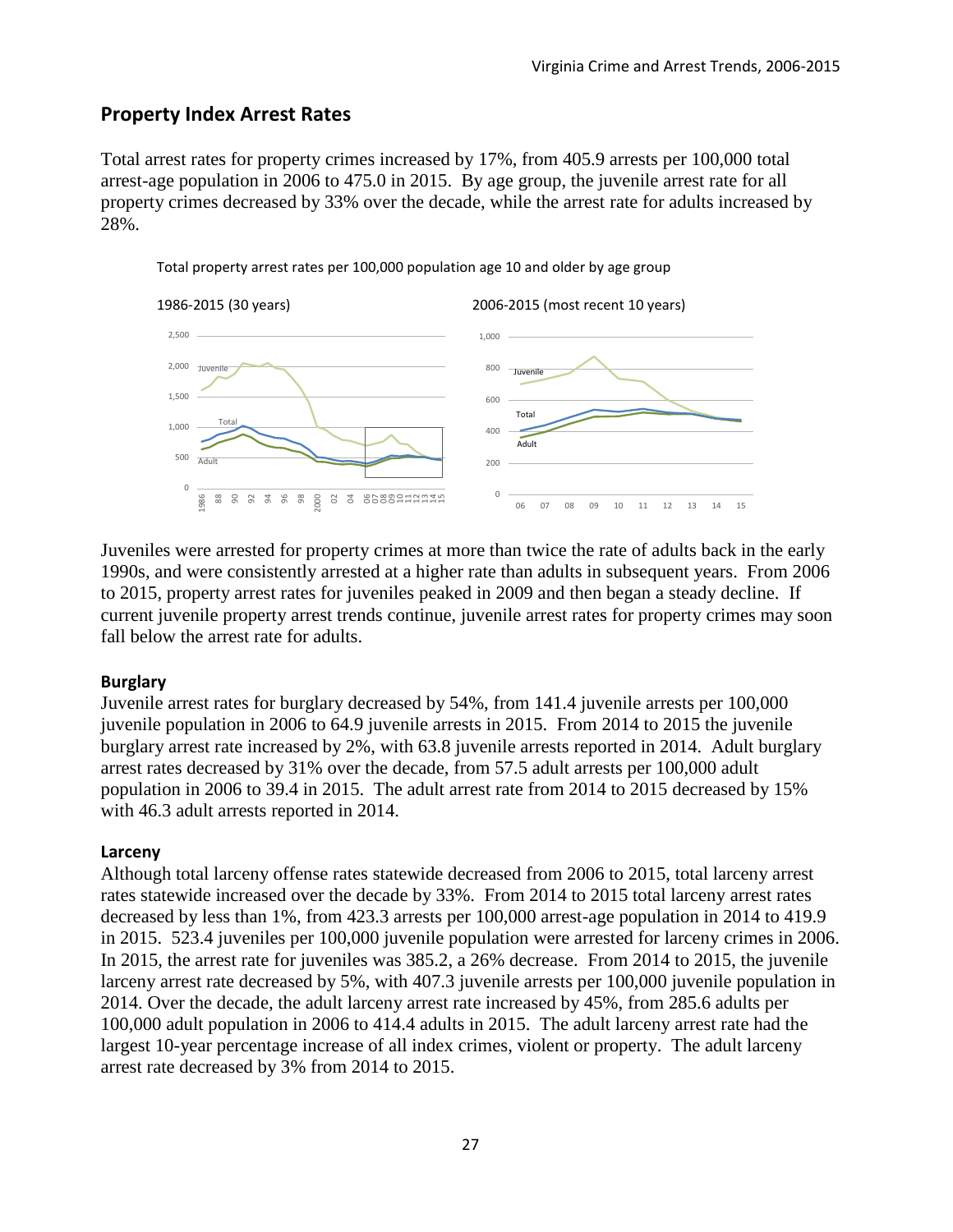## **Property Index Arrest Rates**

Total arrest rates for property crimes increased by 17%, from 405.9 arrests per 100,000 total arrest-age population in 2006 to 475.0 in 2015. By age group, the juvenile arrest rate for all property crimes decreased by 33% over the decade, while the arrest rate for adults increased by 28%.



Juveniles were arrested for property crimes at more than twice the rate of adults back in the early 1990s, and were consistently arrested at a higher rate than adults in subsequent years. From 2006 to 2015, property arrest rates for juveniles peaked in 2009 and then began a steady decline. If current juvenile property arrest trends continue, juvenile arrest rates for property crimes may soon fall below the arrest rate for adults.

## **Burglary**

Juvenile arrest rates for burglary decreased by 54%, from 141.4 juvenile arrests per 100,000 juvenile population in 2006 to 64.9 juvenile arrests in 2015. From 2014 to 2015 the juvenile burglary arrest rate increased by 2%, with 63.8 juvenile arrests reported in 2014. Adult burglary arrest rates decreased by 31% over the decade, from 57.5 adult arrests per 100,000 adult population in 2006 to 39.4 in 2015. The adult arrest rate from 2014 to 2015 decreased by 15% with 46.3 adult arrests reported in 2014.

## **Larceny**

Although total larceny offense rates statewide decreased from 2006 to 2015, total larceny arrest rates statewide increased over the decade by 33%. From 2014 to 2015 total larceny arrest rates decreased by less than 1%, from 423.3 arrests per 100,000 arrest-age population in 2014 to 419.9 in 2015. 523.4 juveniles per 100,000 juvenile population were arrested for larceny crimes in 2006. In 2015, the arrest rate for juveniles was 385.2, a 26% decrease. From 2014 to 2015, the juvenile larceny arrest rate decreased by 5%, with 407.3 juvenile arrests per 100,000 juvenile population in 2014. Over the decade, the adult larceny arrest rate increased by 45%, from 285.6 adults per 100,000 adult population in 2006 to 414.4 adults in 2015. The adult larceny arrest rate had the largest 10-year percentage increase of all index crimes, violent or property. The adult larceny arrest rate decreased by 3% from 2014 to 2015.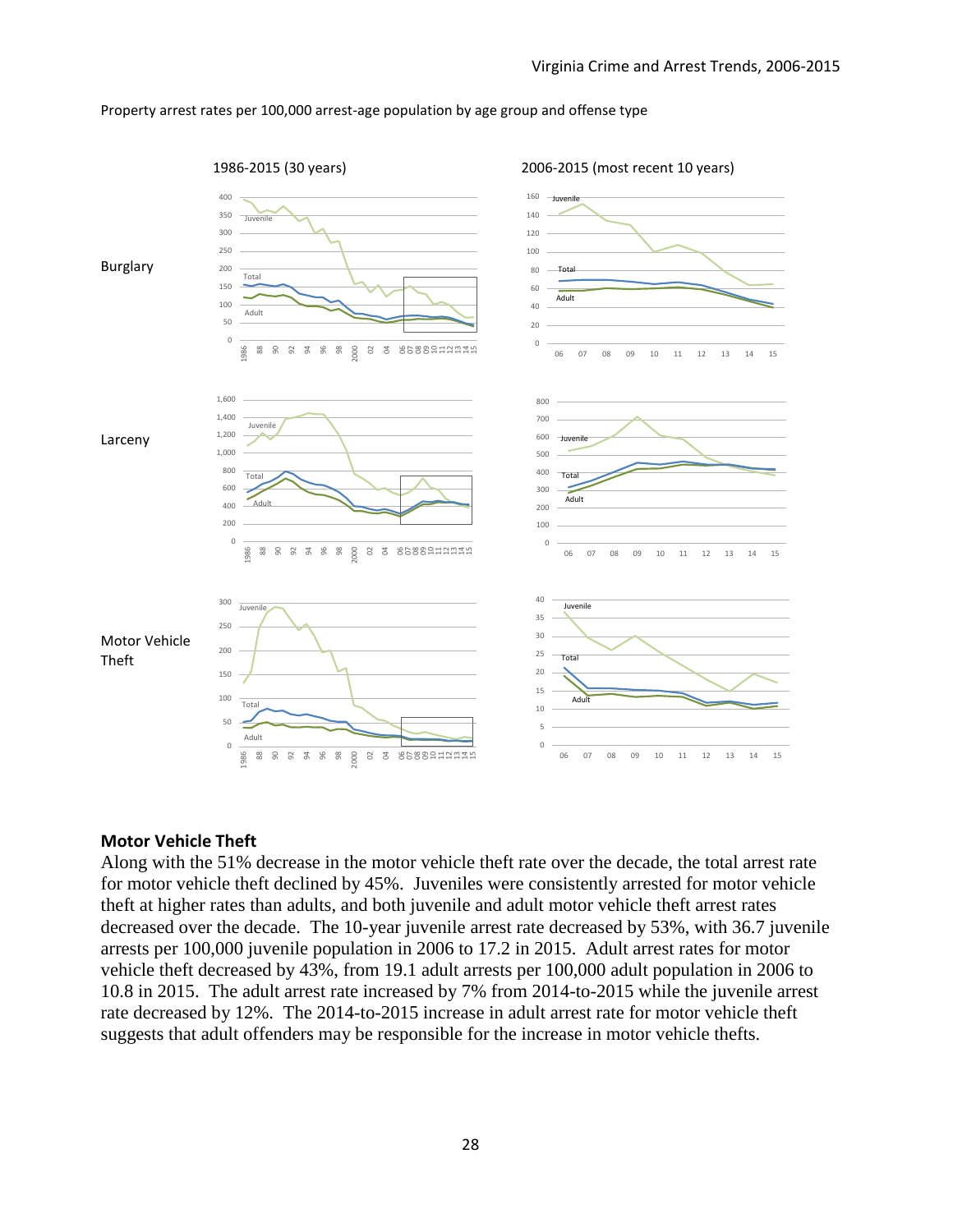Property arrest rates per 100,000 arrest-age population by age group and offense type



#### **Motor Vehicle Theft**

Along with the 51% decrease in the motor vehicle theft rate over the decade, the total arrest rate for motor vehicle theft declined by 45%. Juveniles were consistently arrested for motor vehicle theft at higher rates than adults, and both juvenile and adult motor vehicle theft arrest rates decreased over the decade. The 10-year juvenile arrest rate decreased by 53%, with 36.7 juvenile arrests per 100,000 juvenile population in 2006 to 17.2 in 2015. Adult arrest rates for motor vehicle theft decreased by 43%, from 19.1 adult arrests per 100,000 adult population in 2006 to 10.8 in 2015. The adult arrest rate increased by 7% from 2014-to-2015 while the juvenile arrest rate decreased by 12%. The 2014-to-2015 increase in adult arrest rate for motor vehicle theft suggests that adult offenders may be responsible for the increase in motor vehicle thefts.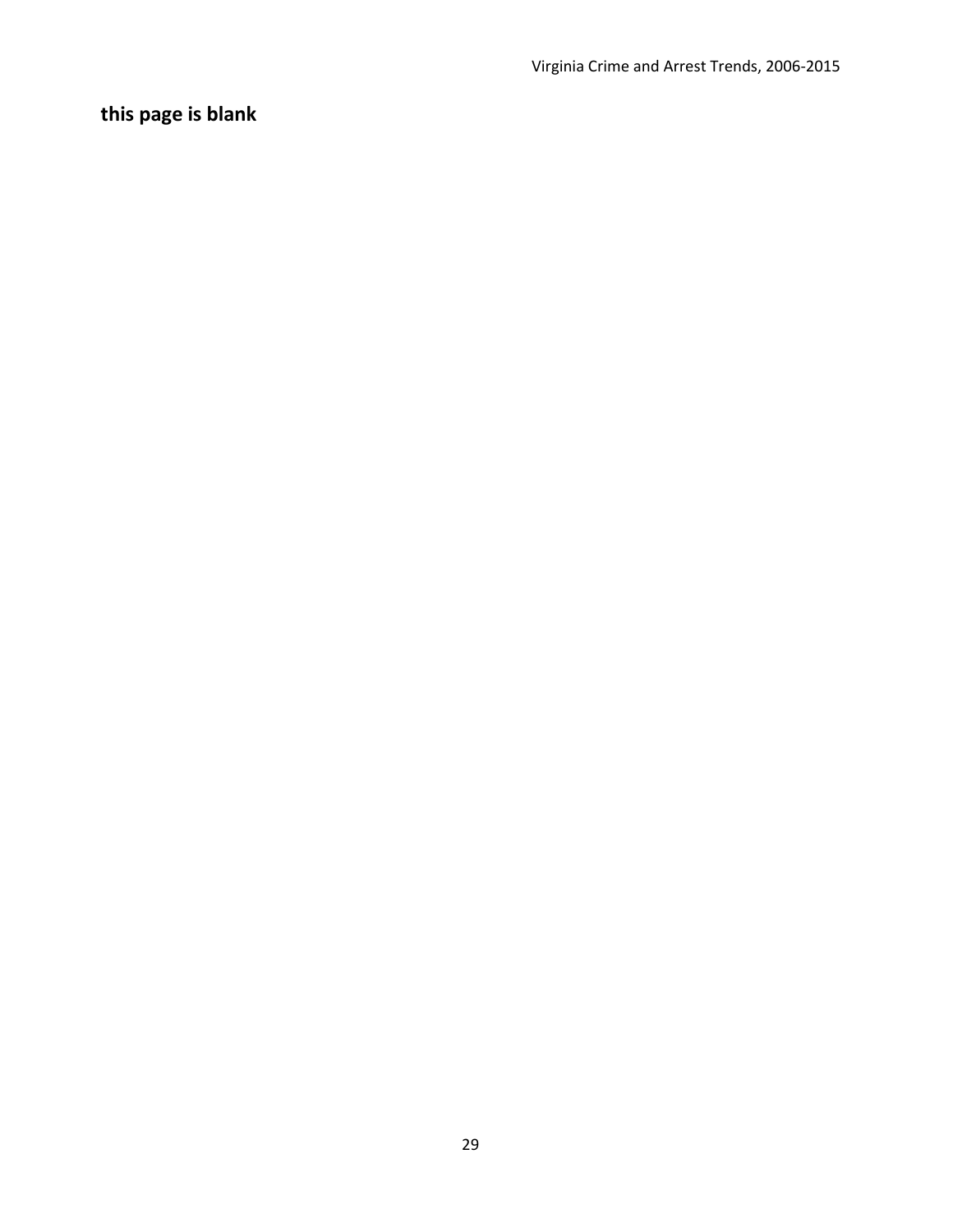## **this page is blank**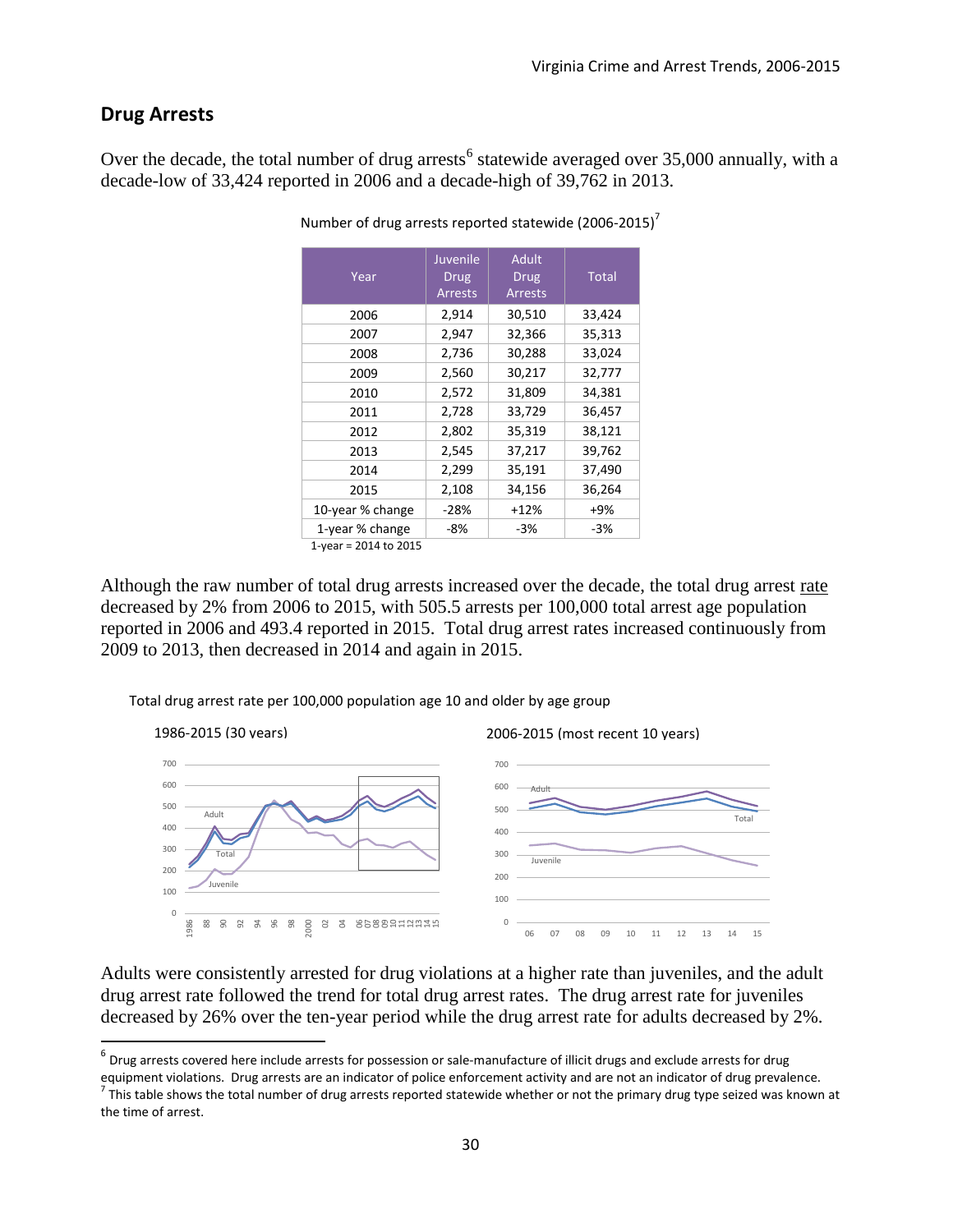## **Drug Arrests**

 $\overline{a}$ 

Over the decade, the total number of drug arrests<sup>6</sup> statewide averaged over  $35,000$  annually, with a decade-low of 33,424 reported in 2006 and a decade-high of 39,762 in 2013.

| Year                  | Juvenile<br><b>Drug</b><br><b>Arrests</b> | <b>Adult</b><br><b>Drug</b><br><b>Arrests</b> | <b>Total</b> |
|-----------------------|-------------------------------------------|-----------------------------------------------|--------------|
| 2006                  | 2,914                                     | 30,510                                        | 33,424       |
| 2007                  | 2,947                                     | 32,366                                        | 35,313       |
| 2008                  | 2,736                                     | 30,288                                        | 33,024       |
| 2009                  | 2,560                                     | 30,217                                        | 32,777       |
| 2010                  | 2,572                                     | 31,809                                        | 34,381       |
| 2011                  | 2,728                                     | 33,729                                        | 36,457       |
| 2012                  | 2,802                                     | 35,319                                        | 38,121       |
| 2013                  | 2,545                                     | 37,217                                        | 39,762       |
| 2014                  | 2,299                                     | 35,191                                        | 37,490       |
| 2015                  | 2,108                                     | 34,156                                        | 36,264       |
| 10-year % change      | -28%                                      | $+12%$                                        | +9%          |
| 1-year % change       | -8%                                       | $-3%$                                         | $-3%$        |
| 1-year = 2014 to 2015 |                                           |                                               |              |

Number of drug arrests reported statewide (2006-2015)<sup>7</sup>

Although the raw number of total drug arrests increased over the decade, the total drug arrest rate decreased by 2% from 2006 to 2015, with 505.5 arrests per 100,000 total arrest age population reported in 2006 and 493.4 reported in 2015. Total drug arrest rates increased continuously from 2009 to 2013, then decreased in 2014 and again in 2015.

Total drug arrest rate per 100,000 population age 10 and older by age group



Adults were consistently arrested for drug violations at a higher rate than juveniles, and the adult drug arrest rate followed the trend for total drug arrest rates. The drug arrest rate for juveniles decreased by 26% over the ten-year period while the drug arrest rate for adults decreased by 2%.

 $^6$  Drug arrests covered here include arrests for possession or sale-manufacture of illicit drugs and exclude arrests for drug

equipment violations. Drug arrests are an indicator of police enforcement activity and are not an indicator of drug prevalence.  $^7$  This table shows the total number of drug arrests reported statewide whether or not the primary drug type seized was known at the time of arrest.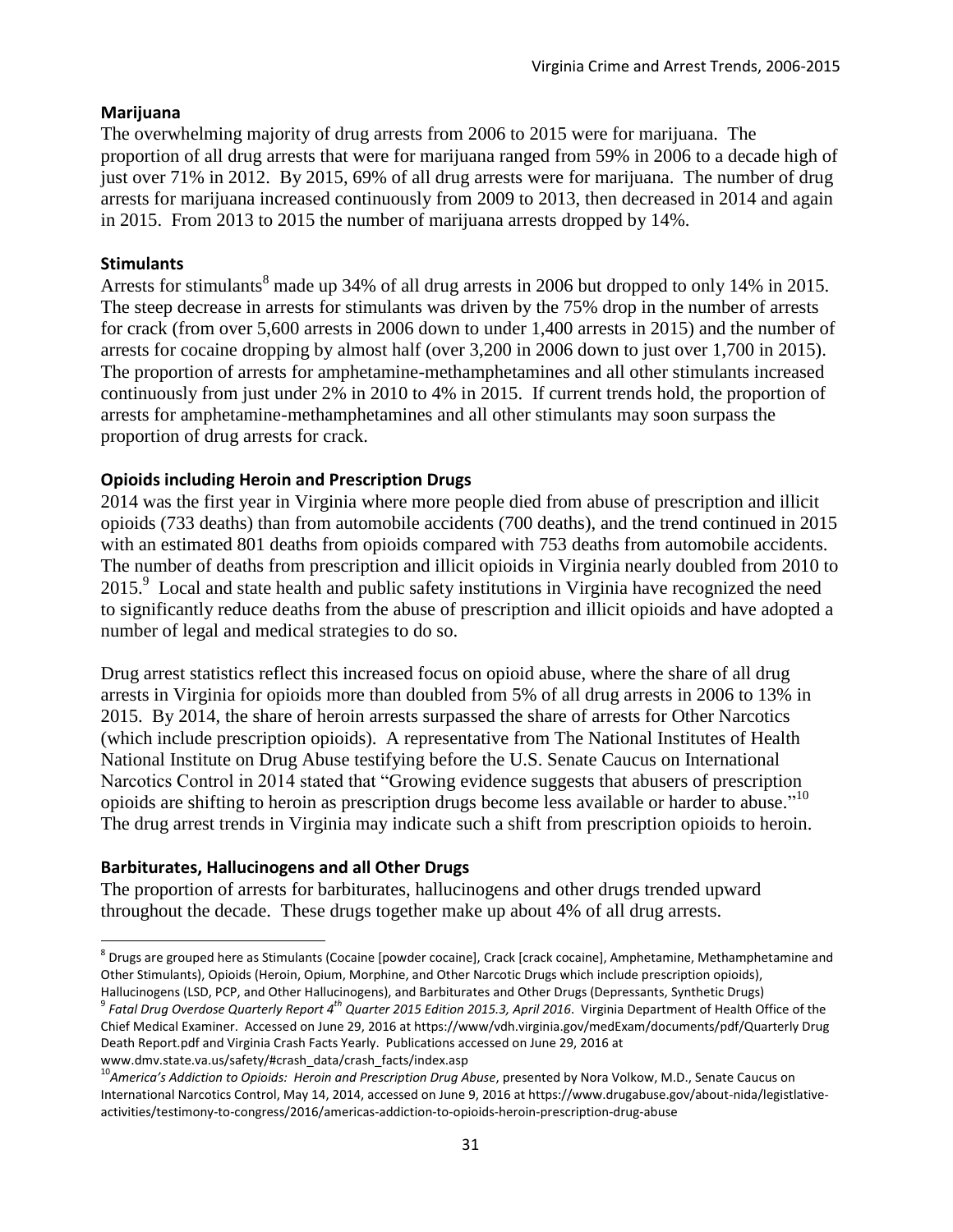## **Marijuana**

The overwhelming majority of drug arrests from 2006 to 2015 were for marijuana. The proportion of all drug arrests that were for marijuana ranged from 59% in 2006 to a decade high of just over 71% in 2012. By 2015, 69% of all drug arrests were for marijuana. The number of drug arrests for marijuana increased continuously from 2009 to 2013, then decreased in 2014 and again in 2015. From 2013 to 2015 the number of marijuana arrests dropped by 14%.

## **Stimulants**

 $\overline{a}$ 

Arrests for stimulants<sup>8</sup> made up 34% of all drug arrests in 2006 but dropped to only 14% in 2015. The steep decrease in arrests for stimulants was driven by the 75% drop in the number of arrests for crack (from over 5,600 arrests in 2006 down to under 1,400 arrests in 2015) and the number of arrests for cocaine dropping by almost half (over 3,200 in 2006 down to just over 1,700 in 2015). The proportion of arrests for amphetamine-methamphetamines and all other stimulants increased continuously from just under 2% in 2010 to 4% in 2015. If current trends hold, the proportion of arrests for amphetamine-methamphetamines and all other stimulants may soon surpass the proportion of drug arrests for crack.

## **Opioids including Heroin and Prescription Drugs**

2014 was the first year in Virginia where more people died from abuse of prescription and illicit opioids (733 deaths) than from automobile accidents (700 deaths), and the trend continued in 2015 with an estimated 801 deaths from opioids compared with 753 deaths from automobile accidents. The number of deaths from prescription and illicit opioids in Virginia nearly doubled from 2010 to 2015.<sup>9</sup> Local and state health and public safety institutions in Virginia have recognized the need to significantly reduce deaths from the abuse of prescription and illicit opioids and have adopted a number of legal and medical strategies to do so.

Drug arrest statistics reflect this increased focus on opioid abuse, where the share of all drug arrests in Virginia for opioids more than doubled from 5% of all drug arrests in 2006 to 13% in 2015. By 2014, the share of heroin arrests surpassed the share of arrests for Other Narcotics (which include prescription opioids). A representative from The National Institutes of Health National Institute on Drug Abuse testifying before the U.S. Senate Caucus on International Narcotics Control in 2014 stated that "Growing evidence suggests that abusers of prescription opioids are shifting to heroin as prescription drugs become less available or harder to abuse." 10 The drug arrest trends in Virginia may indicate such a shift from prescription opioids to heroin.

## **Barbiturates, Hallucinogens and all Other Drugs**

The proportion of arrests for barbiturates, hallucinogens and other drugs trended upward throughout the decade. These drugs together make up about 4% of all drug arrests.

<sup>&</sup>lt;sup>8</sup> Drugs are grouped here as Stimulants (Cocaine [powder cocaine], Crack [crack cocaine], Amphetamine, Methamphetamine and Other Stimulants), Opioids (Heroin, Opium, Morphine, and Other Narcotic Drugs which include prescription opioids), Hallucinogens (LSD, PCP, and Other Hallucinogens), and Barbiturates and Other Drugs (Depressants, Synthetic Drugs)

<sup>9</sup> *Fatal Drug Overdose Quarterly Report 4th Quarter 2015 Edition 2015.3, April 2016*. Virginia Department of Health Office of the Chief Medical Examiner. Accessed on June 29, 2016 at https://www/vdh.virginia.gov/medExam/documents/pdf/Quarterly Drug Death Report.pdf and Virginia Crash Facts Yearly. Publications accessed on June 29, 2016 at www.dmv.state.va.us/safety/#crash\_data/crash\_facts/index.asp

<sup>10</sup>*America's Addiction to Opioids: Heroin and Prescription Drug Abuse*, presented by Nora Volkow, M.D., Senate Caucus on International Narcotics Control, May 14, 2014, accessed on June 9, 2016 at https://www.drugabuse.gov/about-nida/legistlativeactivities/testimony-to-congress/2016/americas-addiction-to-opioids-heroin-prescription-drug-abuse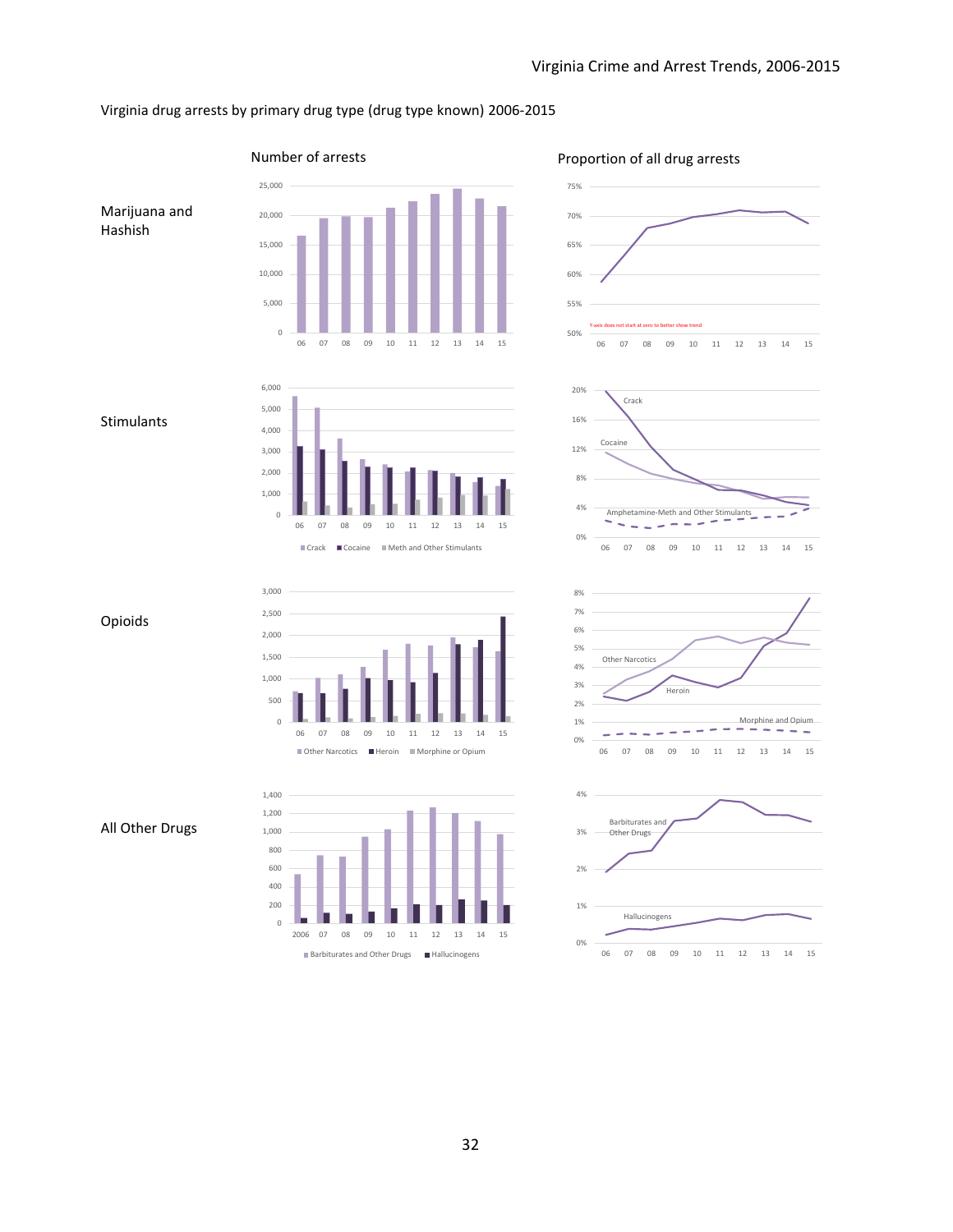#### Virginia drug arrests by primary drug type (drug type known) 2006-2015





Opioids

32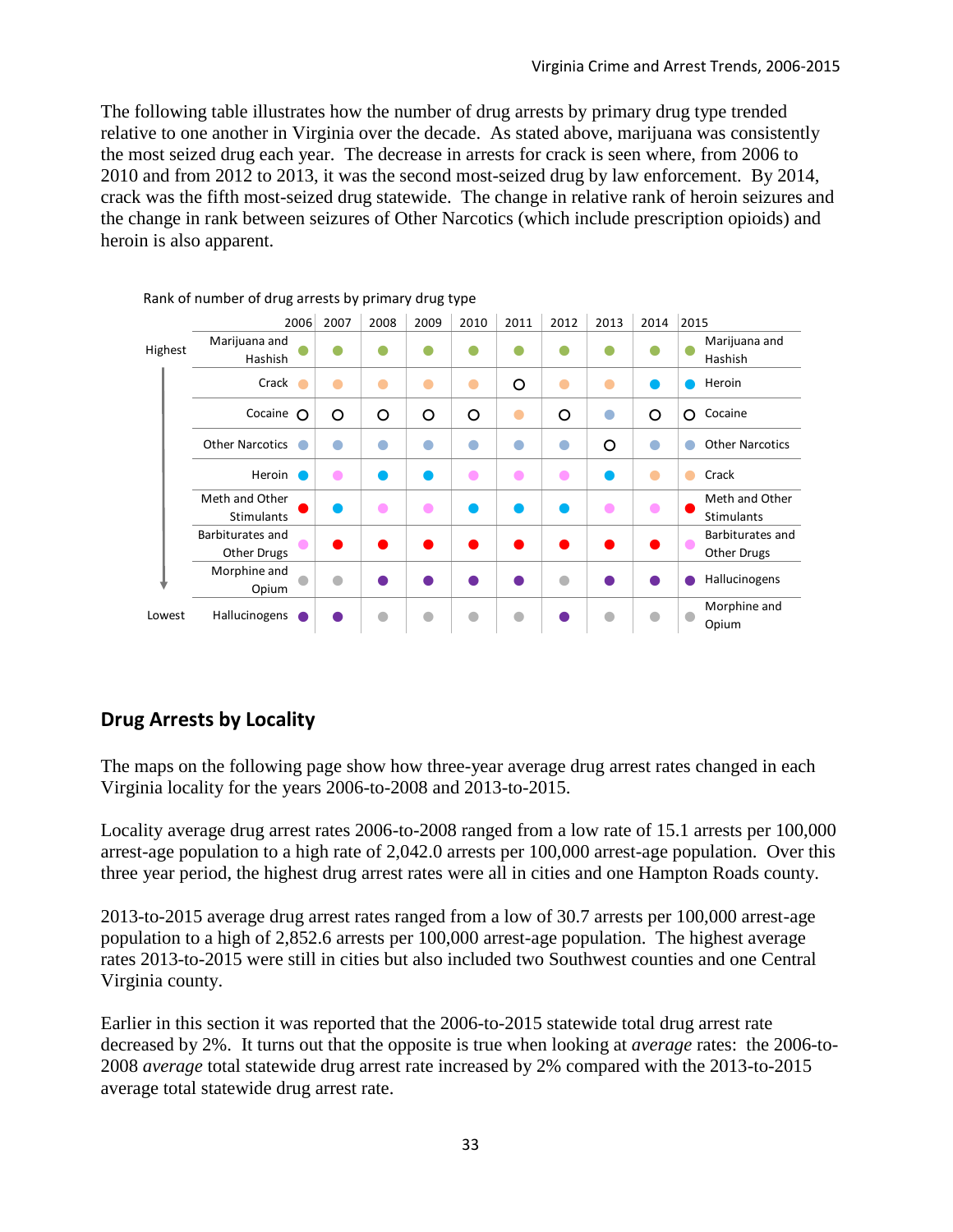The following table illustrates how the number of drug arrests by primary drug type trended relative to one another in Virginia over the decade. As stated above, marijuana was consistently the most seized drug each year. The decrease in arrests for crack is seen where, from 2006 to 2010 and from 2012 to 2013, it was the second most-seized drug by law enforcement. By 2014, crack was the fifth most-seized drug statewide. The change in relative rank of heroin seizures and the change in rank between seizures of Other Narcotics (which include prescription opioids) and heroin is also apparent.

|         |                                     | 2006      | 2007      | 2008 | 2009 | 2010      | 2011      | 2012      | 2013 | 2014      | 2015                                |
|---------|-------------------------------------|-----------|-----------|------|------|-----------|-----------|-----------|------|-----------|-------------------------------------|
| Highest | Marijuana and<br>Hashish            |           |           |      |      |           |           |           |      |           | Marijuana and<br>Hashish            |
|         | Crack                               |           |           |      |      |           | O         |           |      |           | Heroin                              |
|         | Cocaine                             | $\circ$   | O         | O    | O    | O         |           | O         | C    | O         | Cocaine<br>O                        |
|         | <b>Other Narcotics</b>              | $\bullet$ | O         | О    |      |           |           | O         | O    | C         | <b>Other Narcotics</b>              |
|         | Heroin                              |           | $\bullet$ |      |      | $\bullet$ | $\bullet$ | $\bullet$ |      |           | Crack                               |
|         | Meth and Other<br><b>Stimulants</b> |           |           |      |      |           |           |           |      | $\bullet$ | Meth and Other<br><b>Stimulants</b> |
|         | Barbiturates and<br>Other Drugs     |           |           |      |      |           |           |           |      |           | Barbiturates and<br>Other Drugs     |
|         | Morphine and<br>Opium               |           |           |      |      |           |           | A         |      |           | Hallucinogens                       |
| Lowest  | Hallucinogens                       |           |           |      |      |           |           |           |      |           | Morphine and<br>Opium               |

Rank of number of drug arrests by primary drug type

## **Drug Arrests by Locality**

The maps on the following page show how three-year average drug arrest rates changed in each Virginia locality for the years 2006-to-2008 and 2013-to-2015.

Locality average drug arrest rates 2006-to-2008 ranged from a low rate of 15.1 arrests per 100,000 arrest-age population to a high rate of 2,042.0 arrests per 100,000 arrest-age population. Over this three year period, the highest drug arrest rates were all in cities and one Hampton Roads county.

2013-to-2015 average drug arrest rates ranged from a low of 30.7 arrests per 100,000 arrest-age population to a high of 2,852.6 arrests per 100,000 arrest-age population. The highest average rates 2013-to-2015 were still in cities but also included two Southwest counties and one Central Virginia county.

Earlier in this section it was reported that the 2006-to-2015 statewide total drug arrest rate decreased by 2%. It turns out that the opposite is true when looking at *average* rates: the 2006-to-2008 *average* total statewide drug arrest rate increased by 2% compared with the 2013-to-2015 average total statewide drug arrest rate.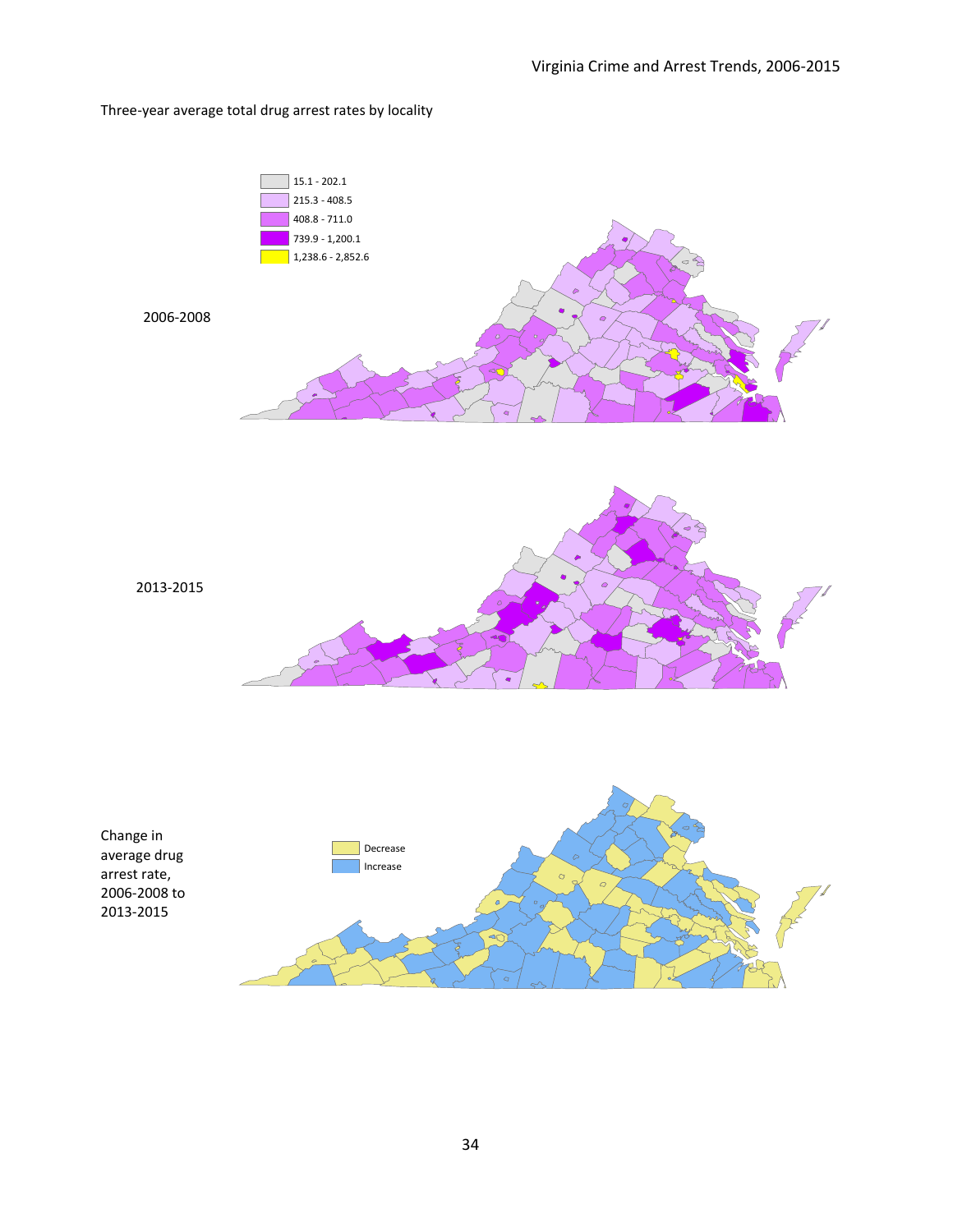Three-year average total drug arrest rates by locality

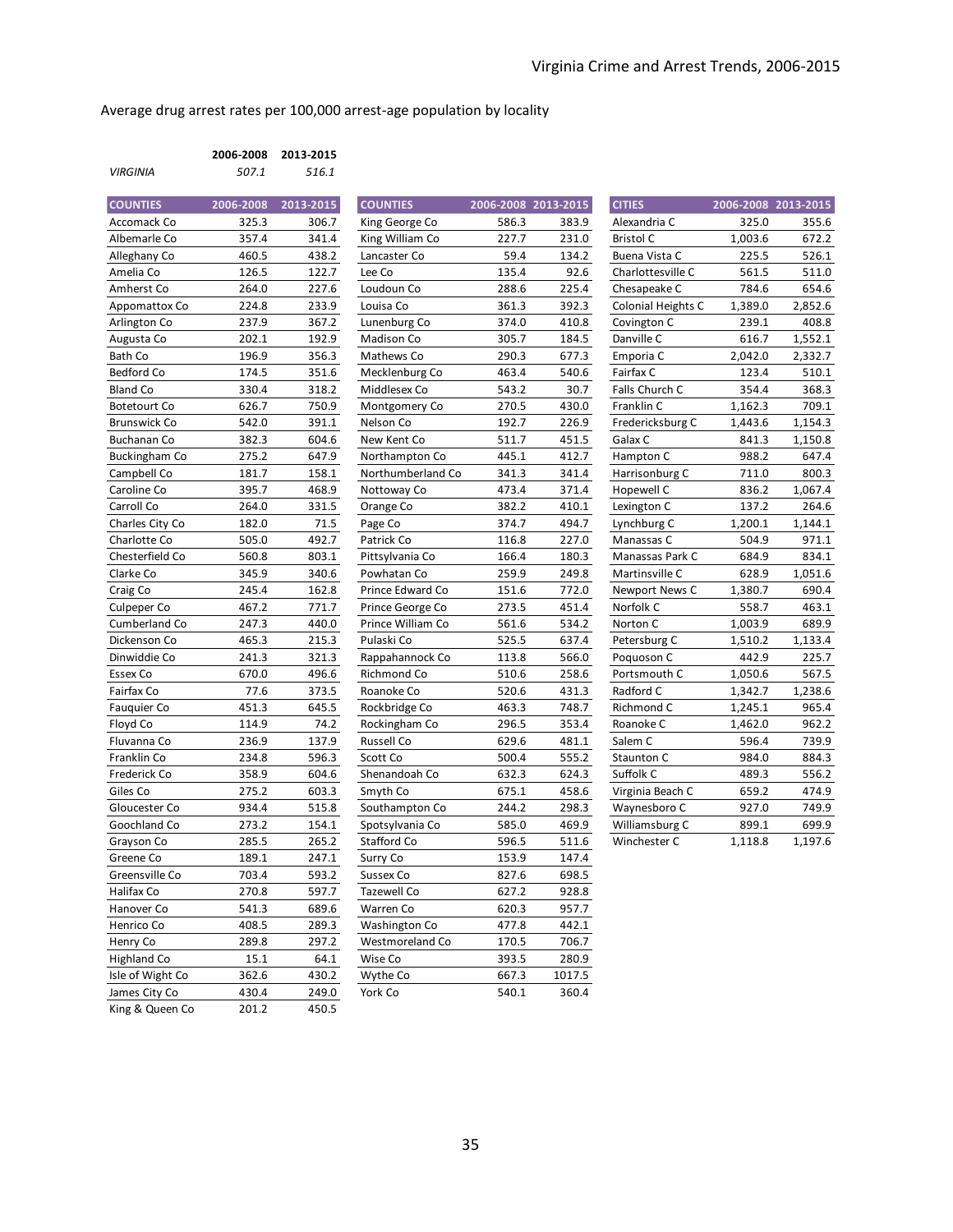## Average drug arrest rates per 100,000 arrest-age population by locality

|                 | 2006-2008 2013-2015 |       |
|-----------------|---------------------|-------|
| <b>VIRGINIA</b> | 507.1               | 516.1 |

| <b>COUNTIES</b>     | 2006-2008 | 2013-2015 | <b>COUNTIES</b>   |       | 2006-2008 2013-2015 | <b>CITIES</b>      |         | 2006-2008 2013-2015 |
|---------------------|-----------|-----------|-------------------|-------|---------------------|--------------------|---------|---------------------|
| Accomack Co         | 325.3     | 306.7     | King George Co    | 586.3 | 383.9               | Alexandria C       | 325.0   | 355.6               |
| Albemarle Co        | 357.4     | 341.4     | King William Co   | 227.7 | 231.0               | <b>Bristol C</b>   | 1,003.6 | 672.2               |
| Alleghany Co        | 460.5     | 438.2     | Lancaster Co      | 59.4  | 134.2               | Buena Vista C      | 225.5   | 526.1               |
| Amelia Co           | 126.5     | 122.7     | Lee Co            | 135.4 | 92.6                | Charlottesville C  | 561.5   | 511.0               |
| Amherst Co          | 264.0     | 227.6     | Loudoun Co        | 288.6 | 225.4               | Chesapeake C       | 784.6   | 654.6               |
| Appomattox Co       | 224.8     | 233.9     | Louisa Co         | 361.3 | 392.3               | Colonial Heights C | 1,389.0 | 2,852.6             |
| Arlington Co        | 237.9     | 367.2     | Lunenburg Co      | 374.0 | 410.8               | Covington C        | 239.1   | 408.8               |
| Augusta Co          | 202.1     | 192.9     | Madison Co        | 305.7 | 184.5               | Danville C         | 616.7   | 1,552.1             |
| Bath Co             | 196.9     | 356.3     | Mathews Co        | 290.3 | 677.3               | Emporia C          | 2,042.0 | 2,332.7             |
| Bedford Co          | 174.5     | 351.6     | Mecklenburg Co    | 463.4 | 540.6               | Fairfax C          | 123.4   | 510.1               |
| <b>Bland Co</b>     | 330.4     | 318.2     | Middlesex Co      | 543.2 | 30.7                | Falls Church C     | 354.4   | 368.3               |
| Botetourt Co        | 626.7     | 750.9     | Montgomery Co     | 270.5 | 430.0               | Franklin C         | 1,162.3 | 709.1               |
| <b>Brunswick Co</b> | 542.0     | 391.1     | Nelson Co         | 192.7 | 226.9               | Fredericksburg C   | 1,443.6 | 1,154.3             |
| Buchanan Co         | 382.3     | 604.6     | New Kent Co       | 511.7 | 451.5               | Galax C            | 841.3   | 1,150.8             |
| Buckingham Co       | 275.2     | 647.9     | Northampton Co    | 445.1 | 412.7               | Hampton C          | 988.2   | 647.4               |
| Campbell Co         | 181.7     | 158.1     | Northumberland Co | 341.3 | 341.4               | Harrisonburg C     | 711.0   | 800.3               |
| Caroline Co         | 395.7     | 468.9     | Nottoway Co       | 473.4 | 371.4               | Hopewell C         | 836.2   | 1,067.4             |
| Carroll Co          | 264.0     | 331.5     | Orange Co         | 382.2 | 410.1               | Lexington C        | 137.2   | 264.6               |
| Charles City Co     | 182.0     | 71.5      | Page Co           | 374.7 | 494.7               | Lynchburg C        | 1,200.1 | 1,144.1             |
| Charlotte Co        | 505.0     | 492.7     | Patrick Co        | 116.8 | 227.0               | Manassas C         | 504.9   | 971.1               |
| Chesterfield Co     | 560.8     | 803.1     | Pittsylvania Co   | 166.4 | 180.3               | Manassas Park C    | 684.9   | 834.1               |
| Clarke Co           | 345.9     | 340.6     | Powhatan Co       | 259.9 | 249.8               | Martinsville C     | 628.9   | 1,051.6             |
| Craig Co            | 245.4     | 162.8     | Prince Edward Co  | 151.6 | 772.0               | Newport News C     | 1,380.7 | 690.4               |
| Culpeper Co         | 467.2     | 771.7     | Prince George Co  | 273.5 | 451.4               | Norfolk C          | 558.7   | 463.1               |
| Cumberland Co       | 247.3     | 440.0     | Prince William Co | 561.6 | 534.2               | Norton C           | 1,003.9 | 689.9               |
| Dickenson Co        | 465.3     | 215.3     | Pulaski Co        | 525.5 | 637.4               | Petersburg C       | 1,510.2 | 1,133.4             |
| Dinwiddie Co        | 241.3     | 321.3     | Rappahannock Co   | 113.8 | 566.0               | Poquoson C         | 442.9   | 225.7               |
| Essex Co            | 670.0     | 496.6     | Richmond Co       | 510.6 | 258.6               | Portsmouth C       | 1,050.6 | 567.5               |
| Fairfax Co          | 77.6      | 373.5     | Roanoke Co        | 520.6 | 431.3               | Radford C          | 1,342.7 | 1,238.6             |
| Fauguier Co         | 451.3     | 645.5     | Rockbridge Co     | 463.3 | 748.7               | Richmond C         | 1,245.1 | 965.4               |
| Floyd Co            | 114.9     | 74.2      | Rockingham Co     | 296.5 | 353.4               | Roanoke C          | 1,462.0 | 962.2               |
| Fluvanna Co         | 236.9     | 137.9     | Russell Co        | 629.6 | 481.1               | Salem C            | 596.4   | 739.9               |
| Franklin Co         | 234.8     | 596.3     | Scott Co          | 500.4 | 555.2               | Staunton C         | 984.0   | 884.3               |
| Frederick Co        | 358.9     | 604.6     | Shenandoah Co     | 632.3 | 624.3               | Suffolk C          | 489.3   | 556.2               |
| Giles Co            | 275.2     | 603.3     | Smyth Co          | 675.1 | 458.6               | Virginia Beach C   | 659.2   | 474.9               |
| Gloucester Co       | 934.4     | 515.8     | Southampton Co    | 244.2 | 298.3               | Waynesboro C       | 927.0   | 749.9               |
| Goochland Co        | 273.2     | 154.1     | Spotsylvania Co   | 585.0 | 469.9               | Williamsburg C     | 899.1   | 699.9               |
| Grayson Co          | 285.5     | 265.2     | Stafford Co       | 596.5 | 511.6               | Winchester C       | 1,118.8 | 1,197.6             |
| Greene Co           | 189.1     | 247.1     | Surry Co          | 153.9 | 147.4               |                    |         |                     |
| Greensville Co      | 703.4     | 593.2     | Sussex Co         | 827.6 | 698.5               |                    |         |                     |
| Halifax Co          | 270.8     | 597.7     | Tazewell Co       | 627.2 | 928.8               |                    |         |                     |
| Hanover Co          | 541.3     | 689.6     | Warren Co         | 620.3 | 957.7               |                    |         |                     |
| Henrico Co          | 408.5     | 289.3     | Washington Co     | 477.8 | 442.1               |                    |         |                     |
| Henry Co            | 289.8     | 297.2     | Westmoreland Co   | 170.5 | 706.7               |                    |         |                     |
| Highland Co         | 15.1      | 64.1      | Wise Co           | 393.5 | 280.9               |                    |         |                     |
| Isle of Wight Co    | 362.6     | 430.2     | Wythe Co          | 667.3 | 1017.5              |                    |         |                     |
| James City Co       | 430.4     | 249.0     | York Co           | 540.1 | 360.4               |                    |         |                     |
| King & Queen Co     | 201.2     | 450.5     |                   |       |                     |                    |         |                     |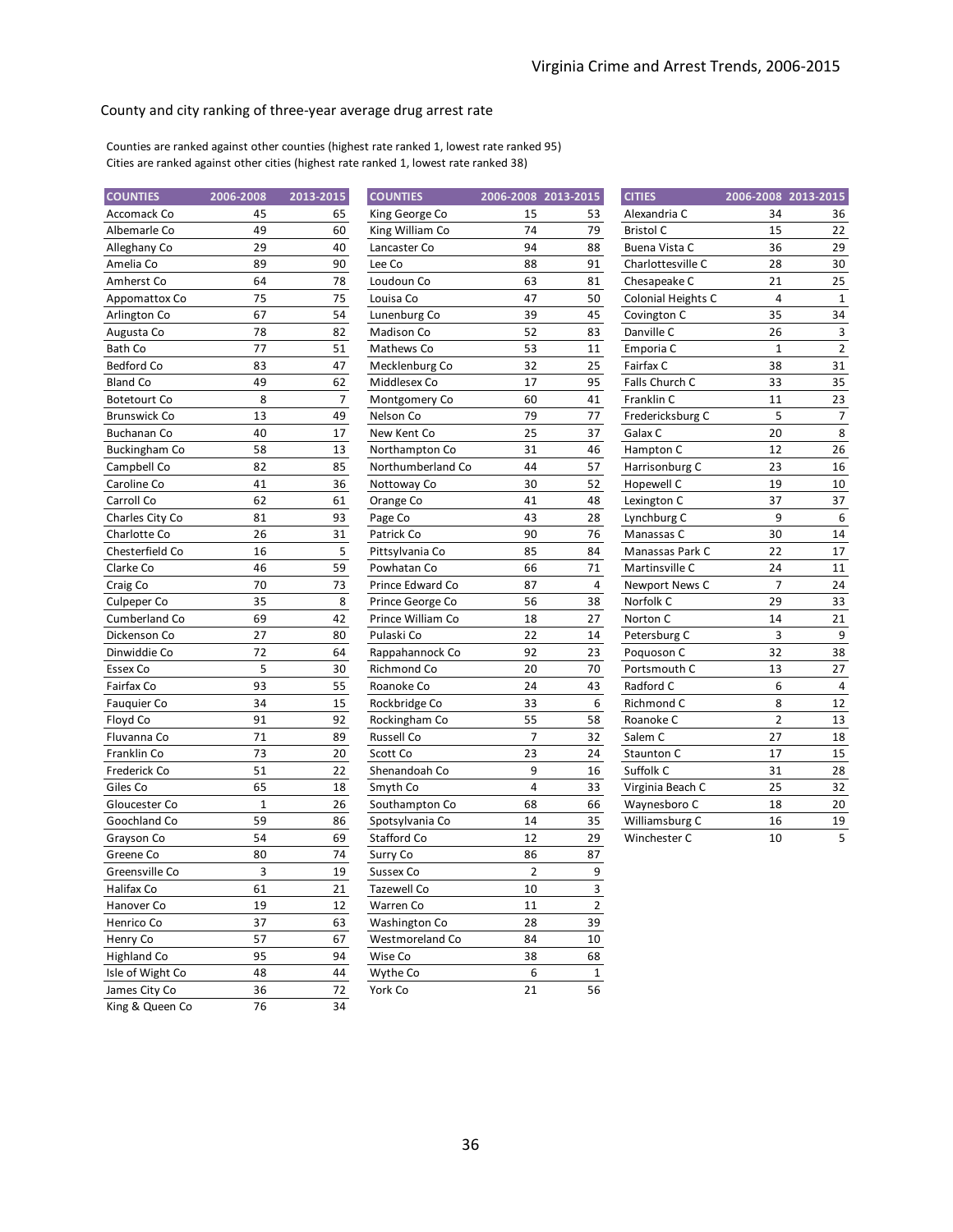#### County and city ranking of three-year average drug arrest rate

Counties are ranked against other counties (highest rate ranked 1, lowest rate ranked 95) Cities are ranked against other cities (highest rate ranked 1, lowest rate ranked 38)

| <b>COUNTIES</b>      | 2006-2008 | 2013-2015 | <b>COUNTIES</b>   | 2006-2008 2013-2015 |               | <b>CITIES</b>      | 2006-2008 2013-2015 |                |
|----------------------|-----------|-----------|-------------------|---------------------|---------------|--------------------|---------------------|----------------|
| Accomack Co          | 45        | 65        | King George Co    | 15                  | 53            | Alexandria C       | 34                  | 36             |
| Albemarle Co         | 49        | 60        | King William Co   | 74                  | 79            | <b>Bristol C</b>   | 15                  | 22             |
| Alleghany Co         | 29        | 40        | Lancaster Co      | 94                  | 88            | Buena Vista C      | 36                  | 29             |
| Amelia Co            | 89        | 90        | Lee Co            | 88                  | 91            | Charlottesville C  | 28                  | 30             |
| Amherst Co           | 64        | 78        | Loudoun Co        | 63                  | 81            | Chesapeake C       | 21                  | 25             |
| Appomattox Co        | 75        | 75        | Louisa Co         | 47                  | 50            | Colonial Heights C | 4                   | $1\,$          |
| Arlington Co         | 67        | 54        | Lunenburg Co      | 39                  | 45            | Covington C        | 35                  | 34             |
| Augusta Co           | 78        | 82        | Madison Co        | 52                  | 83            | Danville C         | 26                  | 3              |
| <b>Bath Co</b>       | 77        | 51        | Mathews Co        | 53                  | 11            | Emporia C          | $1\,$               | $\overline{2}$ |
| Bedford Co           | 83        | 47        | Mecklenburg Co    | 32                  | 25            | Fairfax C          | 38                  | 31             |
| <b>Bland Co</b>      | 49        | 62        | Middlesex Co      | 17                  | 95            | Falls Church C     | 33                  | 35             |
| <b>Botetourt Co</b>  | 8         | 7         | Montgomery Co     | 60                  | 41            | Franklin C         | 11                  | 23             |
| <b>Brunswick Co</b>  | 13        | 49        | Nelson Co         | 79                  | 77            | Fredericksburg C   | 5                   | $\overline{7}$ |
| Buchanan Co          | 40        | 17        | New Kent Co       | 25                  | 37            | Galax C            | 20                  | 8              |
| <b>Buckingham Co</b> | 58        | 13        | Northampton Co    | 31                  | 46            | Hampton C          | 12                  | 26             |
| Campbell Co          | 82        | 85        | Northumberland Co | 44                  | 57            | Harrisonburg C     | 23                  | 16             |
| Caroline Co          | 41        | 36        | Nottoway Co       | 30                  | 52            | Hopewell C         | 19                  | 10             |
| Carroll Co           | 62        | 61        | Orange Co         | 41                  | 48            | Lexington C        | 37                  | 37             |
| Charles City Co      | 81        | 93        | Page Co           | 43                  | 28            | Lynchburg C        | 9                   | 6              |
| Charlotte Co         | 26        | 31        | Patrick Co        | 90                  | 76            | Manassas C         | 30                  | 14             |
| Chesterfield Co      | 16        | 5         | Pittsylvania Co   | 85                  | 84            | Manassas Park C    | 22                  | 17             |
| Clarke Co            | 46        | 59        | Powhatan Co       | 66                  | 71            | Martinsville C     | 24                  | 11             |
| Craig Co             | 70        | 73        | Prince Edward Co  | 87                  | 4             | Newport News C     | $\overline{7}$      | 24             |
| Culpeper Co          | 35        | 8         | Prince George Co  | 56                  | 38            | Norfolk C          | 29                  | 33             |
| Cumberland Co        | 69        | 42        | Prince William Co | 18                  | 27            | Norton C           | 14                  | 21             |
| Dickenson Co         | 27        | 80        | Pulaski Co        | 22                  | 14            | Petersburg C       | 3                   | 9              |
| Dinwiddie Co         | 72        | 64        | Rappahannock Co   | 92                  | 23            | Poquoson C         | 32                  | 38             |
| Essex Co             | 5         | 30        | Richmond Co       | 20                  | 70            | Portsmouth C       | 13                  | 27             |
| Fairfax Co           | 93        | 55        | Roanoke Co        | 24                  | 43            | Radford C          | 6                   | 4              |
| Fauguier Co          | 34        | 15        | Rockbridge Co     | 33                  | 6             | Richmond C         | 8                   | 12             |
| Floyd Co             | 91        | 92        | Rockingham Co     | 55                  | 58            | Roanoke C          | $\overline{2}$      | 13             |
| Fluvanna Co          | 71        | 89        | Russell Co        | $\overline{7}$      | 32            | Salem C            | 27                  | 18             |
| Franklin Co          | 73        | 20        | Scott Co          | 23                  | 24            | Staunton C         | 17                  | 15             |
| Frederick Co         | 51        | 22        | Shenandoah Co     | 9                   | 16            | Suffolk C          | 31                  | 28             |
| Giles Co             | 65        | 18        | Smyth Co          | $\sqrt{4}$          | 33            | Virginia Beach C   | 25                  | 32             |
| Gloucester Co        | 1         | 26        | Southampton Co    | 68                  | 66            | Waynesboro C       | 18                  | 20             |
| Goochland Co         | 59        | 86        | Spotsylvania Co   | 14                  | 35            | Williamsburg C     | 16                  | 19             |
| Grayson Co           | 54        | 69        | Stafford Co       | 12                  | 29            | Winchester C       | $10\,$              | 5              |
| Greene Co            | 80        | 74        | Surry Co          | 86                  | 87            |                    |                     |                |
| Greensville Co       | 3         | 19        | Sussex Co         | $\overline{2}$      | 9             |                    |                     |                |
| Halifax Co           | 61        | 21        | Tazewell Co       | 10                  |               |                    |                     |                |
| Hanover Co           | 19        | 12        | Warren Co         | 11                  | $\frac{3}{2}$ |                    |                     |                |
| Henrico Co           | 37        | 63        | Washington Co     | 28                  | 39            |                    |                     |                |
| Henry Co             | 57        | 67        | Westmoreland Co   | 84                  | 10            |                    |                     |                |
| Highland Co          | 95        | 94        | Wise Co           | 38                  | 68            |                    |                     |                |
| Isle of Wight Co     | 48        | 44        | Wythe Co          | 6                   | $\mathbf{1}$  |                    |                     |                |
| James City Co        | 36        | 72        | York Co           | 21                  | 56            |                    |                     |                |
| King & Queen Co      | 76        | 34        |                   |                     |               |                    |                     |                |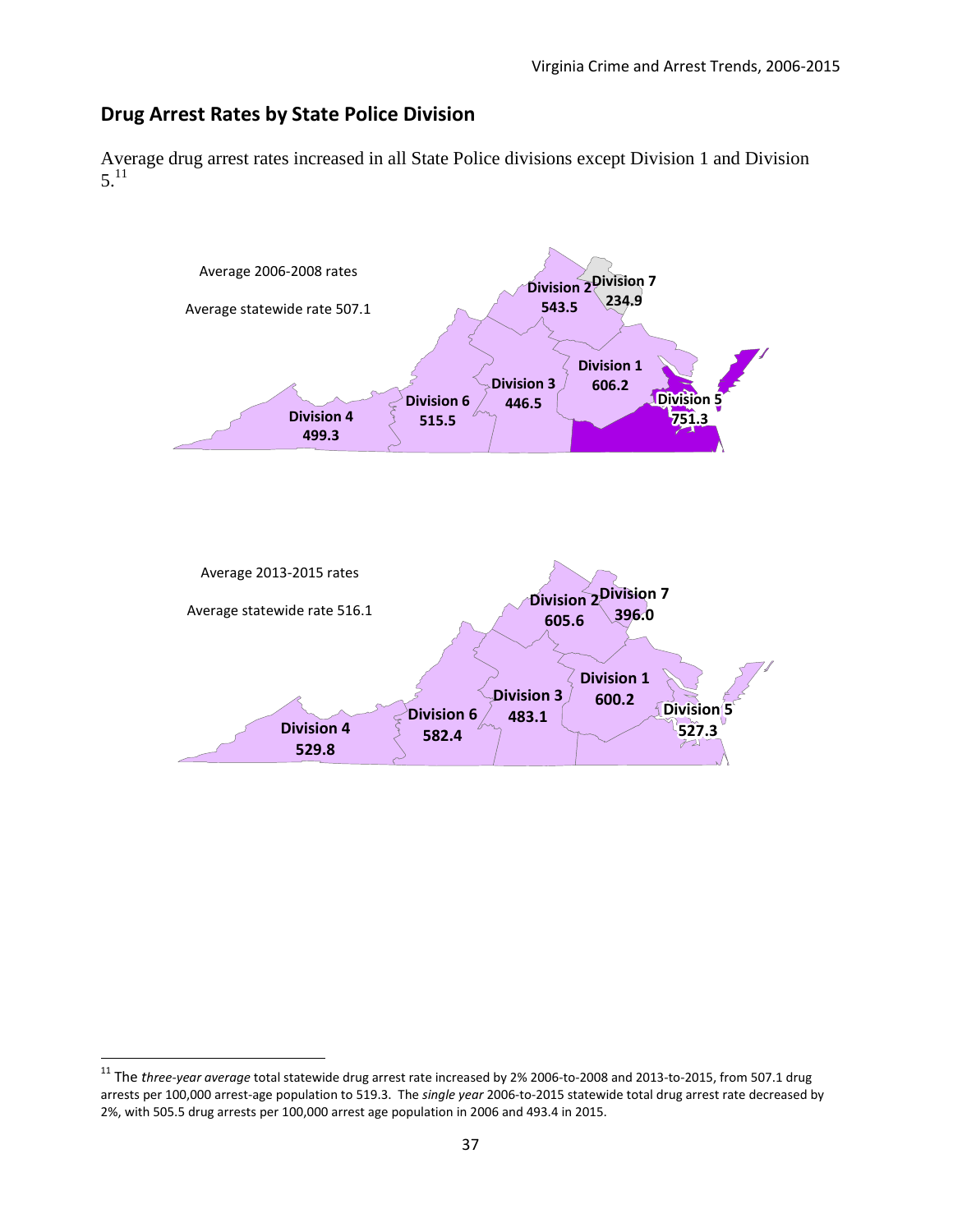## **Drug Arrest Rates by State Police Division**

Average drug arrest rates increased in all State Police divisions except Division 1 and Division  $5.11$ 



 $\overline{a}$ 

<sup>11</sup> The *three-year average* total statewide drug arrest rate increased by 2% 2006-to-2008 and 2013-to-2015, from 507.1 drug arrests per 100,000 arrest-age population to 519.3. The *single year* 2006-to-2015 statewide total drug arrest rate decreased by 2%, with 505.5 drug arrests per 100,000 arrest age population in 2006 and 493.4 in 2015.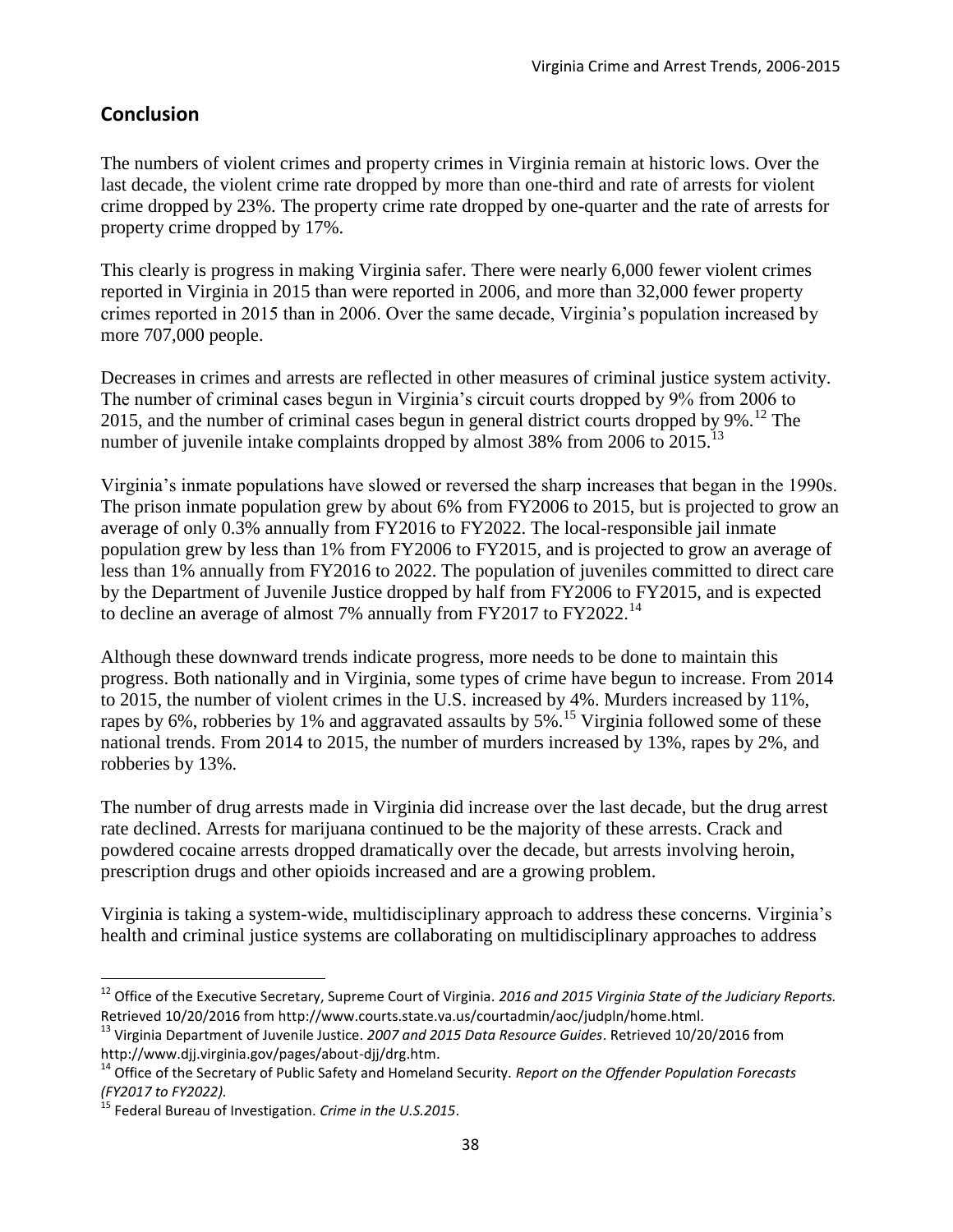## **Conclusion**

The numbers of violent crimes and property crimes in Virginia remain at historic lows. Over the last decade, the violent crime rate dropped by more than one-third and rate of arrests for violent crime dropped by 23%. The property crime rate dropped by one-quarter and the rate of arrests for property crime dropped by 17%.

This clearly is progress in making Virginia safer. There were nearly 6,000 fewer violent crimes reported in Virginia in 2015 than were reported in 2006, and more than 32,000 fewer property crimes reported in 2015 than in 2006. Over the same decade, Virginia's population increased by more 707,000 people.

Decreases in crimes and arrests are reflected in other measures of criminal justice system activity. The number of criminal cases begun in Virginia's circuit courts dropped by 9% from 2006 to 2015, and the number of criminal cases begun in general district courts dropped by 9%.<sup>12</sup> The number of juvenile intake complaints dropped by almost  $38\%$  from  $2006$  to  $2015$ .<sup>13</sup>

Virginia's inmate populations have slowed or reversed the sharp increases that began in the 1990s. The prison inmate population grew by about 6% from FY2006 to 2015, but is projected to grow an average of only 0.3% annually from FY2016 to FY2022. The local-responsible jail inmate population grew by less than 1% from FY2006 to FY2015, and is projected to grow an average of less than 1% annually from FY2016 to 2022. The population of juveniles committed to direct care by the Department of Juvenile Justice dropped by half from FY2006 to FY2015, and is expected to decline an average of almost 7% annually from FY2017 to FY2022.<sup>14</sup>

Although these downward trends indicate progress, more needs to be done to maintain this progress. Both nationally and in Virginia, some types of crime have begun to increase. From 2014 to 2015, the number of violent crimes in the U.S. increased by 4%. Murders increased by 11%, rapes by 6%, robberies by 1% and aggravated assaults by 5%.<sup>15</sup> Virginia followed some of these national trends. From 2014 to 2015, the number of murders increased by 13%, rapes by 2%, and robberies by 13%.

The number of drug arrests made in Virginia did increase over the last decade, but the drug arrest rate declined. Arrests for marijuana continued to be the majority of these arrests. Crack and powdered cocaine arrests dropped dramatically over the decade, but arrests involving heroin, prescription drugs and other opioids increased and are a growing problem.

Virginia is taking a system-wide, multidisciplinary approach to address these concerns. Virginia's health and criminal justice systems are collaborating on multidisciplinary approaches to address

 $\overline{a}$ 

<sup>&</sup>lt;sup>12</sup> Office of the Executive Secretary, Supreme Court of Virginia. 2016 and 2015 Virginia State of the Judiciary Reports. Retrieved 10/20/2016 from http://www.courts.state.va.us/courtadmin/aoc/judpln/home.html.

<sup>13</sup> Virginia Department of Juvenile Justice. *2007 and 2015 Data Resource Guides*. Retrieved 10/20/2016 from http://www.djj.virginia.gov/pages/about-djj/drg.htm.

<sup>14</sup> Office of the Secretary of Public Safety and Homeland Security. *Report on the Offender Population Forecasts (FY2017 to FY2022).* 

<sup>15</sup> Federal Bureau of Investigation. *Crime in the U.S.2015*.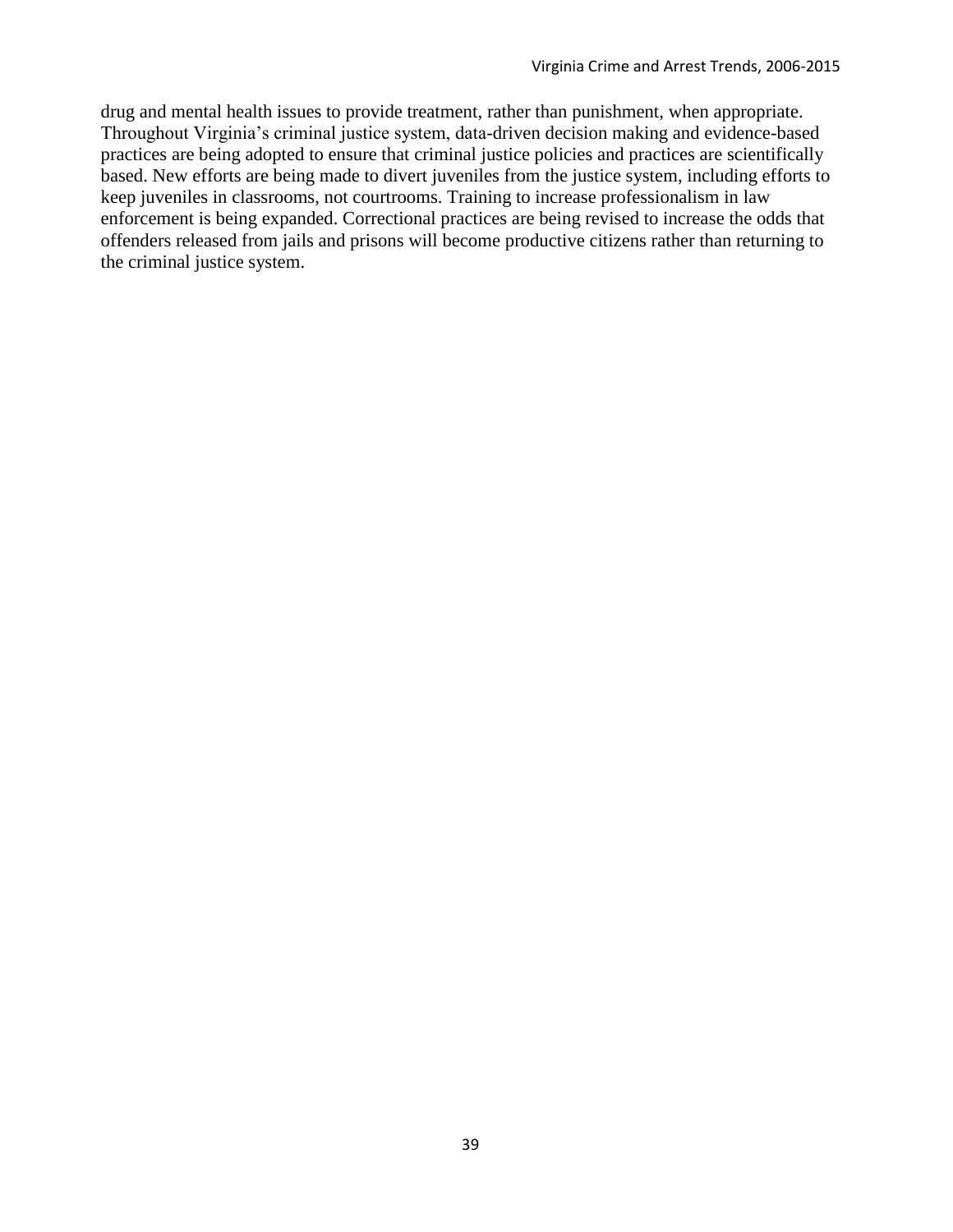drug and mental health issues to provide treatment, rather than punishment, when appropriate. Throughout Virginia's criminal justice system, data-driven decision making and evidence-based practices are being adopted to ensure that criminal justice policies and practices are scientifically based. New efforts are being made to divert juveniles from the justice system, including efforts to keep juveniles in classrooms, not courtrooms. Training to increase professionalism in law enforcement is being expanded. Correctional practices are being revised to increase the odds that offenders released from jails and prisons will become productive citizens rather than returning to the criminal justice system.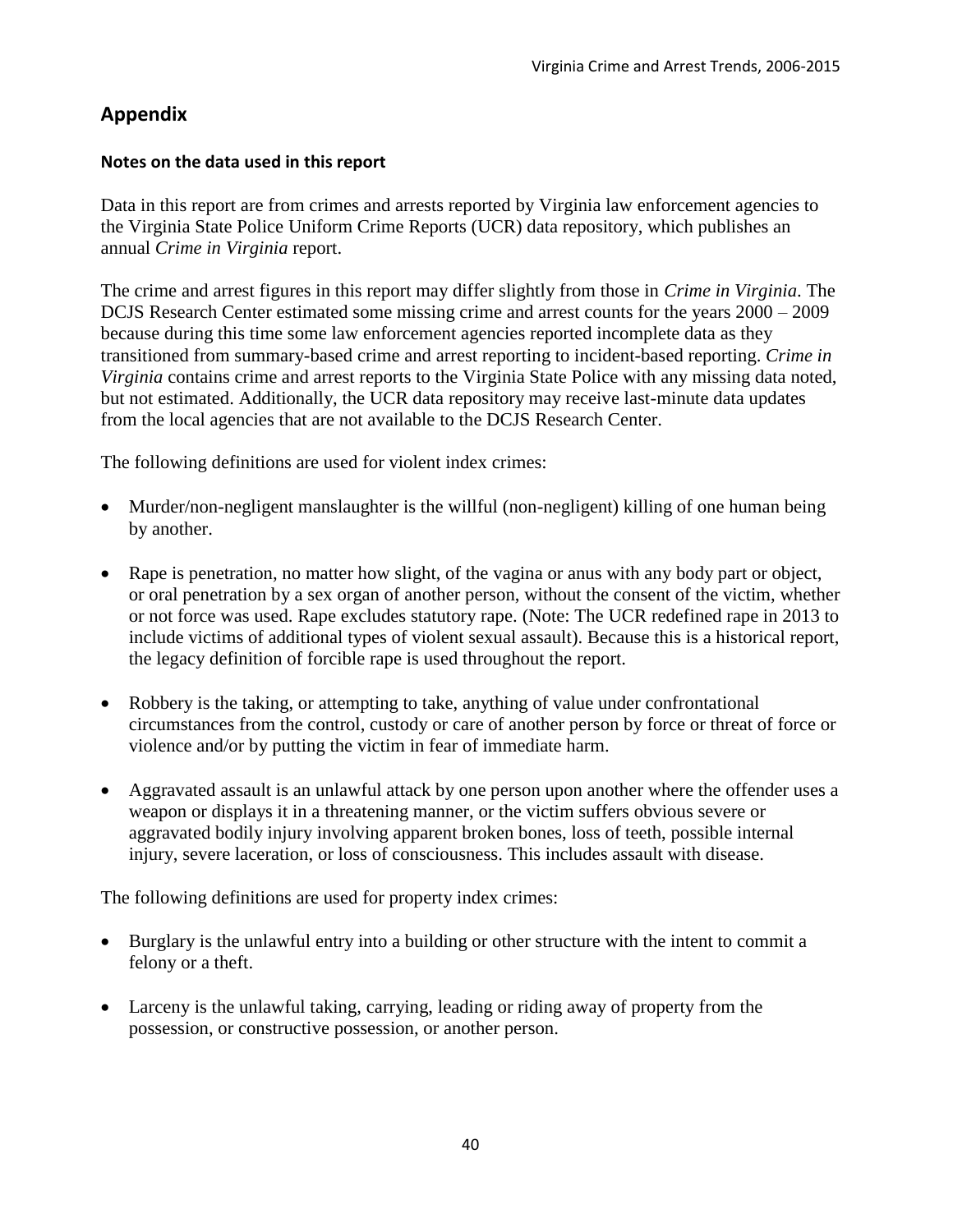## **Appendix**

## **Notes on the data used in this report**

Data in this report are from crimes and arrests reported by Virginia law enforcement agencies to the Virginia State Police Uniform Crime Reports (UCR) data repository, which publishes an annual *Crime in Virginia* report.

The crime and arrest figures in this report may differ slightly from those in *Crime in Virginia*. The DCJS Research Center estimated some missing crime and arrest counts for the years 2000 – 2009 because during this time some law enforcement agencies reported incomplete data as they transitioned from summary-based crime and arrest reporting to incident-based reporting. *Crime in Virginia* contains crime and arrest reports to the Virginia State Police with any missing data noted, but not estimated. Additionally, the UCR data repository may receive last-minute data updates from the local agencies that are not available to the DCJS Research Center.

The following definitions are used for violent index crimes:

- Murder/non-negligent manslaughter is the willful (non-negligent) killing of one human being by another.
- Rape is penetration, no matter how slight, of the vagina or anus with any body part or object, or oral penetration by a sex organ of another person, without the consent of the victim, whether or not force was used. Rape excludes statutory rape. (Note: The UCR redefined rape in 2013 to include victims of additional types of violent sexual assault). Because this is a historical report, the legacy definition of forcible rape is used throughout the report.
- Robbery is the taking, or attempting to take, anything of value under confrontational circumstances from the control, custody or care of another person by force or threat of force or violence and/or by putting the victim in fear of immediate harm.
- Aggravated assault is an unlawful attack by one person upon another where the offender uses a weapon or displays it in a threatening manner, or the victim suffers obvious severe or aggravated bodily injury involving apparent broken bones, loss of teeth, possible internal injury, severe laceration, or loss of consciousness. This includes assault with disease.

The following definitions are used for property index crimes:

- Burglary is the unlawful entry into a building or other structure with the intent to commit a felony or a theft.
- Larceny is the unlawful taking, carrying, leading or riding away of property from the possession, or constructive possession, or another person.